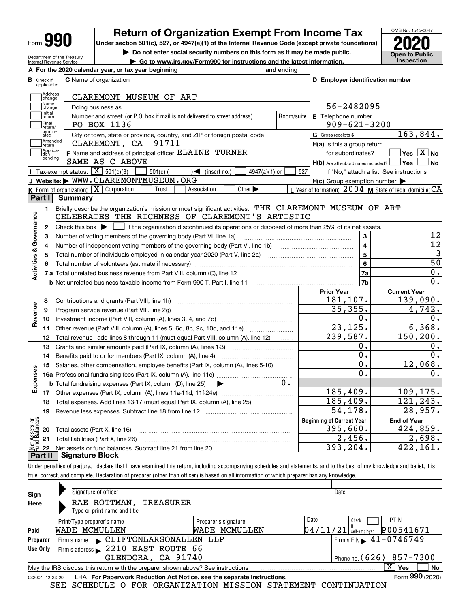| п<br>Form |
|-----------|
|-----------|

Department of the Treasury Internal Revenue Service

# **Return of Organization Exempt From Income Tax**

**Under section 501(c), 527, or 4947(a)(1) of the Internal Revenue Code (except private foundations) 2020**

**| Do not enter social security numbers on this form as it may be made public.**

**| Go to www.irs.gov/Form990 for instructions and the latest information. Inspection**



Under penalties of perjury, I declare that I have examined this return, including accompanying schedules and statements, and to the best of my knowledge and belief, it is true, correct, and complete. Declaration of preparer (other than officer) is based on all information of which preparer has any knowledge.

| Sign            | Signature of officer                                                            |                                                 |                            | Date                       |  |  |  |  |  |  |  |
|-----------------|---------------------------------------------------------------------------------|-------------------------------------------------|----------------------------|----------------------------|--|--|--|--|--|--|--|
| Here            | RAE ROTTMAN,<br><b>TREASURER</b>                                                |                                                 |                            |                            |  |  |  |  |  |  |  |
|                 | Type or print name and title                                                    |                                                 |                            |                            |  |  |  |  |  |  |  |
|                 | Print/Type preparer's name                                                      | Preparer's signature                            | Date                       | <b>PTIN</b><br>Check       |  |  |  |  |  |  |  |
| Paid            | WADE MCMULLEN<br>WADE MCMULLEN                                                  | 04/11/21                                        | P00541671<br>self-emploved |                            |  |  |  |  |  |  |  |
| Preparer        | Firm's name CLIFTONLARSONALLEN LLP                                              | $1$ Firm's EIN $\blacktriangleright$ 41-0746749 |                            |                            |  |  |  |  |  |  |  |
| Use Only        | Firm's address 2210 EAST ROUTE 66                                               |                                                 |                            |                            |  |  |  |  |  |  |  |
|                 | GLENDORA, CA 91740<br>Phone no. $(626)$ 857-7300                                |                                                 |                            |                            |  |  |  |  |  |  |  |
|                 | May the IRS discuss this return with the preparer shown above? See instructions |                                                 |                            | $X \mid Y$ es<br><b>No</b> |  |  |  |  |  |  |  |
| 032001 12-23-20 | LHA For Paperwork Reduction Act Notice, see the separate instructions.          |                                                 |                            | Form 990 (2020)            |  |  |  |  |  |  |  |

SEE SCHEDULE O FOR ORGANIZATION MISSION STATEMENT CONTINUATION

**Open to Public**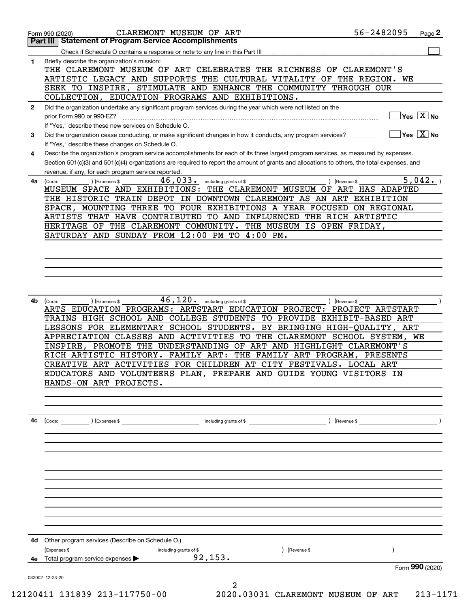|              | CLAREMONT MUSEUM OF ART<br>Form 990 (2020)                                                                                                   | 56-2482095                             | Page 2 |
|--------------|----------------------------------------------------------------------------------------------------------------------------------------------|----------------------------------------|--------|
|              | <b>Statement of Program Service Accomplishments</b><br>Part III                                                                              |                                        |        |
|              | Check if Schedule O contains a response or note to any line in this Part III                                                                 |                                        |        |
| 1            | Briefly describe the organization's mission:<br>THE CLAREMONT MUSEUM OF ART CELEBRATES THE RICHNESS OF CLAREMONT'S                           |                                        |        |
|              | ARTISTIC LEGACY AND SUPPORTS THE CULTURAL VITALITY OF THE REGION.                                                                            | WE                                     |        |
|              | SEEK TO INSPIRE, STIMULATE AND ENHANCE THE COMMUNITY THROUGH OUR                                                                             |                                        |        |
|              | COLLECTION, EDUCATION PROGRAMS AND EXHIBITIONS.                                                                                              |                                        |        |
| $\mathbf{2}$ | Did the organization undertake any significant program services during the year which were not listed on the                                 | Yes $X$ No                             |        |
|              | prior Form 990 or 990-EZ?<br>If "Yes," describe these new services on Schedule O.                                                            |                                        |        |
| 3            | Did the organization cease conducting, or make significant changes in how it conducts, any program services?                                 | $\sqrt{}$ Yes $\sqrt{}$ X $\sqrt{}$ No |        |
|              | If "Yes," describe these changes on Schedule O.                                                                                              |                                        |        |
| 4            | Describe the organization's program service accomplishments for each of its three largest program services, as measured by expenses.         |                                        |        |
|              | Section 501(c)(3) and 501(c)(4) organizations are required to report the amount of grants and allocations to others, the total expenses, and |                                        |        |
|              | revenue, if any, for each program service reported.                                                                                          |                                        |        |
| 4a           | 46,033.<br>including grants of \$<br>(Code:<br>(Expenses \$                                                                                  | 5,042.<br>) (Revenue \$                |        |
|              | MUSEUM SPACE AND EXHIBITIONS: THE CLAREMONT MUSEUM OF ART HAS ADAPTED                                                                        |                                        |        |
|              | THE HISTORIC TRAIN DEPOT IN DOWNTOWN CLAREMONT AS AN ART EXHIBITION                                                                          |                                        |        |
|              | MOUNTING THREE TO FOUR EXHIBITIONS A YEAR FOCUSED ON REGIONAL<br>SPACE,                                                                      |                                        |        |
|              | ARTISTS THAT HAVE CONTRIBUTED TO AND INFLUENCED THE RICH ARTISTIC                                                                            |                                        |        |
|              | HERITAGE OF THE CLAREMONT COMMUNITY.<br>THE MUSEUM IS OPEN FRIDAY,<br>SATURDAY AND SUNDAY FROM 12:00 PM TO 4:00 PM.                          |                                        |        |
|              |                                                                                                                                              |                                        |        |
|              |                                                                                                                                              |                                        |        |
|              |                                                                                                                                              |                                        |        |
|              |                                                                                                                                              |                                        |        |
|              |                                                                                                                                              |                                        |        |
|              |                                                                                                                                              |                                        |        |
| 4b           | $46,120$ $\cdot$ including grants of \$<br>) (Expenses \$<br>(Code:                                                                          | ) (Revenue \$                          |        |
|              | ARTS EDUCATION PROGRAMS: ARTSTART EDUCATION PROJECT: PROJECT ARTSTART                                                                        |                                        |        |
|              | TRAINS HIGH SCHOOL AND COLLEGE STUDENTS TO PROVIDE EXHIBIT-BASED ART                                                                         |                                        |        |
|              | LESSONS FOR ELEMENTARY SCHOOL STUDENTS.                                                                                                      | BY BRINGING HIGH-QUALITY,<br>ART<br>WE |        |
|              | APPRECIATION CLASSES AND ACTIVITIES TO<br>PROMOTE THE UNDERSTANDING OF ART AND HIGHLIGHT CLAREMONT'S<br>INSPIRE,                             | THE CLAREMONT SCHOOL SYSTEM,           |        |
|              | RICH ARTISTIC HISTORY. FAMILY ART:<br>THE FAMILY ART PROGRAM,                                                                                | PRESENTS                               |        |
|              | CREATIVE ART ACTIVITIES FOR CHILDREN AT CITY FESTIVALS. LOCAL ART                                                                            |                                        |        |
|              | EDUCATORS AND VOLUNTEERS PLAN, PREPARE AND GUIDE YOUNG VISITORS IN                                                                           |                                        |        |
|              | HANDS-ON ART PROJECTS.                                                                                                                       |                                        |        |
|              |                                                                                                                                              |                                        |        |
|              |                                                                                                                                              |                                        |        |
|              |                                                                                                                                              |                                        |        |
| 4c           |                                                                                                                                              |                                        |        |
|              |                                                                                                                                              |                                        |        |
|              |                                                                                                                                              |                                        |        |
|              |                                                                                                                                              |                                        |        |
|              |                                                                                                                                              |                                        |        |
|              |                                                                                                                                              |                                        |        |
|              |                                                                                                                                              |                                        |        |
|              |                                                                                                                                              |                                        |        |
|              |                                                                                                                                              |                                        |        |
|              |                                                                                                                                              |                                        |        |
|              |                                                                                                                                              |                                        |        |
|              |                                                                                                                                              |                                        |        |
| 4d           | Other program services (Describe on Schedule O.)                                                                                             |                                        |        |
|              | (Expenses \$<br>including grants of \$<br>) (Revenue \$<br>92, 153.                                                                          |                                        |        |
| 4е           | Total program service expenses $\blacktriangleright$                                                                                         | Form 990 (2020)                        |        |
|              | 032002 12-23-20                                                                                                                              |                                        |        |
|              | 2                                                                                                                                            |                                        |        |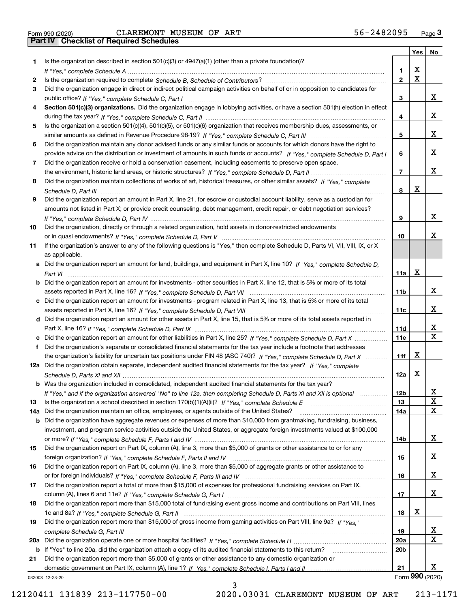|  | Form 990 (2020) |
|--|-----------------|

|     |                                                                                                                                       |                 | <b>Yes</b>              | No           |
|-----|---------------------------------------------------------------------------------------------------------------------------------------|-----------------|-------------------------|--------------|
| 1.  | Is the organization described in section $501(c)(3)$ or $4947(a)(1)$ (other than a private foundation)?                               |                 |                         |              |
|     |                                                                                                                                       | 1.              | X                       |              |
| 2   |                                                                                                                                       | $\overline{2}$  | $\overline{\mathbf{x}}$ |              |
| 3   | Did the organization engage in direct or indirect political campaign activities on behalf of or in opposition to candidates for       |                 |                         |              |
|     |                                                                                                                                       | 3               |                         | x            |
| 4   | Section 501(c)(3) organizations. Did the organization engage in lobbying activities, or have a section 501(h) election in effect      |                 |                         |              |
|     |                                                                                                                                       | 4               |                         | x            |
| 5   | Is the organization a section 501(c)(4), 501(c)(5), or 501(c)(6) organization that receives membership dues, assessments, or          |                 |                         |              |
|     |                                                                                                                                       | 5               |                         | x            |
| 6   | Did the organization maintain any donor advised funds or any similar funds or accounts for which donors have the right to             |                 |                         |              |
|     | provide advice on the distribution or investment of amounts in such funds or accounts? If "Yes," complete Schedule D, Part I          | 6               |                         | x            |
| 7   | Did the organization receive or hold a conservation easement, including easements to preserve open space,                             |                 |                         | x            |
|     |                                                                                                                                       | $\overline{7}$  |                         |              |
| 8   | Did the organization maintain collections of works of art, historical treasures, or other similar assets? If "Yes," complete          |                 | Х                       |              |
|     |                                                                                                                                       | 8               |                         |              |
| 9   | Did the organization report an amount in Part X, line 21, for escrow or custodial account liability, serve as a custodian for         |                 |                         |              |
|     | amounts not listed in Part X; or provide credit counseling, debt management, credit repair, or debt negotiation services?             | 9               |                         | x            |
| 10  | Did the organization, directly or through a related organization, hold assets in donor-restricted endowments                          |                 |                         |              |
|     |                                                                                                                                       | 10              |                         | x.           |
| 11  | If the organization's answer to any of the following questions is "Yes," then complete Schedule D, Parts VI, VII, VIII, IX, or X      |                 |                         |              |
|     | as applicable.                                                                                                                        |                 |                         |              |
|     | a Did the organization report an amount for land, buildings, and equipment in Part X, line 10? If "Yes," complete Schedule D,         |                 |                         |              |
|     |                                                                                                                                       | 11a             | X                       |              |
|     | <b>b</b> Did the organization report an amount for investments - other securities in Part X, line 12, that is 5% or more of its total |                 |                         |              |
|     |                                                                                                                                       | 11 <sub>b</sub> |                         | x            |
|     | c Did the organization report an amount for investments - program related in Part X, line 13, that is 5% or more of its total         |                 |                         |              |
|     |                                                                                                                                       | 11c             |                         | X.           |
|     | d Did the organization report an amount for other assets in Part X, line 15, that is 5% or more of its total assets reported in       |                 |                         |              |
|     |                                                                                                                                       | 11d             |                         | x            |
|     |                                                                                                                                       | 11e             |                         | $\mathbf{X}$ |
| f   | Did the organization's separate or consolidated financial statements for the tax year include a footnote that addresses               |                 |                         |              |
|     | the organization's liability for uncertain tax positions under FIN 48 (ASC 740)? If "Yes," complete Schedule D, Part X                | 11f             | х                       |              |
|     | 12a Did the organization obtain separate, independent audited financial statements for the tax year? If "Yes," complete               |                 |                         |              |
|     |                                                                                                                                       | 12a             | x                       |              |
|     | <b>b</b> Was the organization included in consolidated, independent audited financial statements for the tax year?                    |                 |                         |              |
|     | If "Yes," and if the organization answered "No" to line 12a, then completing Schedule D, Parts XI and XII is optional                 | 12b             |                         | A            |
| 13  |                                                                                                                                       | 13              |                         | $\mathbf X$  |
| 14a | Did the organization maintain an office, employees, or agents outside of the United States?                                           | 14a             |                         | X            |
| b   | Did the organization have aggregate revenues or expenses of more than \$10,000 from grantmaking, fundraising, business,               |                 |                         |              |
|     | investment, and program service activities outside the United States, or aggregate foreign investments valued at \$100,000            |                 |                         |              |
|     |                                                                                                                                       | 14b             |                         | X.           |
| 15  | Did the organization report on Part IX, column (A), line 3, more than \$5,000 of grants or other assistance to or for any             |                 |                         |              |
|     |                                                                                                                                       | 15              |                         | x            |
| 16  | Did the organization report on Part IX, column (A), line 3, more than \$5,000 of aggregate grants or other assistance to              |                 |                         |              |
|     |                                                                                                                                       | 16              |                         | x            |
| 17  | Did the organization report a total of more than \$15,000 of expenses for professional fundraising services on Part IX,               |                 |                         | x            |
|     |                                                                                                                                       | 17              |                         |              |
| 18  | Did the organization report more than \$15,000 total of fundraising event gross income and contributions on Part VIII, lines          | 18              | х                       |              |
| 19  | Did the organization report more than \$15,000 of gross income from gaming activities on Part VIII, line 9a? If "Yes."                |                 |                         |              |
|     |                                                                                                                                       | 19              |                         | X            |
|     |                                                                                                                                       | <b>20a</b>      |                         | Χ            |
|     | b If "Yes" to line 20a, did the organization attach a copy of its audited financial statements to this return?                        | 20 <sub>b</sub> |                         |              |
| 21  | Did the organization report more than \$5,000 of grants or other assistance to any domestic organization or                           |                 |                         |              |
|     |                                                                                                                                       | 21              |                         | X.           |
|     | 032003 12-23-20                                                                                                                       |                 | Form 990 (2020)         |              |

3

032003 12-23-20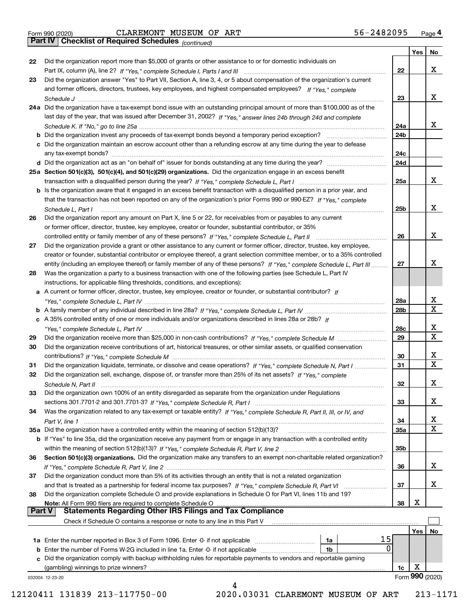|  | Form 990 (2020) |
|--|-----------------|

*(continued)*

|               |                                                                                                                              |                 | Yes | No              |
|---------------|------------------------------------------------------------------------------------------------------------------------------|-----------------|-----|-----------------|
| 22            | Did the organization report more than \$5,000 of grants or other assistance to or for domestic individuals on                |                 |     |                 |
|               |                                                                                                                              | 22              |     | x               |
| 23            | Did the organization answer "Yes" to Part VII, Section A, line 3, 4, or 5 about compensation of the organization's current   |                 |     |                 |
|               | and former officers, directors, trustees, key employees, and highest compensated employees? If "Yes," complete               |                 |     |                 |
|               |                                                                                                                              | 23              |     | x               |
|               | 24a Did the organization have a tax-exempt bond issue with an outstanding principal amount of more than \$100,000 as of the  |                 |     |                 |
|               | last day of the year, that was issued after December 31, 2002? If "Yes," answer lines 24b through 24d and complete           |                 |     |                 |
|               |                                                                                                                              | 24a             |     | x               |
|               | b Did the organization invest any proceeds of tax-exempt bonds beyond a temporary period exception?                          | 24b             |     |                 |
|               | c Did the organization maintain an escrow account other than a refunding escrow at any time during the year to defease       |                 |     |                 |
|               | any tax-exempt bonds?                                                                                                        | 24c             |     |                 |
|               |                                                                                                                              | 24d             |     |                 |
|               | 25a Section 501(c)(3), 501(c)(4), and 501(c)(29) organizations. Did the organization engage in an excess benefit             |                 |     |                 |
|               |                                                                                                                              | 25a             |     | x               |
|               | b Is the organization aware that it engaged in an excess benefit transaction with a disqualified person in a prior year, and |                 |     |                 |
|               | that the transaction has not been reported on any of the organization's prior Forms 990 or 990-EZ? If "Yes," complete        |                 |     |                 |
|               |                                                                                                                              |                 |     | x               |
|               | Schedule L. Part I                                                                                                           | 25b             |     |                 |
| 26            | Did the organization report any amount on Part X, line 5 or 22, for receivables from or payables to any current              |                 |     |                 |
|               | or former officer, director, trustee, key employee, creator or founder, substantial contributor, or 35%                      |                 |     |                 |
|               |                                                                                                                              | 26              |     | x               |
| 27            | Did the organization provide a grant or other assistance to any current or former officer, director, trustee, key employee,  |                 |     |                 |
|               | creator or founder, substantial contributor or employee thereof, a grant selection committee member, or to a 35% controlled  |                 |     |                 |
|               | entity (including an employee thereof) or family member of any of these persons? If "Yes," complete Schedule L, Part III     | 27              |     | x               |
| 28            | Was the organization a party to a business transaction with one of the following parties (see Schedule L, Part IV            |                 |     |                 |
|               | instructions, for applicable filing thresholds, conditions, and exceptions):                                                 |                 |     |                 |
|               | a A current or former officer, director, trustee, key employee, creator or founder, or substantial contributor? If           |                 |     |                 |
|               |                                                                                                                              | 28a             |     | х               |
|               |                                                                                                                              | 28 <sub>b</sub> |     | Χ               |
|               | c A 35% controlled entity of one or more individuals and/or organizations described in lines 28a or 28b? If                  |                 |     |                 |
|               |                                                                                                                              | 28c             |     | x               |
| 29            |                                                                                                                              | 29              |     | $\mathbf X$     |
| 30            | Did the organization receive contributions of art, historical treasures, or other similar assets, or qualified conservation  |                 |     |                 |
|               |                                                                                                                              | 30              |     | x               |
| 31            | Did the organization liquidate, terminate, or dissolve and cease operations? If "Yes," complete Schedule N, Part I           | 31              |     | $\mathbf X$     |
| 32            | Did the organization sell, exchange, dispose of, or transfer more than 25% of its net assets? If "Yes," complete             |                 |     |                 |
|               |                                                                                                                              | 32              |     | х               |
| 33            | Did the organization own 100% of an entity disregarded as separate from the organization under Regulations                   |                 |     |                 |
|               |                                                                                                                              | 33              |     | х               |
| 34            | Was the organization related to any tax-exempt or taxable entity? If "Yes," complete Schedule R, Part II, III, or IV, and    |                 |     |                 |
|               |                                                                                                                              | 34              |     | X               |
|               | 35a Did the organization have a controlled entity within the meaning of section 512(b)(13)?                                  | 35a             |     | х               |
|               | b If "Yes" to line 35a, did the organization receive any payment from or engage in any transaction with a controlled entity  |                 |     |                 |
|               |                                                                                                                              | 35b             |     |                 |
| 36            | Section 501(c)(3) organizations. Did the organization make any transfers to an exempt non-charitable related organization?   |                 |     |                 |
|               |                                                                                                                              | 36              |     | x               |
| 37            | Did the organization conduct more than 5% of its activities through an entity that is not a related organization             |                 |     |                 |
|               |                                                                                                                              | 37              |     | x               |
| 38            | Did the organization complete Schedule O and provide explanations in Schedule O for Part VI, lines 11b and 19?               |                 |     |                 |
|               | Note: All Form 990 filers are required to complete Schedule O                                                                | 38              | х   |                 |
| <b>Part V</b> | <b>Statements Regarding Other IRS Filings and Tax Compliance</b>                                                             |                 |     |                 |
|               | Check if Schedule O contains a response or note to any line in this Part V                                                   |                 |     |                 |
|               |                                                                                                                              |                 | Yes | No              |
|               | 15<br><b>1a</b> Enter the number reported in Box 3 of Form 1096. Enter -0- if not applicable <i>manumumumum</i><br>1a        |                 |     |                 |
|               | 0<br><b>b</b> Enter the number of Forms W-2G included in line 1a. Enter -0- if not applicable <i>manumumumum</i><br>1b       |                 |     |                 |
|               | c Did the organization comply with backup withholding rules for reportable payments to vendors and reportable gaming         |                 |     |                 |
|               | (gambling) winnings to prize winners?                                                                                        | 1c              | х   |                 |
|               | 032004 12-23-20                                                                                                              |                 |     | Form 990 (2020) |
|               |                                                                                                                              |                 |     |                 |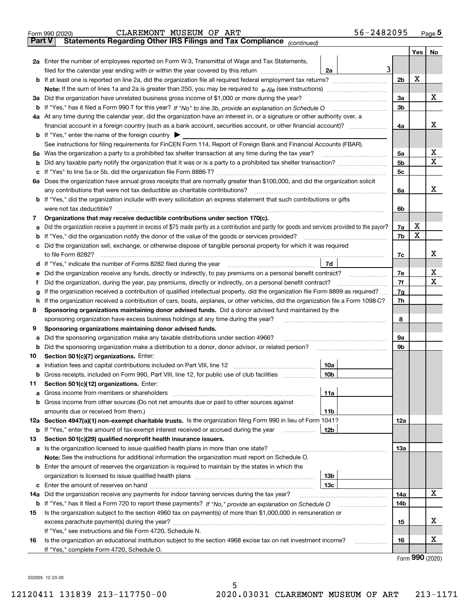|               | 56-2482095<br>CLAREMONT MUSEUM OF ART<br>Form 990 (2020)                                                                                                                                                                             |                |     | <u>Page</u> 5               |
|---------------|--------------------------------------------------------------------------------------------------------------------------------------------------------------------------------------------------------------------------------------|----------------|-----|-----------------------------|
| <b>Part V</b> | Statements Regarding Other IRS Filings and Tax Compliance (continued)                                                                                                                                                                |                |     |                             |
|               |                                                                                                                                                                                                                                      |                | Yes | No                          |
|               | 2a Enter the number of employees reported on Form W-3, Transmittal of Wage and Tax Statements,                                                                                                                                       |                |     |                             |
|               | 3<br>filed for the calendar year ending with or within the year covered by this return <i>manumumumum</i><br>2a                                                                                                                      |                |     |                             |
|               |                                                                                                                                                                                                                                      | 2 <sub>b</sub> | X   |                             |
|               |                                                                                                                                                                                                                                      |                |     |                             |
| За            | Did the organization have unrelated business gross income of \$1,000 or more during the year?                                                                                                                                        | 3a             |     | x                           |
|               |                                                                                                                                                                                                                                      | 3b             |     |                             |
|               | 4a At any time during the calendar year, did the organization have an interest in, or a signature or other authority over, a                                                                                                         |                |     |                             |
|               | financial account in a foreign country (such as a bank account, securities account, or other financial account)?                                                                                                                     | 4a             |     | х                           |
|               | <b>b</b> If "Yes," enter the name of the foreign country $\blacktriangleright$                                                                                                                                                       |                |     |                             |
|               | See instructions for filing requirements for FinCEN Form 114, Report of Foreign Bank and Financial Accounts (FBAR).                                                                                                                  |                |     |                             |
|               |                                                                                                                                                                                                                                      | 5a             |     | х<br>Χ                      |
| b             |                                                                                                                                                                                                                                      | 5b             |     |                             |
| c             |                                                                                                                                                                                                                                      | 5c             |     |                             |
|               | 6a Does the organization have annual gross receipts that are normally greater than \$100,000, and did the organization solicit                                                                                                       |                |     |                             |
|               | any contributions that were not tax deductible as charitable contributions?                                                                                                                                                          | 6a             |     | х                           |
|               | <b>b</b> If "Yes," did the organization include with every solicitation an express statement that such contributions or gifts                                                                                                        |                |     |                             |
|               | were not tax deductible?                                                                                                                                                                                                             | 6b             |     |                             |
| 7             | Organizations that may receive deductible contributions under section 170(c).                                                                                                                                                        |                | х   |                             |
| a             | Did the organization receive a payment in excess of \$75 made partly as a contribution and partly for goods and services provided to the payor?                                                                                      | 7a<br>7b       | X   |                             |
|               | <b>b</b> If "Yes," did the organization notify the donor of the value of the goods or services provided?<br>c Did the organization sell, exchange, or otherwise dispose of tangible personal property for which it was required      |                |     |                             |
|               |                                                                                                                                                                                                                                      | 7с             |     | х                           |
|               | 7d<br>d If "Yes," indicate the number of Forms 8282 filed during the year [11] [11] The Section of Holden and The Year [11] In The Year [11] In The Year [11] In The Year [11] In The Year [11] In The Year [11] In The Year [11] In |                |     |                             |
| е             | Did the organization receive any funds, directly or indirectly, to pay premiums on a personal benefit contract?                                                                                                                      | 7e             |     | х                           |
| f             | Did the organization, during the year, pay premiums, directly or indirectly, on a personal benefit contract?                                                                                                                         | 7f             |     | х                           |
| g             | If the organization received a contribution of qualified intellectual property, did the organization file Form 8899 as required?                                                                                                     | 7g             |     |                             |
| h.            | If the organization received a contribution of cars, boats, airplanes, or other vehicles, did the organization file a Form 1098-C?                                                                                                   | 7h             |     |                             |
| 8             | Sponsoring organizations maintaining donor advised funds. Did a donor advised fund maintained by the                                                                                                                                 |                |     |                             |
|               | sponsoring organization have excess business holdings at any time during the year?                                                                                                                                                   | 8              |     |                             |
| 9             | Sponsoring organizations maintaining donor advised funds.                                                                                                                                                                            |                |     |                             |
| а             | Did the sponsoring organization make any taxable distributions under section 4966?                                                                                                                                                   | 9а             |     |                             |
| b             | Did the sponsoring organization make a distribution to a donor, donor advisor, or related person?                                                                                                                                    | 9b             |     |                             |
| 10            | Section 501(c)(7) organizations. Enter:                                                                                                                                                                                              |                |     |                             |
|               | 10a                                                                                                                                                                                                                                  |                |     |                             |
|               | 10b <br>Gross receipts, included on Form 990, Part VIII, line 12, for public use of club facilities                                                                                                                                  |                |     |                             |
| 11            | Section 501(c)(12) organizations. Enter:                                                                                                                                                                                             |                |     |                             |
| a             | Gross income from members or shareholders<br>11a                                                                                                                                                                                     |                |     |                             |
|               | b Gross income from other sources (Do not net amounts due or paid to other sources against                                                                                                                                           |                |     |                             |
|               | 11b                                                                                                                                                                                                                                  |                |     |                             |
|               | 12a Section 4947(a)(1) non-exempt charitable trusts. Is the organization filing Form 990 in lieu of Form 1041?                                                                                                                       | 12a            |     |                             |
|               | 12b<br><b>b</b> If "Yes," enter the amount of tax-exempt interest received or accrued during the year                                                                                                                                |                |     |                             |
| 13            | Section 501(c)(29) qualified nonprofit health insurance issuers.                                                                                                                                                                     |                |     |                             |
|               | a Is the organization licensed to issue qualified health plans in more than one state?                                                                                                                                               | 13а            |     |                             |
|               | Note: See the instructions for additional information the organization must report on Schedule O.                                                                                                                                    |                |     |                             |
|               | <b>b</b> Enter the amount of reserves the organization is required to maintain by the states in which the                                                                                                                            |                |     |                             |
|               | 13 <sub>b</sub>                                                                                                                                                                                                                      |                |     |                             |
|               | 13с                                                                                                                                                                                                                                  |                |     |                             |
| 14a           | Did the organization receive any payments for indoor tanning services during the tax year?                                                                                                                                           | 14a            |     | x                           |
|               | <b>b</b> If "Yes," has it filed a Form 720 to report these payments? If "No," provide an explanation on Schedule O                                                                                                                   | 14b            |     |                             |
| 15            | Is the organization subject to the section 4960 tax on payment(s) of more than \$1,000,000 in remuneration or                                                                                                                        |                |     |                             |
|               |                                                                                                                                                                                                                                      | 15             |     | X.                          |
|               | If "Yes," see instructions and file Form 4720, Schedule N.                                                                                                                                                                           |                |     |                             |
| 16            | Is the organization an educational institution subject to the section 4968 excise tax on net investment income?                                                                                                                      | 16             |     | х                           |
|               | If "Yes," complete Form 4720, Schedule O.                                                                                                                                                                                            |                |     |                             |
|               |                                                                                                                                                                                                                                      |                |     | $F_{\text{arm}}$ 990 (2020) |

Form (2020) **990**

032005 12-23-20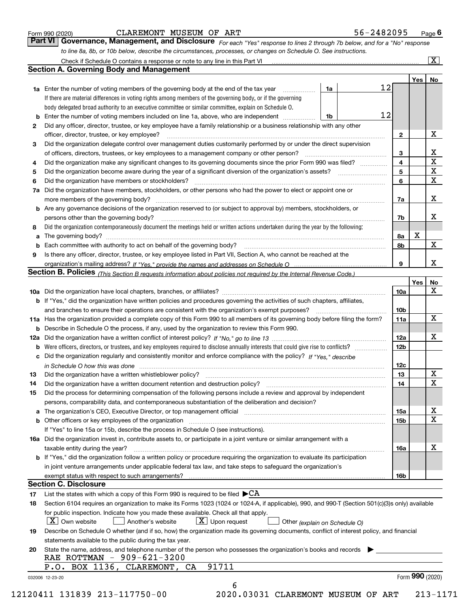|  | Form 990 (2020) |
|--|-----------------|
|  |                 |

## CLAREMONT MUSEUM OF ART 5

| 56-2482095<br>Page I |
|----------------------|
|----------------------|

*For each "Yes" response to lines 2 through 7b below, and for a "No" response to line 8a, 8b, or 10b below, describe the circumstances, processes, or changes on Schedule O. See instructions.* Form 990 (2020) **CLAREMONT MUSEUM OF ART**<br>**Part VI Governance, Management, and Disclosure** For each "Yes" response to lines 2 through 7b below, and for a "No" response

|    |                                                                                                                                                                            |    |    |                 | Yes   No        |                         |
|----|----------------------------------------------------------------------------------------------------------------------------------------------------------------------------|----|----|-----------------|-----------------|-------------------------|
|    | 1a Enter the number of voting members of the governing body at the end of the tax year                                                                                     | 1a | 12 |                 |                 |                         |
|    | If there are material differences in voting rights among members of the governing body, or if the governing                                                                |    |    |                 |                 |                         |
|    | body delegated broad authority to an executive committee or similar committee, explain on Schedule O.                                                                      |    |    |                 |                 |                         |
| b  | Enter the number of voting members included on line 1a, above, who are independent                                                                                         | 1b | 12 |                 |                 |                         |
| 2  | Did any officer, director, trustee, or key employee have a family relationship or a business relationship with any other                                                   |    |    |                 |                 |                         |
|    | officer, director, trustee, or key employee?                                                                                                                               |    |    | $\mathbf{2}$    |                 | Х                       |
| 3  | Did the organization delegate control over management duties customarily performed by or under the direct supervision                                                      |    |    |                 |                 |                         |
|    | of officers, directors, trustees, or key employees to a management company or other person?                                                                                |    |    | 3               |                 | $\underline{x}$         |
| 4  | Did the organization make any significant changes to its governing documents since the prior Form 990 was filed?                                                           |    |    | 4               |                 | $\overline{\textbf{x}}$ |
| 5  |                                                                                                                                                                            |    |    | 5               |                 | $\overline{\textbf{x}}$ |
| 6  | Did the organization have members or stockholders?                                                                                                                         |    |    | 6               |                 | $\overline{\mathbf{x}}$ |
| 7a | Did the organization have members, stockholders, or other persons who had the power to elect or appoint one or                                                             |    |    |                 |                 |                         |
|    |                                                                                                                                                                            |    |    | 7a              |                 | X                       |
|    | b Are any governance decisions of the organization reserved to (or subject to approval by) members, stockholders, or                                                       |    |    |                 |                 |                         |
|    | persons other than the governing body?                                                                                                                                     |    |    | 7b              |                 | X                       |
| 8  | Did the organization contemporaneously document the meetings held or written actions undertaken during the year by the following:                                          |    |    |                 |                 |                         |
| а  |                                                                                                                                                                            |    |    | 8a              | X               |                         |
|    |                                                                                                                                                                            |    |    | 8b              |                 | X                       |
| 9  | Is there any officer, director, trustee, or key employee listed in Part VII, Section A, who cannot be reached at the                                                       |    |    |                 |                 |                         |
|    |                                                                                                                                                                            |    |    | 9               |                 | X                       |
|    | Section B. Policies <i>(This Section B requests information about policies not required by the Internal Revenue Code.)</i>                                                 |    |    |                 |                 |                         |
|    |                                                                                                                                                                            |    |    |                 | Yes             | <b>No</b>               |
|    |                                                                                                                                                                            |    |    | 10a             |                 | X                       |
|    | <b>b</b> If "Yes," did the organization have written policies and procedures governing the activities of such chapters, affiliates,                                        |    |    |                 |                 |                         |
|    |                                                                                                                                                                            |    |    | 10 <sub>b</sub> |                 |                         |
|    | 11a Has the organization provided a complete copy of this Form 990 to all members of its governing body before filing the form?                                            |    |    | 11a             |                 | X                       |
|    | <b>b</b> Describe in Schedule O the process, if any, used by the organization to review this Form 990.                                                                     |    |    |                 |                 |                         |
|    |                                                                                                                                                                            |    |    | 12a             |                 | х                       |
| b  | Were officers, directors, or trustees, and key employees required to disclose annually interests that could give rise to conflicts?                                        |    |    | 12 <sub>b</sub> |                 |                         |
|    | c Did the organization regularly and consistently monitor and enforce compliance with the policy? If "Yes," describe                                                       |    |    |                 |                 |                         |
|    |                                                                                                                                                                            |    |    | 12c             |                 |                         |
| 13 | in Schedule O how this was done <i>manually contained as a contained a serient</i> and the state of the state of the s                                                     |    |    | 13              |                 | X                       |
|    | Did the organization have a written whistleblower policy?<br>manufaction contains and contained a manufacture contained a manufacture and the original contains a manufact |    |    | 14              |                 | $\overline{\mathbf{X}}$ |
| 14 | Did the process for determining compensation of the following persons include a review and approval by independent                                                         |    |    |                 |                 |                         |
| 15 | persons, comparability data, and contemporaneous substantiation of the deliberation and decision?                                                                          |    |    |                 |                 |                         |
|    |                                                                                                                                                                            |    |    |                 |                 | х                       |
|    |                                                                                                                                                                            |    |    | 15a             |                 | $\mathbf X$             |
|    | <b>b</b> Other officers or key employees of the organization with the content of the organization of the organization                                                      |    |    | 15b             |                 |                         |
|    | If "Yes" to line 15a or 15b, describe the process in Schedule O (see instructions).                                                                                        |    |    |                 |                 |                         |
|    | 16a Did the organization invest in, contribute assets to, or participate in a joint venture or similar arrangement with a                                                  |    |    |                 |                 | X                       |
|    | taxable entity during the year?                                                                                                                                            |    |    | 16a             |                 |                         |
|    | b If "Yes," did the organization follow a written policy or procedure requiring the organization to evaluate its participation                                             |    |    |                 |                 |                         |
|    | in joint venture arrangements under applicable federal tax law, and take steps to safeguard the organization's                                                             |    |    |                 |                 |                         |
|    |                                                                                                                                                                            |    |    | 16 <sub>b</sub> |                 |                         |
|    | <b>Section C. Disclosure</b>                                                                                                                                               |    |    |                 |                 |                         |
| 17 | List the states with which a copy of this Form 990 is required to be filed $\blacktriangleright$ CA                                                                        |    |    |                 |                 |                         |
| 18 | Section 6104 requires an organization to make its Forms 1023 (1024 or 1024-A, if applicable), 990, and 990-T (Section 501(c)(3)s only) available                           |    |    |                 |                 |                         |
|    | for public inspection. Indicate how you made these available. Check all that apply.                                                                                        |    |    |                 |                 |                         |
|    | $X$ Upon request<br>$\mid$ $\rm X \mid$ Own website<br>Another's website<br>Other (explain on Schedule O)                                                                  |    |    |                 |                 |                         |
| 19 | Describe on Schedule O whether (and if so, how) the organization made its governing documents, conflict of interest policy, and financial                                  |    |    |                 |                 |                         |
|    | statements available to the public during the tax year.                                                                                                                    |    |    |                 |                 |                         |
| 20 | State the name, address, and telephone number of the person who possesses the organization's books and records                                                             |    |    |                 |                 |                         |
|    | RAE ROTTMAN - 909-621-3200                                                                                                                                                 |    |    |                 |                 |                         |
|    | 91711<br>P.O. BOX 1136, CLAREMONT, CA                                                                                                                                      |    |    |                 |                 |                         |
|    | 032006 12-23-20                                                                                                                                                            |    |    |                 | Form 990 (2020) |                         |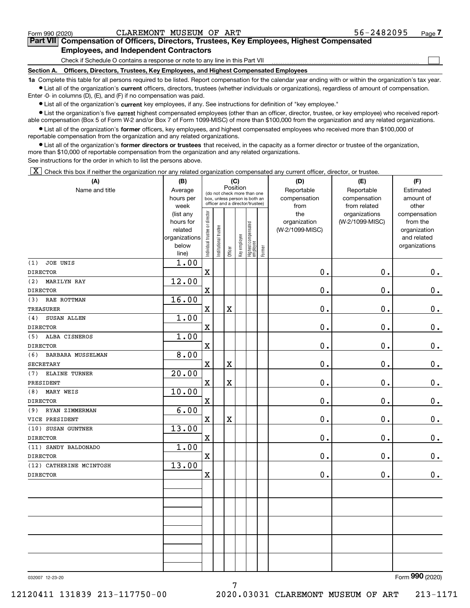$\mathcal{L}^{\text{max}}$ 

# **7Part VII Compensation of Officers, Directors, Trustees, Key Employees, Highest Compensated Employees, and Independent Contractors**

Check if Schedule O contains a response or note to any line in this Part VII

**Section A. Officers, Directors, Trustees, Key Employees, and Highest Compensated Employees**

**1a**  Complete this table for all persons required to be listed. Report compensation for the calendar year ending with or within the organization's tax year. **•** List all of the organization's current officers, directors, trustees (whether individuals or organizations), regardless of amount of compensation.

Enter -0- in columns (D), (E), and (F) if no compensation was paid.

 $\bullet$  List all of the organization's  $\,$ current key employees, if any. See instructions for definition of "key employee."

**•** List the organization's five current highest compensated employees (other than an officer, director, trustee, or key employee) who received reportable compensation (Box 5 of Form W-2 and/or Box 7 of Form 1099-MISC) of more than \$100,000 from the organization and any related organizations.

**•** List all of the organization's former officers, key employees, and highest compensated employees who received more than \$100,000 of reportable compensation from the organization and any related organizations.

**former directors or trustees**  ¥ List all of the organization's that received, in the capacity as a former director or trustee of the organization, more than \$10,000 of reportable compensation from the organization and any related organizations.

See instructions for the order in which to list the persons above.

 $\boxed{\textbf{X}}$  Check this box if neither the organization nor any related organization compensated any current officer, director, or trustee.

| (A)                       | (B)                    |                               |                                                                  |             | (C)          |                                  |           | (D)             | (E)             | (F)                         |
|---------------------------|------------------------|-------------------------------|------------------------------------------------------------------|-------------|--------------|----------------------------------|-----------|-----------------|-----------------|-----------------------------|
| Name and title            | Average                |                               | Position<br>(do not check more than one                          |             | Reportable   | Reportable                       | Estimated |                 |                 |                             |
|                           | hours per              |                               | box, unless person is both an<br>officer and a director/trustee) |             |              |                                  |           | compensation    | compensation    | amount of                   |
|                           | week                   |                               |                                                                  |             |              |                                  |           | from            | from related    | other                       |
|                           | (list any              |                               |                                                                  |             |              |                                  |           | the             | organizations   | compensation                |
|                           | hours for              |                               |                                                                  |             |              |                                  |           | organization    | (W-2/1099-MISC) | from the                    |
|                           | related                |                               |                                                                  |             |              |                                  |           | (W-2/1099-MISC) |                 | organization<br>and related |
|                           | organizations<br>below |                               |                                                                  |             |              |                                  |           |                 |                 | organizations               |
|                           | line)                  | ndividual trustee or director | nstitutional trustee                                             | Officer     | Key employee | Highest compensated<br> employee | Former    |                 |                 |                             |
| JOE UNIS<br>(1)           | 1.00                   |                               |                                                                  |             |              |                                  |           |                 |                 |                             |
| <b>DIRECTOR</b>           |                        | $\mathbf X$                   |                                                                  |             |              |                                  |           | $\mathbf 0$ .   | 0.              | $\mathbf 0$ .               |
| <b>MARILYN RAY</b><br>(2) | 12.00                  |                               |                                                                  |             |              |                                  |           |                 |                 |                             |
| <b>DIRECTOR</b>           |                        | $\mathbf X$                   |                                                                  |             |              |                                  |           | 0.              | 0.              | 0.                          |
| RAE ROTTMAN<br>(3)        | 16.00                  |                               |                                                                  |             |              |                                  |           |                 |                 |                             |
| <b>TREASURER</b>          |                        | $\mathbf X$                   |                                                                  | $\mathbf X$ |              |                                  |           | $\mathbf 0$ .   | 0.              | $0$ .                       |
| (4)<br>SUSAN ALLEN        | 1.00                   |                               |                                                                  |             |              |                                  |           |                 |                 |                             |
| <b>DIRECTOR</b>           |                        | $\mathbf X$                   |                                                                  |             |              |                                  |           | 0.              | 0.              | $\mathbf 0$ .               |
| ALBA CISNEROS<br>(5)      | 1.00                   |                               |                                                                  |             |              |                                  |           |                 |                 |                             |
| <b>DIRECTOR</b>           |                        | $\mathbf X$                   |                                                                  |             |              |                                  |           | 0.              | 0.              | $\mathbf 0$ .               |
| (6)<br>BARBARA MUSSELMAN  | 8.00                   |                               |                                                                  |             |              |                                  |           |                 |                 |                             |
| <b>SECRETARY</b>          |                        | $\mathbf X$                   |                                                                  | $\mathbf X$ |              |                                  |           | 0.              | 0.              | $\mathbf 0$ .               |
| ELAINE TURNER<br>(7)      | 20.00                  |                               |                                                                  |             |              |                                  |           |                 |                 |                             |
| PRESIDENT                 |                        | $\mathbf X$                   |                                                                  | $\mathbf x$ |              |                                  |           | 0.              | 0.              | $\mathbf 0$ .               |
| MARY WEIS<br>(8)          | 10.00                  |                               |                                                                  |             |              |                                  |           |                 |                 |                             |
| <b>DIRECTOR</b>           |                        | $\mathbf X$                   |                                                                  |             |              |                                  |           | 0.              | 0.              | 0.                          |
| RYAN ZIMMERMAN<br>(9)     | 6.00                   |                               |                                                                  |             |              |                                  |           |                 |                 |                             |
| VICE PRESIDENT            |                        | $\mathbf X$                   |                                                                  | $\mathbf x$ |              |                                  |           | $\mathbf 0$ .   | 0.              | $\mathbf 0$ .               |
| (10) SUSAN GUNTNER        | 13.00                  |                               |                                                                  |             |              |                                  |           |                 |                 |                             |
| <b>DIRECTOR</b>           |                        | $\mathbf X$                   |                                                                  |             |              |                                  |           | $\mathbf 0$ .   | 0.              | 0.                          |
| (11) SANDY BALDONADO      | 1.00                   |                               |                                                                  |             |              |                                  |           |                 |                 |                             |
| <b>DIRECTOR</b>           |                        | $\mathbf x$                   |                                                                  |             |              |                                  |           | 0.              | 0.              | $\mathbf 0$ .               |
| (12) CATHERINE MCINTOSH   | 13.00                  |                               |                                                                  |             |              |                                  |           |                 |                 |                             |
| <b>DIRECTOR</b>           |                        | $\mathbf X$                   |                                                                  |             |              |                                  |           | 0.              | 0.              | 0.                          |
|                           |                        |                               |                                                                  |             |              |                                  |           |                 |                 |                             |
|                           |                        |                               |                                                                  |             |              |                                  |           |                 |                 |                             |
|                           |                        |                               |                                                                  |             |              |                                  |           |                 |                 |                             |
|                           |                        |                               |                                                                  |             |              |                                  |           |                 |                 |                             |
|                           |                        |                               |                                                                  |             |              |                                  |           |                 |                 |                             |
|                           |                        |                               |                                                                  |             |              |                                  |           |                 |                 |                             |
|                           |                        |                               |                                                                  |             |              |                                  |           |                 |                 |                             |
|                           |                        |                               |                                                                  |             |              |                                  |           |                 |                 |                             |
|                           |                        |                               |                                                                  |             |              |                                  |           |                 |                 |                             |
|                           |                        |                               |                                                                  |             |              |                                  |           |                 |                 |                             |

7

032007 12-23-20

Form (2020) **990**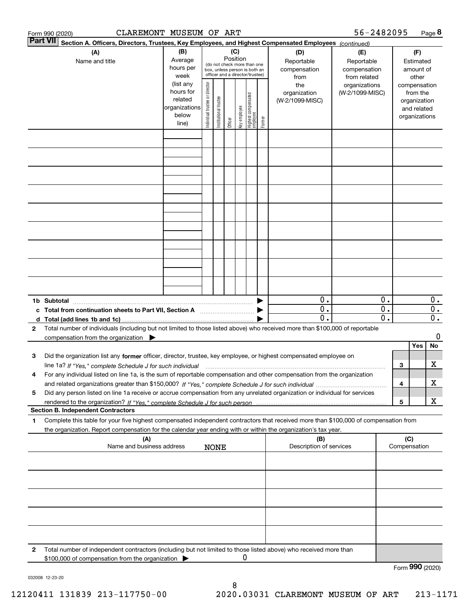|   | CLAREMONT MUSEUM OF ART<br>Form 990 (2020)                                                                                                                          |                                                                      |                                |                                                                                                                    |         |              |                                   |        |                                           | 56-2482095                                        |                                                 |     |                                                                          | Page 8                                        |
|---|---------------------------------------------------------------------------------------------------------------------------------------------------------------------|----------------------------------------------------------------------|--------------------------------|--------------------------------------------------------------------------------------------------------------------|---------|--------------|-----------------------------------|--------|-------------------------------------------|---------------------------------------------------|-------------------------------------------------|-----|--------------------------------------------------------------------------|-----------------------------------------------|
|   | <b>Part VII</b><br>Section A. Officers, Directors, Trustees, Key Employees, and Highest Compensated Employees (continued)                                           |                                                                      |                                |                                                                                                                    |         |              |                                   |        |                                           |                                                   |                                                 |     |                                                                          |                                               |
|   | (B)<br>(A)<br>Average<br>Name and title<br>hours per<br>week                                                                                                        |                                                                      |                                | (C)<br>Position<br>(do not check more than one<br>box, unless person is both an<br>officer and a director/trustee) |         |              |                                   |        | (D)<br>Reportable<br>compensation<br>from | (E)<br>Reportable<br>compensation<br>from related |                                                 |     | (F)<br>Estimated<br>amount of<br>other                                   |                                               |
|   |                                                                                                                                                                     | (list any<br>hours for<br>related<br>organizations<br>below<br>line) | Individual trustee or director | Institutional trustee                                                                                              | Officer | key employee | Highest compensated<br>  employee | Former | the<br>organization<br>(W-2/1099-MISC)    | organizations<br>(W-2/1099-MISC)                  |                                                 |     | compensation<br>from the<br>organization<br>and related<br>organizations |                                               |
|   |                                                                                                                                                                     |                                                                      |                                |                                                                                                                    |         |              |                                   |        |                                           |                                                   |                                                 |     |                                                                          |                                               |
|   |                                                                                                                                                                     |                                                                      |                                |                                                                                                                    |         |              |                                   |        |                                           |                                                   |                                                 |     |                                                                          |                                               |
|   |                                                                                                                                                                     |                                                                      |                                |                                                                                                                    |         |              |                                   |        |                                           |                                                   |                                                 |     |                                                                          |                                               |
|   |                                                                                                                                                                     |                                                                      |                                |                                                                                                                    |         |              |                                   |        |                                           |                                                   |                                                 |     |                                                                          |                                               |
|   |                                                                                                                                                                     |                                                                      |                                |                                                                                                                    |         |              |                                   |        |                                           |                                                   |                                                 |     |                                                                          |                                               |
|   |                                                                                                                                                                     |                                                                      |                                |                                                                                                                    |         |              |                                   |        |                                           |                                                   |                                                 |     |                                                                          |                                               |
|   |                                                                                                                                                                     |                                                                      |                                |                                                                                                                    |         |              |                                   |        |                                           |                                                   |                                                 |     |                                                                          |                                               |
|   |                                                                                                                                                                     |                                                                      |                                |                                                                                                                    |         |              |                                   |        |                                           |                                                   |                                                 |     |                                                                          |                                               |
|   |                                                                                                                                                                     |                                                                      |                                |                                                                                                                    |         |              |                                   |        |                                           |                                                   |                                                 |     |                                                                          |                                               |
|   | 1b Subtotal                                                                                                                                                         |                                                                      |                                |                                                                                                                    |         |              |                                   |        | 0.                                        |                                                   | 0.                                              |     |                                                                          | $0$ .                                         |
|   | c Total from continuation sheets to Part VII, Section A                                                                                                             |                                                                      |                                |                                                                                                                    |         |              |                                   |        | $\mathbf{0}$ .<br>$\overline{0}$ .        |                                                   | $\overline{0}$ .<br>$\overline{\mathfrak{0}}$ . |     |                                                                          | $\overline{0}$ .<br>$\overline{\mathbf{0}}$ . |
| 2 | Total number of individuals (including but not limited to those listed above) who received more than \$100,000 of reportable                                        |                                                                      |                                |                                                                                                                    |         |              |                                   |        |                                           |                                                   |                                                 |     |                                                                          | 0                                             |
|   | compensation from the organization $\blacktriangleright$                                                                                                            |                                                                      |                                |                                                                                                                    |         |              |                                   |        |                                           |                                                   |                                                 |     | Yes                                                                      | No                                            |
| з | Did the organization list any former officer, director, trustee, key employee, or highest compensated employee on                                                   |                                                                      |                                |                                                                                                                    |         |              |                                   |        |                                           |                                                   |                                                 |     |                                                                          |                                               |
|   | line 1a? If "Yes," complete Schedule J for such individual manufactured contained and the 1a? If "Yes," complete Schedule J for such individual                     |                                                                      |                                |                                                                                                                    |         |              |                                   |        |                                           |                                                   |                                                 | 3   |                                                                          | х                                             |
| 4 | For any individual listed on line 1a, is the sum of reportable compensation and other compensation from the organization                                            |                                                                      |                                |                                                                                                                    |         |              |                                   |        |                                           |                                                   |                                                 | 4   |                                                                          | х                                             |
| 5 | Did any person listed on line 1a receive or accrue compensation from any unrelated organization or individual for services                                          |                                                                      |                                |                                                                                                                    |         |              |                                   |        |                                           |                                                   |                                                 |     |                                                                          |                                               |
|   | <b>Section B. Independent Contractors</b>                                                                                                                           |                                                                      |                                |                                                                                                                    |         |              |                                   |        |                                           |                                                   |                                                 | 5   |                                                                          | X                                             |
| 1 | Complete this table for your five highest compensated independent contractors that received more than \$100,000 of compensation from                                |                                                                      |                                |                                                                                                                    |         |              |                                   |        |                                           |                                                   |                                                 |     |                                                                          |                                               |
|   | the organization. Report compensation for the calendar year ending with or within the organization's tax year.<br>(A)                                               |                                                                      |                                |                                                                                                                    |         |              |                                   |        | (B)                                       |                                                   |                                                 | (C) |                                                                          |                                               |
|   | Name and business address                                                                                                                                           |                                                                      |                                | <b>NONE</b>                                                                                                        |         |              |                                   |        | Description of services                   |                                                   |                                                 |     | Compensation                                                             |                                               |
|   |                                                                                                                                                                     |                                                                      |                                |                                                                                                                    |         |              |                                   |        |                                           |                                                   |                                                 |     |                                                                          |                                               |
|   |                                                                                                                                                                     |                                                                      |                                |                                                                                                                    |         |              |                                   |        |                                           |                                                   |                                                 |     |                                                                          |                                               |
|   |                                                                                                                                                                     |                                                                      |                                |                                                                                                                    |         |              |                                   |        |                                           |                                                   |                                                 |     |                                                                          |                                               |
|   |                                                                                                                                                                     |                                                                      |                                |                                                                                                                    |         |              |                                   |        |                                           |                                                   |                                                 |     |                                                                          |                                               |
|   |                                                                                                                                                                     |                                                                      |                                |                                                                                                                    |         |              |                                   |        |                                           |                                                   |                                                 |     |                                                                          |                                               |
| 2 | Total number of independent contractors (including but not limited to those listed above) who received more than<br>\$100,000 of compensation from the organization |                                                                      |                                |                                                                                                                    |         | 0            |                                   |        |                                           |                                                   |                                                 |     |                                                                          |                                               |
|   |                                                                                                                                                                     |                                                                      |                                |                                                                                                                    |         |              |                                   |        |                                           |                                                   |                                                 |     | Form 990 (2020)                                                          |                                               |

032008 12-23-20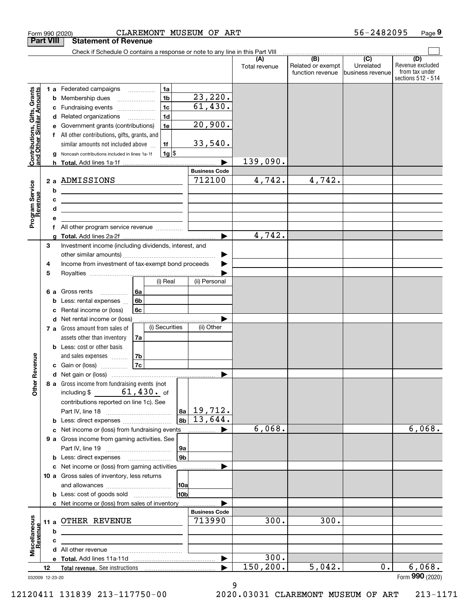|                                                           | Form 990 (2020)  | CLAREMONT MUSEUM OF ART                                                                                                                    |                      |                                                     | 56-2482095                    | Page 9                                                          |
|-----------------------------------------------------------|------------------|--------------------------------------------------------------------------------------------------------------------------------------------|----------------------|-----------------------------------------------------|-------------------------------|-----------------------------------------------------------------|
|                                                           | <b>Part VIII</b> | <b>Statement of Revenue</b>                                                                                                                |                      |                                                     |                               |                                                                 |
|                                                           |                  | Check if Schedule O contains a response or note to any line in this Part VIII                                                              |                      | $\overline{(\mathsf{B})}$ $\overline{(\mathsf{C})}$ |                               |                                                                 |
|                                                           |                  |                                                                                                                                            | (A)<br>Total revenue | Related or exempt<br>function revenue               | Unrelated<br>business revenue | (D)<br>Revenue excluded<br>from tax under<br>sections 512 - 514 |
|                                                           |                  | 1a<br><b>1 a</b> Federated campaigns<br>.<br>23,220.<br>1 <sub>b</sub><br><b>b</b> Membership dues<br>$\ldots \ldots \ldots \ldots \ldots$ |                      |                                                     |                               |                                                                 |
|                                                           |                  | 61,430.<br>1 <sub>c</sub><br>c Fundraising events<br>1 <sub>d</sub><br>d Related organizations                                             |                      |                                                     |                               |                                                                 |
| Contributions, Gifts, Grants<br>and Other Similar Amounts | е<br>f           | 20,900.<br>1e<br>Government grants (contributions)<br>All other contributions, gifts, grants, and                                          |                      |                                                     |                               |                                                                 |
|                                                           | a                | 33,540.<br>1f<br>similar amounts not included above<br>$1g$ \$<br>Noncash contributions included in lines 1a-1f                            |                      |                                                     |                               |                                                                 |
|                                                           |                  |                                                                                                                                            | 139,090.             |                                                     |                               |                                                                 |
|                                                           |                  | <b>Business Code</b>                                                                                                                       |                      |                                                     |                               |                                                                 |
|                                                           | b                | 712100<br>2 a ADMISSIONS<br><u> 1989 - Johann Barn, fransk politik amerikansk politik (</u>                                                | 4,742.               | 4,742.                                              |                               |                                                                 |
| Program Service<br>Revenue                                | c<br>d           |                                                                                                                                            |                      |                                                     |                               |                                                                 |
|                                                           | е                | <u> 1989 - Johann Barn, mars ann an t-Amhain ann an t-Amhain an t-Amhain an t-Amhain an t-Amhain an t-Amhain an t-</u>                     |                      |                                                     |                               |                                                                 |
|                                                           |                  | f All other program service revenue                                                                                                        |                      |                                                     |                               |                                                                 |
|                                                           | 3                | Investment income (including dividends, interest, and                                                                                      | 4,742.               |                                                     |                               |                                                                 |
|                                                           |                  |                                                                                                                                            |                      |                                                     |                               |                                                                 |
|                                                           | 4                | Income from investment of tax-exempt bond proceeds                                                                                         |                      |                                                     |                               |                                                                 |
|                                                           | 5                | (i) Real<br>(ii) Personal                                                                                                                  |                      |                                                     |                               |                                                                 |
|                                                           |                  | 6a<br>6 a Gross rents                                                                                                                      |                      |                                                     |                               |                                                                 |
|                                                           |                  | 6b<br><b>b</b> Less: rental expenses                                                                                                       |                      |                                                     |                               |                                                                 |
|                                                           | c                | 6c<br>Rental income or (loss)                                                                                                              |                      |                                                     |                               |                                                                 |
|                                                           |                  | d Net rental income or (loss)<br>(i) Securities<br>(ii) Other<br>7 a Gross amount from sales of                                            |                      |                                                     |                               |                                                                 |
|                                                           |                  | assets other than inventory<br>7a                                                                                                          |                      |                                                     |                               |                                                                 |
|                                                           |                  | <b>b</b> Less: cost or other basis                                                                                                         |                      |                                                     |                               |                                                                 |
| evenue                                                    |                  | 7b<br>and sales expenses<br>7c<br>c Gain or (loss)                                                                                         |                      |                                                     |                               |                                                                 |
|                                                           |                  |                                                                                                                                            |                      |                                                     |                               |                                                                 |
| Other R                                                   |                  | 8 a Gross income from fundraising events (not<br>including $$61,430.$ of                                                                   |                      |                                                     |                               |                                                                 |
|                                                           |                  | contributions reported on line 1c). See<br>19,712.<br> 8a                                                                                  |                      |                                                     |                               |                                                                 |
|                                                           |                  | $13,644$ .<br>8b<br><b>b</b> Less: direct expenses <i></i>                                                                                 |                      |                                                     |                               |                                                                 |
|                                                           |                  | c Net income or (loss) from fundraising events                                                                                             | 6,068.               |                                                     |                               | 6,068.                                                          |
|                                                           |                  | 9 a Gross income from gaming activities. See                                                                                               |                      |                                                     |                               |                                                                 |
|                                                           |                  | 9a<br>9 <sub>b</sub><br><b>b</b> Less: direct expenses <b>manually</b>                                                                     |                      |                                                     |                               |                                                                 |
|                                                           |                  | c Net income or (loss) from gaming activities<br>.                                                                                         |                      |                                                     |                               |                                                                 |
|                                                           |                  | 10 a Gross sales of inventory, less returns                                                                                                |                      |                                                     |                               |                                                                 |
|                                                           |                  | <b>10a</b><br>10b<br><b>b</b> Less: cost of goods sold                                                                                     |                      |                                                     |                               |                                                                 |
|                                                           |                  | c Net income or (loss) from sales of inventory                                                                                             |                      |                                                     |                               |                                                                 |
|                                                           |                  | <b>Business Code</b>                                                                                                                       |                      |                                                     |                               |                                                                 |
| Miscellaneous                                             |                  | 713990<br>11 a OTHER REVENUE                                                                                                               | 300.                 | 300.                                                |                               |                                                                 |
| <u>Revenue</u>                                            | b                |                                                                                                                                            |                      |                                                     |                               |                                                                 |
|                                                           | c                | the contract of the contract of the contract of the contract of the contract of                                                            |                      |                                                     |                               |                                                                 |
|                                                           |                  |                                                                                                                                            | 300.                 |                                                     |                               |                                                                 |
|                                                           | 12               |                                                                                                                                            | 150, 200.            | 5,042.                                              | 0.                            | 6,068.                                                          |
|                                                           | 032009 12-23-20  |                                                                                                                                            |                      |                                                     |                               | Form 990 (2020)                                                 |

9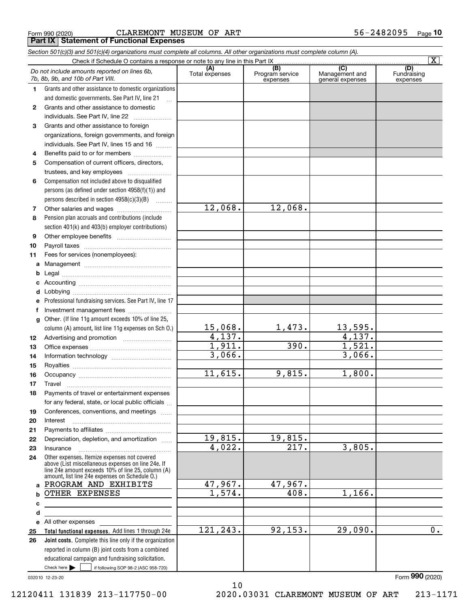|  | Form 990 (2020) |  |
|--|-----------------|--|
|  |                 |  |

Form 990 (2020) C ${\rm LAREMONT}$   ${\rm MUSEUM}$  O ${\rm F}$  ART 56-2482095 <sub>Page</sub> **Part IX Statement of Functional Expenses**

| Section 501(c)(3) and 501(c)(4) organizations must complete all columns. All other organizations must complete column (A). |                                                                                                                                                                                                            |                       |                                                 |                                           |                                |  |  |  |  |  |
|----------------------------------------------------------------------------------------------------------------------------|------------------------------------------------------------------------------------------------------------------------------------------------------------------------------------------------------------|-----------------------|-------------------------------------------------|-------------------------------------------|--------------------------------|--|--|--|--|--|
|                                                                                                                            | $\overline{\mathbf{X}}$<br>Check if Schedule O contains a response or note to any line in this Part IX                                                                                                     |                       |                                                 |                                           |                                |  |  |  |  |  |
|                                                                                                                            | Do not include amounts reported on lines 6b,<br>7b, 8b, 9b, and 10b of Part VIII.                                                                                                                          | (A)<br>Total expenses | $\overline{(B)}$<br>Program service<br>expenses | (C)<br>Management and<br>general expenses | (D)<br>Fundraising<br>expenses |  |  |  |  |  |
| $\mathbf{1}$                                                                                                               | Grants and other assistance to domestic organizations                                                                                                                                                      |                       |                                                 |                                           |                                |  |  |  |  |  |
|                                                                                                                            | and domestic governments. See Part IV, line 21                                                                                                                                                             |                       |                                                 |                                           |                                |  |  |  |  |  |
| $\mathbf{2}$                                                                                                               | Grants and other assistance to domestic                                                                                                                                                                    |                       |                                                 |                                           |                                |  |  |  |  |  |
|                                                                                                                            | individuals. See Part IV, line 22                                                                                                                                                                          |                       |                                                 |                                           |                                |  |  |  |  |  |
| 3                                                                                                                          | Grants and other assistance to foreign                                                                                                                                                                     |                       |                                                 |                                           |                                |  |  |  |  |  |
|                                                                                                                            | organizations, foreign governments, and foreign                                                                                                                                                            |                       |                                                 |                                           |                                |  |  |  |  |  |
|                                                                                                                            | individuals. See Part IV, lines 15 and 16                                                                                                                                                                  |                       |                                                 |                                           |                                |  |  |  |  |  |
| 4                                                                                                                          | Benefits paid to or for members                                                                                                                                                                            |                       |                                                 |                                           |                                |  |  |  |  |  |
| 5                                                                                                                          | Compensation of current officers, directors,                                                                                                                                                               |                       |                                                 |                                           |                                |  |  |  |  |  |
|                                                                                                                            | trustees, and key employees                                                                                                                                                                                |                       |                                                 |                                           |                                |  |  |  |  |  |
| 6                                                                                                                          | Compensation not included above to disqualified                                                                                                                                                            |                       |                                                 |                                           |                                |  |  |  |  |  |
|                                                                                                                            | persons (as defined under section 4958(f)(1)) and                                                                                                                                                          |                       |                                                 |                                           |                                |  |  |  |  |  |
|                                                                                                                            | persons described in section 4958(c)(3)(B)                                                                                                                                                                 |                       |                                                 |                                           |                                |  |  |  |  |  |
| 7                                                                                                                          |                                                                                                                                                                                                            | 12,068.               | 12,068.                                         |                                           |                                |  |  |  |  |  |
| 8                                                                                                                          | Pension plan accruals and contributions (include                                                                                                                                                           |                       |                                                 |                                           |                                |  |  |  |  |  |
|                                                                                                                            | section 401(k) and 403(b) employer contributions)                                                                                                                                                          |                       |                                                 |                                           |                                |  |  |  |  |  |
| 9                                                                                                                          |                                                                                                                                                                                                            |                       |                                                 |                                           |                                |  |  |  |  |  |
| 10                                                                                                                         |                                                                                                                                                                                                            |                       |                                                 |                                           |                                |  |  |  |  |  |
| 11                                                                                                                         | Fees for services (nonemployees):                                                                                                                                                                          |                       |                                                 |                                           |                                |  |  |  |  |  |
| a                                                                                                                          |                                                                                                                                                                                                            |                       |                                                 |                                           |                                |  |  |  |  |  |
| b                                                                                                                          |                                                                                                                                                                                                            |                       |                                                 |                                           |                                |  |  |  |  |  |
| с                                                                                                                          |                                                                                                                                                                                                            |                       |                                                 |                                           |                                |  |  |  |  |  |
| d                                                                                                                          |                                                                                                                                                                                                            |                       |                                                 |                                           |                                |  |  |  |  |  |
|                                                                                                                            | Professional fundraising services. See Part IV, line 17                                                                                                                                                    |                       |                                                 |                                           |                                |  |  |  |  |  |
|                                                                                                                            | Investment management fees                                                                                                                                                                                 |                       |                                                 |                                           |                                |  |  |  |  |  |
| g                                                                                                                          | Other. (If line 11g amount exceeds 10% of line 25,                                                                                                                                                         | 15,068.               | 1,473.                                          | 13,595.                                   |                                |  |  |  |  |  |
|                                                                                                                            | column (A) amount, list line 11g expenses on Sch 0.)                                                                                                                                                       | 4,137.                |                                                 | 4,137.                                    |                                |  |  |  |  |  |
| 12<br>13                                                                                                                   |                                                                                                                                                                                                            | 1,911.                | 390.                                            | 1,521.                                    |                                |  |  |  |  |  |
| 14                                                                                                                         |                                                                                                                                                                                                            | 3,066.                |                                                 | 3,066.                                    |                                |  |  |  |  |  |
| 15                                                                                                                         |                                                                                                                                                                                                            |                       |                                                 |                                           |                                |  |  |  |  |  |
| 16                                                                                                                         |                                                                                                                                                                                                            | 11,615.               | 9,815.                                          | 1,800.                                    |                                |  |  |  |  |  |
| 17                                                                                                                         |                                                                                                                                                                                                            |                       |                                                 |                                           |                                |  |  |  |  |  |
| 18                                                                                                                         | Payments of travel or entertainment expenses                                                                                                                                                               |                       |                                                 |                                           |                                |  |  |  |  |  |
|                                                                                                                            | for any federal, state, or local public officials                                                                                                                                                          |                       |                                                 |                                           |                                |  |  |  |  |  |
| 19                                                                                                                         | Conferences, conventions, and meetings                                                                                                                                                                     |                       |                                                 |                                           |                                |  |  |  |  |  |
| 20                                                                                                                         | Interest                                                                                                                                                                                                   |                       |                                                 |                                           |                                |  |  |  |  |  |
| 21                                                                                                                         |                                                                                                                                                                                                            |                       |                                                 |                                           |                                |  |  |  |  |  |
| 22                                                                                                                         | Depreciation, depletion, and amortization                                                                                                                                                                  | 19,815.               | 19,815.                                         |                                           |                                |  |  |  |  |  |
| 23                                                                                                                         | Insurance                                                                                                                                                                                                  | 4,022.                | 217.                                            | 3,805.                                    |                                |  |  |  |  |  |
| 24                                                                                                                         | Other expenses. Itemize expenses not covered<br>above (List miscellaneous expenses on line 24e. If<br>line 24e amount exceeds 10% of line 25, column (A)<br>amount, list line 24e expenses on Schedule O.) |                       |                                                 |                                           |                                |  |  |  |  |  |
| a                                                                                                                          | PROGRAM AND EXHIBITS                                                                                                                                                                                       | 47,967.               | 47,967.                                         |                                           |                                |  |  |  |  |  |
| b                                                                                                                          | OTHER EXPENSES                                                                                                                                                                                             | 1,574.                | 408.                                            | 1,166.                                    |                                |  |  |  |  |  |
| с                                                                                                                          |                                                                                                                                                                                                            |                       |                                                 |                                           |                                |  |  |  |  |  |
| d                                                                                                                          |                                                                                                                                                                                                            |                       |                                                 |                                           |                                |  |  |  |  |  |
| е                                                                                                                          | All other expenses and the state of the state of the state of the state of the state of the state of the state                                                                                             |                       |                                                 |                                           |                                |  |  |  |  |  |
| 25                                                                                                                         | Total functional expenses. Add lines 1 through 24e                                                                                                                                                         | 121, 243.             | 92, 153.                                        | 29,090.                                   | 0.                             |  |  |  |  |  |
| 26                                                                                                                         | Joint costs. Complete this line only if the organization                                                                                                                                                   |                       |                                                 |                                           |                                |  |  |  |  |  |
|                                                                                                                            | reported in column (B) joint costs from a combined                                                                                                                                                         |                       |                                                 |                                           |                                |  |  |  |  |  |
|                                                                                                                            | educational campaign and fundraising solicitation.                                                                                                                                                         |                       |                                                 |                                           |                                |  |  |  |  |  |
|                                                                                                                            | Check here $\blacktriangleright$<br>if following SOP 98-2 (ASC 958-720)                                                                                                                                    |                       |                                                 |                                           |                                |  |  |  |  |  |

032010 12-23-20

Form (2020) **990**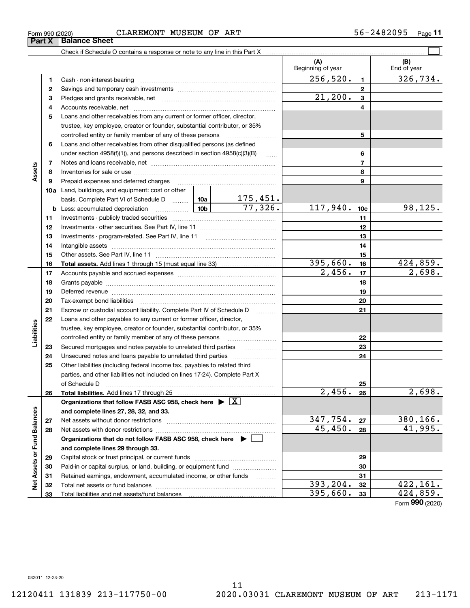Form (2020) **990**

Check if Schedule O contains a response or note to any line in this Part X

|                             |    |                                                                                                                    |                      |          | (A)<br>Beginning of year |                 | (B)<br>End of year |
|-----------------------------|----|--------------------------------------------------------------------------------------------------------------------|----------------------|----------|--------------------------|-----------------|--------------------|
|                             | 1  |                                                                                                                    |                      |          | 256,520.                 | $\mathbf{1}$    | 326,734.           |
|                             | 2  |                                                                                                                    |                      |          |                          | $\mathbf{2}$    |                    |
|                             | 3  |                                                                                                                    |                      |          | 21,200.                  | 3               |                    |
|                             | 4  |                                                                                                                    |                      |          |                          | 4               |                    |
|                             | 5  | Loans and other receivables from any current or former officer, director,                                          |                      |          |                          |                 |                    |
|                             |    | trustee, key employee, creator or founder, substantial contributor, or 35%                                         |                      |          |                          |                 |                    |
|                             |    | controlled entity or family member of any of these persons                                                         |                      |          |                          | 5               |                    |
|                             | 6  | Loans and other receivables from other disqualified persons (as defined                                            |                      |          |                          |                 |                    |
|                             |    | under section $4958(f)(1)$ , and persons described in section $4958(c)(3)(B)$                                      |                      | $\ldots$ |                          | 6               |                    |
|                             | 7  |                                                                                                                    |                      |          |                          | $\overline{7}$  |                    |
| Assets                      | 8  |                                                                                                                    |                      |          |                          | 8               |                    |
|                             | 9  | Prepaid expenses and deferred charges                                                                              |                      |          |                          | 9               |                    |
|                             |    | <b>10a</b> Land, buildings, and equipment: cost or other                                                           |                      |          |                          |                 |                    |
|                             |    |                                                                                                                    |                      |          |                          |                 |                    |
|                             |    | basis. Complete Part VI of Schedule D  10a 175, 451.<br>$\frac{1}{10b}$<br><b>b</b> Less: accumulated depreciation |                      |          | 117,940.                 | 10 <sub>c</sub> | 98,125.            |
|                             | 11 |                                                                                                                    |                      |          |                          | 11              |                    |
|                             | 12 |                                                                                                                    |                      |          |                          | 12              |                    |
|                             | 13 | Investments - program-related. See Part IV, line 11                                                                |                      |          |                          | 13              |                    |
|                             | 14 |                                                                                                                    |                      |          |                          | 14              |                    |
|                             | 15 |                                                                                                                    |                      | 15       |                          |                 |                    |
|                             | 16 |                                                                                                                    |                      |          | 395,660.                 | 16              | 424,859.           |
|                             | 17 |                                                                                                                    | $\overline{2,456}$ . | 17       | 2,698.                   |                 |                    |
|                             | 18 |                                                                                                                    |                      | 18       |                          |                 |                    |
|                             | 19 |                                                                                                                    |                      | 19       |                          |                 |                    |
|                             | 20 |                                                                                                                    |                      |          |                          | 20              |                    |
|                             | 21 | Escrow or custodial account liability. Complete Part IV of Schedule D                                              |                      |          |                          | 21              |                    |
|                             | 22 | Loans and other payables to any current or former officer, director,                                               |                      |          |                          |                 |                    |
| Liabilities                 |    | trustee, key employee, creator or founder, substantial contributor, or 35%                                         |                      |          |                          |                 |                    |
|                             |    | controlled entity or family member of any of these persons                                                         |                      |          |                          | 22              |                    |
|                             | 23 | Secured mortgages and notes payable to unrelated third parties                                                     |                      |          |                          | 23              |                    |
|                             | 24 |                                                                                                                    |                      |          |                          | 24              |                    |
|                             | 25 | Other liabilities (including federal income tax, payables to related third                                         |                      |          |                          |                 |                    |
|                             |    | parties, and other liabilities not included on lines 17-24). Complete Part X                                       |                      |          |                          |                 |                    |
|                             |    | of Schedule D                                                                                                      |                      |          |                          | 25              |                    |
|                             | 26 |                                                                                                                    |                      |          | 2,456.                   | 26              | 2,698.             |
|                             |    | Organizations that follow FASB ASC 958, check here $\blacktriangleright \boxed{\overline{X}}$                      |                      |          |                          |                 |                    |
|                             |    | and complete lines 27, 28, 32, and 33.                                                                             |                      |          |                          |                 |                    |
|                             | 27 |                                                                                                                    |                      | 347,754. | 27                       | 380,166.        |                    |
|                             | 28 |                                                                                                                    |                      |          | 45, 450.                 | 28              | 41,995.            |
|                             |    | Organizations that do not follow FASB ASC 958, check here ▶ □                                                      |                      |          |                          |                 |                    |
| Net Assets or Fund Balances |    | and complete lines 29 through 33.                                                                                  |                      |          |                          |                 |                    |
|                             | 29 |                                                                                                                    |                      |          |                          | 29              |                    |
|                             | 30 | Paid-in or capital surplus, or land, building, or equipment fund                                                   |                      |          |                          | 30              |                    |
|                             | 31 | Retained earnings, endowment, accumulated income, or other funds                                                   |                      |          |                          | 31              |                    |
|                             | 32 |                                                                                                                    |                      |          | 393,204.                 | 32              | 422,161.           |
|                             | 33 |                                                                                                                    |                      |          | 395,660.                 | 33              | 424,859.           |

 $\mathcal{L}^{\text{max}}$ 

|  | orm 990 (2020) |  |
|--|----------------|--|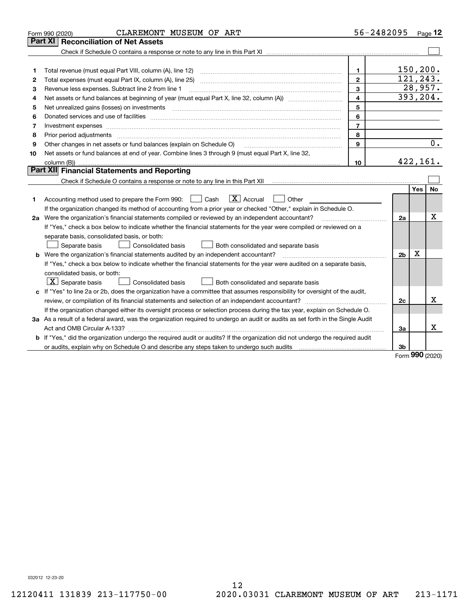|    | CLAREMONT MUSEUM OF ART<br>Form 990 (2020)                                                                                                                                                                                     | 56-2482095     |                |            | Page $12$ |
|----|--------------------------------------------------------------------------------------------------------------------------------------------------------------------------------------------------------------------------------|----------------|----------------|------------|-----------|
|    | Part XI<br><b>Reconciliation of Net Assets</b>                                                                                                                                                                                 |                |                |            |           |
|    |                                                                                                                                                                                                                                |                |                |            |           |
|    |                                                                                                                                                                                                                                |                |                |            |           |
| 1  |                                                                                                                                                                                                                                | $\mathbf 1$    |                |            | 150, 200. |
| 2  |                                                                                                                                                                                                                                | $\overline{2}$ |                |            | 121,243.  |
| 3  | Revenue less expenses. Subtract line 2 from line 1                                                                                                                                                                             | 3              |                |            | 28,957.   |
| 4  |                                                                                                                                                                                                                                | $\overline{4}$ |                |            | 393, 204. |
| 5  | Net unrealized gains (losses) on investments [11] matter contracts and the state of the state of the state of the state of the state of the state of the state of the state of the state of the state of the state of the stat | 5              |                |            |           |
| 6  | Donated services and use of facilities [111] processes and the service of facilities [11] processes and use of facilities [11] processes and the service of facilities [11] processes and the service of the service of the se | 6              |                |            |           |
| 7  | Investment expenses www.communication.com/www.communication.com/www.communication.com/www.com                                                                                                                                  | $\overline{7}$ |                |            |           |
| 8  | Prior period adjustments www.communication.communication.com/news/communication.com/news/communication.com/new                                                                                                                 | 8              |                |            |           |
| 9  | Other changes in net assets or fund balances (explain on Schedule O)                                                                                                                                                           | 9              |                |            | 0.        |
| 10 | Net assets or fund balances at end of year. Combine lines 3 through 9 (must equal Part X, line 32,                                                                                                                             |                |                |            |           |
|    |                                                                                                                                                                                                                                | 10             |                |            | 422,161.  |
|    | Part XII Financial Statements and Reporting                                                                                                                                                                                    |                |                |            |           |
|    |                                                                                                                                                                                                                                |                |                |            |           |
|    |                                                                                                                                                                                                                                |                |                | <b>Yes</b> | <b>No</b> |
| 1  | $\mathbf{X}$ Accrual<br>Accounting method used to prepare the Form 990: [139] Cash<br>Other<br>$\pm$                                                                                                                           |                |                |            |           |
|    | If the organization changed its method of accounting from a prior year or checked "Other," explain in Schedule O.                                                                                                              |                |                |            |           |
|    | 2a Were the organization's financial statements compiled or reviewed by an independent accountant?                                                                                                                             |                | 2a             |            | X         |
|    | If "Yes," check a box below to indicate whether the financial statements for the year were compiled or reviewed on a                                                                                                           |                |                |            |           |
|    | separate basis, consolidated basis, or both:                                                                                                                                                                                   |                |                |            |           |
|    | Both consolidated and separate basis<br>Separate basis<br>Consolidated basis                                                                                                                                                   |                |                |            |           |
|    | <b>b</b> Were the organization's financial statements audited by an independent accountant?                                                                                                                                    |                | 2 <sub>b</sub> | х          |           |
|    | If "Yes," check a box below to indicate whether the financial statements for the year were audited on a separate basis,                                                                                                        |                |                |            |           |
|    | consolidated basis, or both:                                                                                                                                                                                                   |                |                |            |           |
|    | $ \mathbf{X} $ Separate basis<br><b>Consolidated basis</b><br>Both consolidated and separate basis                                                                                                                             |                |                |            |           |
|    | c If "Yes" to line 2a or 2b, does the organization have a committee that assumes responsibility for oversight of the audit,                                                                                                    |                |                |            |           |
|    |                                                                                                                                                                                                                                |                | 2c             |            | x         |
|    | If the organization changed either its oversight process or selection process during the tax year, explain on Schedule O.                                                                                                      |                |                |            |           |
|    | 3a As a result of a federal award, was the organization required to undergo an audit or audits as set forth in the Single Audit                                                                                                |                |                |            |           |
|    |                                                                                                                                                                                                                                |                | За             |            | x         |
|    | <b>b</b> If "Yes," did the organization undergo the required audit or audits? If the organization did not undergo the required audit                                                                                           |                |                |            |           |
|    |                                                                                                                                                                                                                                |                | 3b             | no o       |           |

Form (2020) **990**

032012 12-23-20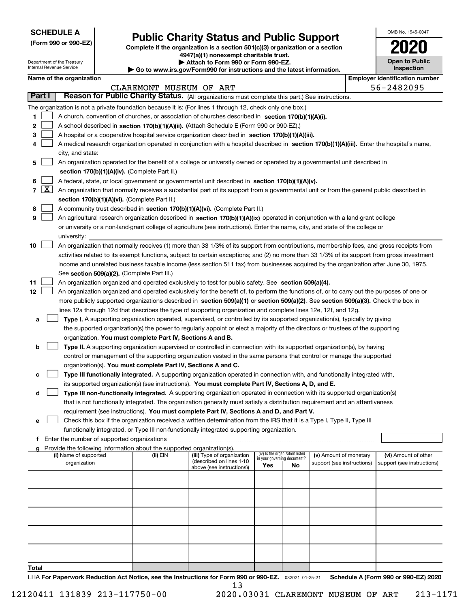| <b>SCHEDULE A</b> |
|-------------------|
|-------------------|

Department of the Treasury Internal Revenue Service

**(Form 990 or 990-EZ)**

# **Public Charity Status and Public Support**

**Complete if the organization is a section 501(c)(3) organization or a section 4947(a)(1) nonexempt charitable trust. | Attach to Form 990 or Form 990-EZ.** 

| ▶ Go to www.irs.gov/Form990 for instructions and the latest information. |
|--------------------------------------------------------------------------|

| OMB No. 1545-0047                   |
|-------------------------------------|
| 2020                                |
| <b>Open to Public</b><br>Inspection |

|  | Name of the organization |
|--|--------------------------|
|--|--------------------------|

|        |                                                                                                                                            | Name of the organization                                                                                                                     |                         |                            |                                    |    |                            |  | <b>Employer identification number</b> |  |
|--------|--------------------------------------------------------------------------------------------------------------------------------------------|----------------------------------------------------------------------------------------------------------------------------------------------|-------------------------|----------------------------|------------------------------------|----|----------------------------|--|---------------------------------------|--|
| Part I |                                                                                                                                            | Reason for Public Charity Status. (All organizations must complete this part.) See instructions.                                             | CLAREMONT MUSEUM OF ART |                            |                                    |    |                            |  | 56-2482095                            |  |
|        |                                                                                                                                            |                                                                                                                                              |                         |                            |                                    |    |                            |  |                                       |  |
|        |                                                                                                                                            | The organization is not a private foundation because it is: (For lines 1 through 12, check only one box.)                                    |                         |                            |                                    |    |                            |  |                                       |  |
| 1      |                                                                                                                                            | A church, convention of churches, or association of churches described in section 170(b)(1)(A)(i).                                           |                         |                            |                                    |    |                            |  |                                       |  |
| 2      |                                                                                                                                            | A school described in section 170(b)(1)(A)(ii). (Attach Schedule E (Form 990 or 990-EZ).)                                                    |                         |                            |                                    |    |                            |  |                                       |  |
| 3      |                                                                                                                                            | A hospital or a cooperative hospital service organization described in section 170(b)(1)(A)(iii).                                            |                         |                            |                                    |    |                            |  |                                       |  |
| 4      | A medical research organization operated in conjunction with a hospital described in section 170(b)(1)(A)(iii). Enter the hospital's name, |                                                                                                                                              |                         |                            |                                    |    |                            |  |                                       |  |
|        |                                                                                                                                            | city, and state:                                                                                                                             |                         |                            |                                    |    |                            |  |                                       |  |
| 5      | An organization operated for the benefit of a college or university owned or operated by a governmental unit described in                  |                                                                                                                                              |                         |                            |                                    |    |                            |  |                                       |  |
|        | section 170(b)(1)(A)(iv). (Complete Part II.)                                                                                              |                                                                                                                                              |                         |                            |                                    |    |                            |  |                                       |  |
| 6      |                                                                                                                                            | A federal, state, or local government or governmental unit described in section 170(b)(1)(A)(v).                                             |                         |                            |                                    |    |                            |  |                                       |  |
|        | $7 \times$                                                                                                                                 | An organization that normally receives a substantial part of its support from a governmental unit or from the general public described in    |                         |                            |                                    |    |                            |  |                                       |  |
|        |                                                                                                                                            | section 170(b)(1)(A)(vi). (Complete Part II.)                                                                                                |                         |                            |                                    |    |                            |  |                                       |  |
| 8      |                                                                                                                                            | A community trust described in section 170(b)(1)(A)(vi). (Complete Part II.)                                                                 |                         |                            |                                    |    |                            |  |                                       |  |
| 9      |                                                                                                                                            | An agricultural research organization described in section 170(b)(1)(A)(ix) operated in conjunction with a land-grant college                |                         |                            |                                    |    |                            |  |                                       |  |
|        |                                                                                                                                            | or university or a non-land-grant college of agriculture (see instructions). Enter the name, city, and state of the college or               |                         |                            |                                    |    |                            |  |                                       |  |
|        |                                                                                                                                            | university:                                                                                                                                  |                         |                            |                                    |    |                            |  |                                       |  |
| 10     |                                                                                                                                            | An organization that normally receives (1) more than 33 1/3% of its support from contributions, membership fees, and gross receipts from     |                         |                            |                                    |    |                            |  |                                       |  |
|        |                                                                                                                                            | activities related to its exempt functions, subject to certain exceptions; and (2) no more than 33 1/3% of its support from gross investment |                         |                            |                                    |    |                            |  |                                       |  |
|        |                                                                                                                                            | income and unrelated business taxable income (less section 511 tax) from businesses acquired by the organization after June 30, 1975.        |                         |                            |                                    |    |                            |  |                                       |  |
|        |                                                                                                                                            | See section 509(a)(2). (Complete Part III.)                                                                                                  |                         |                            |                                    |    |                            |  |                                       |  |
| 11     |                                                                                                                                            | An organization organized and operated exclusively to test for public safety. See section 509(a)(4).                                         |                         |                            |                                    |    |                            |  |                                       |  |
| 12     |                                                                                                                                            | An organization organized and operated exclusively for the benefit of, to perform the functions of, or to carry out the purposes of one or   |                         |                            |                                    |    |                            |  |                                       |  |
|        |                                                                                                                                            | more publicly supported organizations described in section 509(a)(1) or section 509(a)(2). See section 509(a)(3). Check the box in           |                         |                            |                                    |    |                            |  |                                       |  |
|        |                                                                                                                                            | lines 12a through 12d that describes the type of supporting organization and complete lines 12e, 12f, and 12g.                               |                         |                            |                                    |    |                            |  |                                       |  |
| а      |                                                                                                                                            | Type I. A supporting organization operated, supervised, or controlled by its supported organization(s), typically by giving                  |                         |                            |                                    |    |                            |  |                                       |  |
|        |                                                                                                                                            | the supported organization(s) the power to regularly appoint or elect a majority of the directors or trustees of the supporting              |                         |                            |                                    |    |                            |  |                                       |  |
|        |                                                                                                                                            | organization. You must complete Part IV, Sections A and B.                                                                                   |                         |                            |                                    |    |                            |  |                                       |  |
| b      |                                                                                                                                            | Type II. A supporting organization supervised or controlled in connection with its supported organization(s), by having                      |                         |                            |                                    |    |                            |  |                                       |  |
|        |                                                                                                                                            | control or management of the supporting organization vested in the same persons that control or manage the supported                         |                         |                            |                                    |    |                            |  |                                       |  |
|        |                                                                                                                                            | organization(s). You must complete Part IV, Sections A and C.                                                                                |                         |                            |                                    |    |                            |  |                                       |  |
| с      |                                                                                                                                            | Type III functionally integrated. A supporting organization operated in connection with, and functionally integrated with,                   |                         |                            |                                    |    |                            |  |                                       |  |
|        |                                                                                                                                            | its supported organization(s) (see instructions). You must complete Part IV, Sections A, D, and E.                                           |                         |                            |                                    |    |                            |  |                                       |  |
| d      |                                                                                                                                            | Type III non-functionally integrated. A supporting organization operated in connection with its supported organization(s)                    |                         |                            |                                    |    |                            |  |                                       |  |
|        |                                                                                                                                            | that is not functionally integrated. The organization generally must satisfy a distribution requirement and an attentiveness                 |                         |                            |                                    |    |                            |  |                                       |  |
|        |                                                                                                                                            | requirement (see instructions). You must complete Part IV, Sections A and D, and Part V.                                                     |                         |                            |                                    |    |                            |  |                                       |  |
|        |                                                                                                                                            | Check this box if the organization received a written determination from the IRS that it is a Type I, Type II, Type III                      |                         |                            |                                    |    |                            |  |                                       |  |
|        |                                                                                                                                            | functionally integrated, or Type III non-functionally integrated supporting organization.                                                    |                         |                            |                                    |    |                            |  |                                       |  |
|        |                                                                                                                                            | f Enter the number of supported organizations                                                                                                |                         |                            |                                    |    |                            |  |                                       |  |
|        |                                                                                                                                            | g Provide the following information about the supported organization(s).<br>(i) Name of supported                                            | (ii) $EIN$              | (iii) Type of organization | (iv) Is the organization listed    |    | (v) Amount of monetary     |  | (vi) Amount of other                  |  |
|        |                                                                                                                                            | organization                                                                                                                                 |                         | (described on lines 1-10   | in your governing document?<br>Yes | No | support (see instructions) |  | support (see instructions)            |  |
|        |                                                                                                                                            |                                                                                                                                              |                         | above (see instructions))  |                                    |    |                            |  |                                       |  |
|        |                                                                                                                                            |                                                                                                                                              |                         |                            |                                    |    |                            |  |                                       |  |
|        |                                                                                                                                            |                                                                                                                                              |                         |                            |                                    |    |                            |  |                                       |  |
|        |                                                                                                                                            |                                                                                                                                              |                         |                            |                                    |    |                            |  |                                       |  |
|        |                                                                                                                                            |                                                                                                                                              |                         |                            |                                    |    |                            |  |                                       |  |
|        |                                                                                                                                            |                                                                                                                                              |                         |                            |                                    |    |                            |  |                                       |  |
|        |                                                                                                                                            |                                                                                                                                              |                         |                            |                                    |    |                            |  |                                       |  |
|        |                                                                                                                                            |                                                                                                                                              |                         |                            |                                    |    |                            |  |                                       |  |
|        |                                                                                                                                            |                                                                                                                                              |                         |                            |                                    |    |                            |  |                                       |  |
|        |                                                                                                                                            |                                                                                                                                              |                         |                            |                                    |    |                            |  |                                       |  |
| Total  |                                                                                                                                            |                                                                                                                                              |                         |                            |                                    |    |                            |  |                                       |  |

LHA For Paperwork Reduction Act Notice, see the Instructions for Form 990 or 990-EZ. <sub>032021</sub> o1-25-21 Schedule A (Form 990 or 990-EZ) 2020 13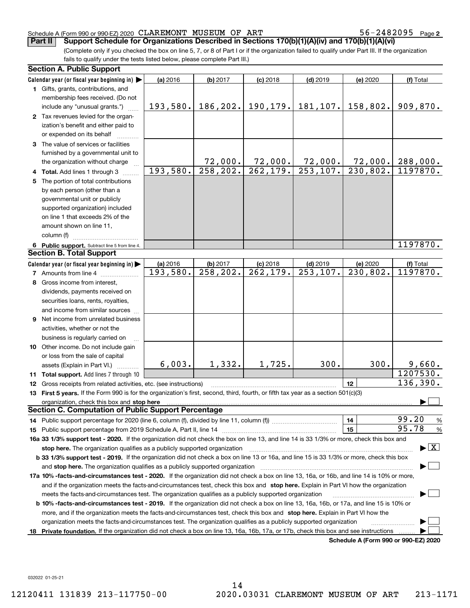56-2482095 Page 2

(Complete only if you checked the box on line 5, 7, or 8 of Part I or if the organization failed to qualify under Part III. If the organization fails to qualify under the tests listed below, please complete Part III.) **Part II Support Schedule for Organizations Described in Sections 170(b)(1)(A)(iv) and 170(b)(1)(A)(vi)**

|    | <b>Section A. Public Support</b>                                                                                                               |          |           |                        |                        |                                      |                        |
|----|------------------------------------------------------------------------------------------------------------------------------------------------|----------|-----------|------------------------|------------------------|--------------------------------------|------------------------|
|    | Calendar year (or fiscal year beginning in) $\blacktriangleright$                                                                              | (a) 2016 | (b) 2017  | $(c)$ 2018             | $(d)$ 2019             | (e) 2020                             | (f) Total              |
|    | 1 Gifts, grants, contributions, and                                                                                                            |          |           |                        |                        |                                      |                        |
|    | membership fees received. (Do not                                                                                                              |          |           |                        |                        |                                      |                        |
|    | include any "unusual grants.")                                                                                                                 | 193,580. | 186,202.  |                        | $190, 179.$ 181, 107.  | 158,802.                             | 909,870.               |
|    | 2 Tax revenues levied for the organ-                                                                                                           |          |           |                        |                        |                                      |                        |
|    | ization's benefit and either paid to                                                                                                           |          |           |                        |                        |                                      |                        |
|    | or expended on its behalf                                                                                                                      |          |           |                        |                        |                                      |                        |
|    | 3 The value of services or facilities                                                                                                          |          |           |                        |                        |                                      |                        |
|    | furnished by a governmental unit to                                                                                                            |          |           |                        |                        |                                      |                        |
|    | the organization without charge                                                                                                                |          | 72,000.   | 72,000.                | 72,000.                | 72,000.                              | 288,000.               |
|    | 4 Total. Add lines 1 through 3                                                                                                                 | 193,580. | 258, 202. | 262, 179.              | 253, 107.              | 230,802.                             | 1197870.               |
| 5. | The portion of total contributions                                                                                                             |          |           |                        |                        |                                      |                        |
|    | by each person (other than a                                                                                                                   |          |           |                        |                        |                                      |                        |
|    | governmental unit or publicly                                                                                                                  |          |           |                        |                        |                                      |                        |
|    | supported organization) included                                                                                                               |          |           |                        |                        |                                      |                        |
|    | on line 1 that exceeds 2% of the                                                                                                               |          |           |                        |                        |                                      |                        |
|    | amount shown on line 11,                                                                                                                       |          |           |                        |                        |                                      |                        |
|    | column (f)                                                                                                                                     |          |           |                        |                        |                                      |                        |
|    | 6 Public support. Subtract line 5 from line 4.                                                                                                 |          |           |                        |                        |                                      | 1197870.               |
|    | <b>Section B. Total Support</b>                                                                                                                |          |           |                        |                        |                                      |                        |
|    | Calendar year (or fiscal year beginning in)                                                                                                    | (a) 2016 | (b) 2017  | $(c)$ 2018             | $(d)$ 2019             | (e) 2020                             | (f) Total              |
|    | <b>7</b> Amounts from line 4                                                                                                                   | 193,580. | 258, 202. | $\overline{262,179}$ . | $\overline{253,107}$ . | 230,802.                             | 1197870.               |
|    | 8 Gross income from interest,                                                                                                                  |          |           |                        |                        |                                      |                        |
|    | dividends, payments received on                                                                                                                |          |           |                        |                        |                                      |                        |
|    | securities loans, rents, royalties,                                                                                                            |          |           |                        |                        |                                      |                        |
|    | and income from similar sources                                                                                                                |          |           |                        |                        |                                      |                        |
|    | 9 Net income from unrelated business                                                                                                           |          |           |                        |                        |                                      |                        |
|    | activities, whether or not the                                                                                                                 |          |           |                        |                        |                                      |                        |
|    | business is regularly carried on                                                                                                               |          |           |                        |                        |                                      |                        |
|    | <b>10</b> Other income. Do not include gain                                                                                                    |          |           |                        |                        |                                      |                        |
|    | or loss from the sale of capital                                                                                                               |          |           |                        |                        |                                      |                        |
|    | assets (Explain in Part VI.)                                                                                                                   | 6,003.   | 1,332.    | 1,725.                 | 300.                   | 300.                                 | 9,660.                 |
|    | <b>11 Total support.</b> Add lines 7 through 10                                                                                                |          |           |                        |                        |                                      | 1207530.               |
|    | 12 Gross receipts from related activities, etc. (see instructions)                                                                             |          |           |                        |                        | 12                                   | 136,390.               |
|    | 13 First 5 years. If the Form 990 is for the organization's first, second, third, fourth, or fifth tax year as a section 501(c)(3)             |          |           |                        |                        |                                      |                        |
|    | organization, check this box and stop here                                                                                                     |          |           |                        |                        |                                      |                        |
|    | <b>Section C. Computation of Public Support Percentage</b>                                                                                     |          |           |                        |                        |                                      |                        |
|    |                                                                                                                                                |          |           |                        |                        | 14                                   | 99.20<br>$\frac{9}{6}$ |
|    |                                                                                                                                                |          |           |                        |                        | 15                                   | 95.78<br>%             |
|    | 16a 33 1/3% support test - 2020. If the organization did not check the box on line 13, and line 14 is 33 1/3% or more, check this box and      |          |           |                        |                        |                                      |                        |
|    | $\blacktriangleright$ $\vert$ X<br>stop here. The organization qualifies as a publicly supported organization                                  |          |           |                        |                        |                                      |                        |
|    | b 33 1/3% support test - 2019. If the organization did not check a box on line 13 or 16a, and line 15 is 33 1/3% or more, check this box       |          |           |                        |                        |                                      |                        |
|    | and stop here. The organization qualifies as a publicly supported organization                                                                 |          |           |                        |                        |                                      |                        |
|    | 17a 10% -facts-and-circumstances test - 2020. If the organization did not check a box on line 13, 16a, or 16b, and line 14 is 10% or more,     |          |           |                        |                        |                                      |                        |
|    | and if the organization meets the facts-and-circumstances test, check this box and stop here. Explain in Part VI how the organization          |          |           |                        |                        |                                      |                        |
|    | meets the facts-and-circumstances test. The organization qualifies as a publicly supported organization                                        |          |           |                        |                        |                                      |                        |
|    | <b>b 10% -facts-and-circumstances test - 2019.</b> If the organization did not check a box on line 13, 16a, 16b, or 17a, and line 15 is 10% or |          |           |                        |                        |                                      |                        |
|    | more, and if the organization meets the facts-and-circumstances test, check this box and stop here. Explain in Part VI how the                 |          |           |                        |                        |                                      |                        |
|    | organization meets the facts-and-circumstances test. The organization qualifies as a publicly supported organization                           |          |           |                        |                        |                                      |                        |
|    | 18 Private foundation. If the organization did not check a box on line 13, 16a, 16b, 17a, or 17b, check this box and see instructions          |          |           |                        |                        |                                      |                        |
|    |                                                                                                                                                |          |           |                        |                        | Schedule A (Form 990 or 990-F7) 2020 |                        |

**Schedule A (Form 990 or 990-EZ) 2020**

032022 01-25-21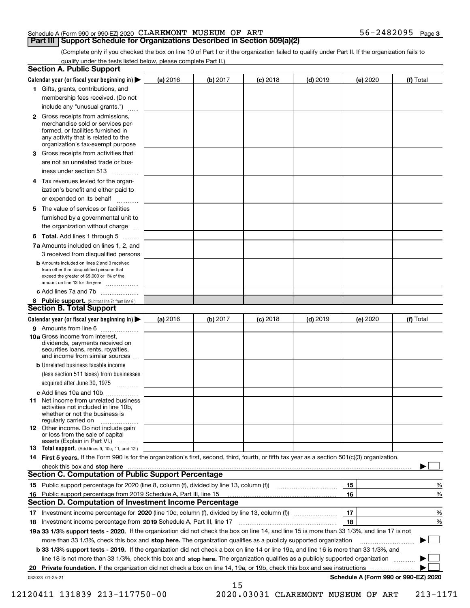(Complete only if you checked the box on line 10 of Part I or if the organization failed to qualify under Part II. If the organization fails to qualify under the tests listed below, please complete Part II.)

|    | <b>Section A. Public Support</b>                                                                                                                                                                                                    |          |          |                 |            |          |                                      |
|----|-------------------------------------------------------------------------------------------------------------------------------------------------------------------------------------------------------------------------------------|----------|----------|-----------------|------------|----------|--------------------------------------|
|    | Calendar year (or fiscal year beginning in) $\blacktriangleright$                                                                                                                                                                   | (a) 2016 | (b) 2017 | <b>(c)</b> 2018 | $(d)$ 2019 | (e) 2020 | (f) Total                            |
|    | 1 Gifts, grants, contributions, and                                                                                                                                                                                                 |          |          |                 |            |          |                                      |
|    | membership fees received. (Do not                                                                                                                                                                                                   |          |          |                 |            |          |                                      |
|    | include any "unusual grants.")                                                                                                                                                                                                      |          |          |                 |            |          |                                      |
|    | <b>2</b> Gross receipts from admissions,<br>merchandise sold or services per-<br>formed, or facilities furnished in<br>any activity that is related to the<br>organization's tax-exempt purpose                                     |          |          |                 |            |          |                                      |
|    | 3 Gross receipts from activities that<br>are not an unrelated trade or bus-                                                                                                                                                         |          |          |                 |            |          |                                      |
|    | iness under section 513                                                                                                                                                                                                             |          |          |                 |            |          |                                      |
|    | 4 Tax revenues levied for the organ-<br>ization's benefit and either paid to<br>or expended on its behalf<br>.                                                                                                                      |          |          |                 |            |          |                                      |
|    | 5 The value of services or facilities<br>furnished by a governmental unit to                                                                                                                                                        |          |          |                 |            |          |                                      |
|    | the organization without charge                                                                                                                                                                                                     |          |          |                 |            |          |                                      |
|    | <b>6 Total.</b> Add lines 1 through 5                                                                                                                                                                                               |          |          |                 |            |          |                                      |
|    | 7a Amounts included on lines 1, 2, and<br>3 received from disqualified persons                                                                                                                                                      |          |          |                 |            |          |                                      |
|    | <b>b</b> Amounts included on lines 2 and 3 received<br>from other than disqualified persons that<br>exceed the greater of \$5,000 or 1% of the<br>amount on line 13 for the year                                                    |          |          |                 |            |          |                                      |
|    | c Add lines 7a and 7b                                                                                                                                                                                                               |          |          |                 |            |          |                                      |
|    | 8 Public support. (Subtract line 7c from line 6.)                                                                                                                                                                                   |          |          |                 |            |          |                                      |
|    | <b>Section B. Total Support</b>                                                                                                                                                                                                     |          |          |                 |            |          |                                      |
|    | Calendar year (or fiscal year beginning in)                                                                                                                                                                                         | (a) 2016 | (b) 2017 | <b>(c)</b> 2018 | $(d)$ 2019 | (e) 2020 | (f) Total                            |
|    | 9 Amounts from line 6<br><b>10a</b> Gross income from interest,<br>dividends, payments received on<br>securities loans, rents, royalties,<br>and income from similar sources                                                        |          |          |                 |            |          |                                      |
|    | <b>b</b> Unrelated business taxable income<br>(less section 511 taxes) from businesses<br>acquired after June 30, 1975                                                                                                              |          |          |                 |            |          |                                      |
|    | c Add lines 10a and 10b                                                                                                                                                                                                             |          |          |                 |            |          |                                      |
|    | 11 Net income from unrelated business<br>activities not included in line 10b,<br>whether or not the business is<br>regularly carried on                                                                                             |          |          |                 |            |          |                                      |
|    | <b>12</b> Other income. Do not include gain<br>or loss from the sale of capital<br>assets (Explain in Part VI.)                                                                                                                     |          |          |                 |            |          |                                      |
|    | 13 Total support. (Add lines 9, 10c, 11, and 12.)                                                                                                                                                                                   |          |          |                 |            |          |                                      |
|    | 14 First 5 years. If the Form 990 is for the organization's first, second, third, fourth, or fifth tax year as a section 501(c)(3) organization,                                                                                    |          |          |                 |            |          |                                      |
|    | check this box and stop here <b>contractly constructed</b> the state of the state of the state of the state of the state of the state of the state of the state of the state of the state of the state of the state of the state of |          |          |                 |            |          |                                      |
|    | <b>Section C. Computation of Public Support Percentage</b>                                                                                                                                                                          |          |          |                 |            |          |                                      |
|    |                                                                                                                                                                                                                                     |          |          |                 |            | 15       | %                                    |
|    | 16 Public support percentage from 2019 Schedule A, Part III, line 15<br><b>Section D. Computation of Investment Income Percentage</b>                                                                                               |          |          |                 |            | 16       | %                                    |
|    |                                                                                                                                                                                                                                     |          |          |                 |            |          |                                      |
| 17 | Investment income percentage from 2019 Schedule A, Part III, line 17                                                                                                                                                                |          |          |                 |            | 17<br>18 | $\%$<br>%                            |
| 18 | 19a 33 1/3% support tests - 2020. If the organization did not check the box on line 14, and line 15 is more than 33 1/3%, and line 17 is not                                                                                        |          |          |                 |            |          |                                      |
|    | more than 33 1/3%, check this box and stop here. The organization qualifies as a publicly supported organization                                                                                                                    |          |          |                 |            |          | ▶                                    |
|    | b 33 1/3% support tests - 2019. If the organization did not check a box on line 14 or line 19a, and line 16 is more than 33 1/3%, and                                                                                               |          |          |                 |            |          |                                      |
|    | line 18 is not more than 33 1/3%, check this box and stop here. The organization qualifies as a publicly supported organization                                                                                                     |          |          |                 |            |          |                                      |
| 20 | Private foundation. If the organization did not check a box on line 14, 19a, or 19b, check this box and see instructions                                                                                                            |          |          |                 |            |          |                                      |
|    | 032023 01-25-21                                                                                                                                                                                                                     |          |          |                 |            |          | Schedule A (Form 990 or 990-EZ) 2020 |
|    |                                                                                                                                                                                                                                     |          | 15       |                 |            |          |                                      |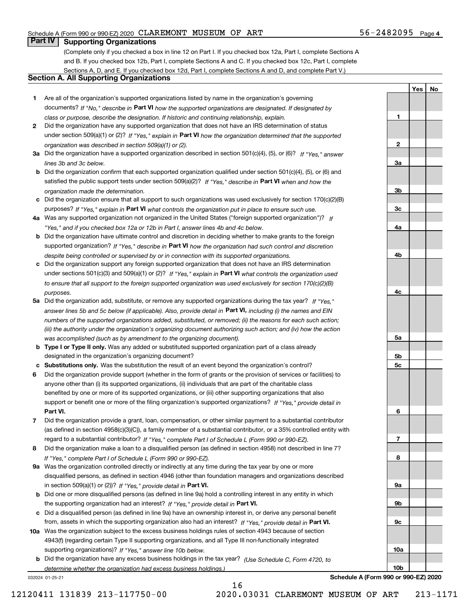## 56-2482095 Page 4

**1**

**YesNo**

## **Part IV Supporting Organizations**

(Complete only if you checked a box in line 12 on Part I. If you checked box 12a, Part I, complete Sections A and B. If you checked box 12b, Part I, complete Sections A and C. If you checked box 12c, Part I, complete Sections A, D, and E. If you checked box 12d, Part I, complete Sections A and D, and complete Part V.)

## **Section A. All Supporting Organizations**

- **1** Are all of the organization's supported organizations listed by name in the organization's governing documents? If "No," describe in **Part VI** how the supported organizations are designated. If designated by *class or purpose, describe the designation. If historic and continuing relationship, explain.*
- **2** Did the organization have any supported organization that does not have an IRS determination of status under section 509(a)(1) or (2)? If "Yes," explain in Part VI how the organization determined that the supported *organization was described in section 509(a)(1) or (2).*
- **3a** Did the organization have a supported organization described in section 501(c)(4), (5), or (6)? If "Yes," answer *lines 3b and 3c below.*
- **b** Did the organization confirm that each supported organization qualified under section 501(c)(4), (5), or (6) and satisfied the public support tests under section 509(a)(2)? If "Yes," describe in **Part VI** when and how the *organization made the determination.*
- **c**Did the organization ensure that all support to such organizations was used exclusively for section 170(c)(2)(B) purposes? If "Yes," explain in **Part VI** what controls the organization put in place to ensure such use.
- **4a***If* Was any supported organization not organized in the United States ("foreign supported organization")? *"Yes," and if you checked box 12a or 12b in Part I, answer lines 4b and 4c below.*
- **b** Did the organization have ultimate control and discretion in deciding whether to make grants to the foreign supported organization? If "Yes," describe in **Part VI** how the organization had such control and discretion *despite being controlled or supervised by or in connection with its supported organizations.*
- **c** Did the organization support any foreign supported organization that does not have an IRS determination under sections 501(c)(3) and 509(a)(1) or (2)? If "Yes," explain in **Part VI** what controls the organization used *to ensure that all support to the foreign supported organization was used exclusively for section 170(c)(2)(B) purposes.*
- **5a** Did the organization add, substitute, or remove any supported organizations during the tax year? If "Yes," answer lines 5b and 5c below (if applicable). Also, provide detail in **Part VI,** including (i) the names and EIN *numbers of the supported organizations added, substituted, or removed; (ii) the reasons for each such action; (iii) the authority under the organization's organizing document authorizing such action; and (iv) how the action was accomplished (such as by amendment to the organizing document).*
- **b** Type I or Type II only. Was any added or substituted supported organization part of a class already designated in the organization's organizing document?
- **cSubstitutions only.**  Was the substitution the result of an event beyond the organization's control?
- **6** Did the organization provide support (whether in the form of grants or the provision of services or facilities) to **Part VI.** *If "Yes," provide detail in* support or benefit one or more of the filing organization's supported organizations? anyone other than (i) its supported organizations, (ii) individuals that are part of the charitable class benefited by one or more of its supported organizations, or (iii) other supporting organizations that also
- **7**Did the organization provide a grant, loan, compensation, or other similar payment to a substantial contributor *If "Yes," complete Part I of Schedule L (Form 990 or 990-EZ).* regard to a substantial contributor? (as defined in section 4958(c)(3)(C)), a family member of a substantial contributor, or a 35% controlled entity with
- **8** Did the organization make a loan to a disqualified person (as defined in section 4958) not described in line 7? *If "Yes," complete Part I of Schedule L (Form 990 or 990-EZ).*
- **9a** Was the organization controlled directly or indirectly at any time during the tax year by one or more in section 509(a)(1) or (2))? If "Yes," *provide detail in* <code>Part VI.</code> disqualified persons, as defined in section 4946 (other than foundation managers and organizations described
- **b** Did one or more disqualified persons (as defined in line 9a) hold a controlling interest in any entity in which the supporting organization had an interest? If "Yes," provide detail in P**art VI**.
- **c**Did a disqualified person (as defined in line 9a) have an ownership interest in, or derive any personal benefit from, assets in which the supporting organization also had an interest? If "Yes," provide detail in P**art VI.**
- **10a** Was the organization subject to the excess business holdings rules of section 4943 because of section supporting organizations)? If "Yes," answer line 10b below. 4943(f) (regarding certain Type II supporting organizations, and all Type III non-functionally integrated
- **b** Did the organization have any excess business holdings in the tax year? (Use Schedule C, Form 4720, to *determine whether the organization had excess business holdings.)*

16

032024 01-25-21

**23a3b3c4a4b4c5a 5b5c6789a 9b9c10a10bSchedule A (Form 990 or 990-EZ) 2020**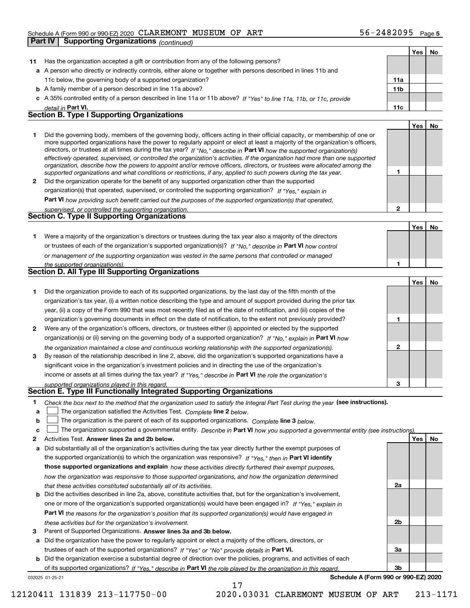|    | <b>Supporting Organizations (continued)</b><br>Part IV                                                                                                                                                                                                                                                                                                                                                                                                                                                                                                                                                                                               |                 |     |           |
|----|------------------------------------------------------------------------------------------------------------------------------------------------------------------------------------------------------------------------------------------------------------------------------------------------------------------------------------------------------------------------------------------------------------------------------------------------------------------------------------------------------------------------------------------------------------------------------------------------------------------------------------------------------|-----------------|-----|-----------|
|    |                                                                                                                                                                                                                                                                                                                                                                                                                                                                                                                                                                                                                                                      |                 | Yes | No        |
| 11 | Has the organization accepted a gift or contribution from any of the following persons?                                                                                                                                                                                                                                                                                                                                                                                                                                                                                                                                                              |                 |     |           |
|    | a A person who directly or indirectly controls, either alone or together with persons described in lines 11b and                                                                                                                                                                                                                                                                                                                                                                                                                                                                                                                                     |                 |     |           |
|    | 11c below, the governing body of a supported organization?                                                                                                                                                                                                                                                                                                                                                                                                                                                                                                                                                                                           | 11a             |     |           |
|    | <b>b</b> A family member of a person described in line 11a above?                                                                                                                                                                                                                                                                                                                                                                                                                                                                                                                                                                                    | 11 <sub>b</sub> |     |           |
|    | c A 35% controlled entity of a person described in line 11a or 11b above? If "Yes" to line 11a, 11b, or 11c, provide                                                                                                                                                                                                                                                                                                                                                                                                                                                                                                                                 |                 |     |           |
|    | detail in Part VI.                                                                                                                                                                                                                                                                                                                                                                                                                                                                                                                                                                                                                                   | 11c             |     |           |
|    | <b>Section B. Type I Supporting Organizations</b>                                                                                                                                                                                                                                                                                                                                                                                                                                                                                                                                                                                                    |                 |     |           |
|    |                                                                                                                                                                                                                                                                                                                                                                                                                                                                                                                                                                                                                                                      |                 | Yes | No        |
| 1. | Did the governing body, members of the governing body, officers acting in their official capacity, or membership of one or<br>more supported organizations have the power to regularly appoint or elect at least a majority of the organization's officers,<br>directors, or trustees at all times during the tax year? If "No," describe in Part VI how the supported organization(s)<br>effectively operated, supervised, or controlled the organization's activities. If the organization had more than one supported<br>organization, describe how the powers to appoint and/or remove officers, directors, or trustees were allocated among the |                 |     |           |
|    | supported organizations and what conditions or restrictions, if any, applied to such powers during the tax year.                                                                                                                                                                                                                                                                                                                                                                                                                                                                                                                                     | 1               |     |           |
| 2  | Did the organization operate for the benefit of any supported organization other than the supported                                                                                                                                                                                                                                                                                                                                                                                                                                                                                                                                                  |                 |     |           |
|    | organization(s) that operated, supervised, or controlled the supporting organization? If "Yes," explain in                                                                                                                                                                                                                                                                                                                                                                                                                                                                                                                                           |                 |     |           |
|    | Part VI how providing such benefit carried out the purposes of the supported organization(s) that operated,                                                                                                                                                                                                                                                                                                                                                                                                                                                                                                                                          | $\mathbf{2}$    |     |           |
|    | supervised, or controlled the supporting organization.<br>Section C. Type II Supporting Organizations                                                                                                                                                                                                                                                                                                                                                                                                                                                                                                                                                |                 |     |           |
|    |                                                                                                                                                                                                                                                                                                                                                                                                                                                                                                                                                                                                                                                      |                 | Yes | No        |
| 1. | Were a majority of the organization's directors or trustees during the tax year also a majority of the directors                                                                                                                                                                                                                                                                                                                                                                                                                                                                                                                                     |                 |     |           |
|    | or trustees of each of the organization's supported organization(s)? If "No," describe in Part VI how control                                                                                                                                                                                                                                                                                                                                                                                                                                                                                                                                        |                 |     |           |
|    | or management of the supporting organization was vested in the same persons that controlled or managed                                                                                                                                                                                                                                                                                                                                                                                                                                                                                                                                               |                 |     |           |
|    | the supported organization(s).                                                                                                                                                                                                                                                                                                                                                                                                                                                                                                                                                                                                                       | 1               |     |           |
|    | Section D. All Type III Supporting Organizations                                                                                                                                                                                                                                                                                                                                                                                                                                                                                                                                                                                                     |                 |     |           |
|    |                                                                                                                                                                                                                                                                                                                                                                                                                                                                                                                                                                                                                                                      |                 | Yes | No        |
| 1  | Did the organization provide to each of its supported organizations, by the last day of the fifth month of the                                                                                                                                                                                                                                                                                                                                                                                                                                                                                                                                       |                 |     |           |
|    | organization's tax year, (i) a written notice describing the type and amount of support provided during the prior tax                                                                                                                                                                                                                                                                                                                                                                                                                                                                                                                                |                 |     |           |
|    | year, (ii) a copy of the Form 990 that was most recently filed as of the date of notification, and (iii) copies of the                                                                                                                                                                                                                                                                                                                                                                                                                                                                                                                               |                 |     |           |
|    | organization's governing documents in effect on the date of notification, to the extent not previously provided?                                                                                                                                                                                                                                                                                                                                                                                                                                                                                                                                     | 1               |     |           |
| 2  | Were any of the organization's officers, directors, or trustees either (i) appointed or elected by the supported                                                                                                                                                                                                                                                                                                                                                                                                                                                                                                                                     |                 |     |           |
|    | organization(s) or (ii) serving on the governing body of a supported organization? If "No." explain in Part VI how                                                                                                                                                                                                                                                                                                                                                                                                                                                                                                                                   |                 |     |           |
|    | the organization maintained a close and continuous working relationship with the supported organization(s).                                                                                                                                                                                                                                                                                                                                                                                                                                                                                                                                          | $\mathbf{2}$    |     |           |
| 3  | By reason of the relationship described in line 2, above, did the organization's supported organizations have a                                                                                                                                                                                                                                                                                                                                                                                                                                                                                                                                      |                 |     |           |
|    | significant voice in the organization's investment policies and in directing the use of the organization's                                                                                                                                                                                                                                                                                                                                                                                                                                                                                                                                           |                 |     |           |
|    | income or assets at all times during the tax year? If "Yes," describe in Part VI the role the organization's                                                                                                                                                                                                                                                                                                                                                                                                                                                                                                                                         |                 |     |           |
|    | supported organizations played in this regard.                                                                                                                                                                                                                                                                                                                                                                                                                                                                                                                                                                                                       | з               |     |           |
|    | Section E. Type III Functionally Integrated Supporting Organizations                                                                                                                                                                                                                                                                                                                                                                                                                                                                                                                                                                                 |                 |     |           |
| 1. | Check the box next to the method that the organization used to satisfy the Integral Part Test during the year (see instructions).                                                                                                                                                                                                                                                                                                                                                                                                                                                                                                                    |                 |     |           |
| а  | The organization satisfied the Activities Test. Complete line 2 below.                                                                                                                                                                                                                                                                                                                                                                                                                                                                                                                                                                               |                 |     |           |
| b  | The organization is the parent of each of its supported organizations. Complete line 3 below.                                                                                                                                                                                                                                                                                                                                                                                                                                                                                                                                                        |                 |     |           |
| c  | The organization supported a governmental entity. Describe in Part VI how you supported a governmental entity (see instructions)                                                                                                                                                                                                                                                                                                                                                                                                                                                                                                                     |                 |     |           |
| 2  | Activities Test. Answer lines 2a and 2b below.                                                                                                                                                                                                                                                                                                                                                                                                                                                                                                                                                                                                       |                 | Yes | <u>No</u> |
| а  | Did substantially all of the organization's activities during the tax year directly further the exempt purposes of                                                                                                                                                                                                                                                                                                                                                                                                                                                                                                                                   |                 |     |           |
|    | the supported organization(s) to which the organization was responsive? If "Yes," then in Part VI identify                                                                                                                                                                                                                                                                                                                                                                                                                                                                                                                                           |                 |     |           |
|    | those supported organizations and explain how these activities directly furthered their exempt purposes,                                                                                                                                                                                                                                                                                                                                                                                                                                                                                                                                             |                 |     |           |
|    | how the organization was responsive to those supported organizations, and how the organization determined                                                                                                                                                                                                                                                                                                                                                                                                                                                                                                                                            |                 |     |           |
|    | that these activities constituted substantially all of its activities.                                                                                                                                                                                                                                                                                                                                                                                                                                                                                                                                                                               | 2a              |     |           |
| b  | Did the activities described in line 2a, above, constitute activities that, but for the organization's involvement,                                                                                                                                                                                                                                                                                                                                                                                                                                                                                                                                  |                 |     |           |
|    | one or more of the organization's supported organization(s) would have been engaged in? If "Yes," explain in                                                                                                                                                                                                                                                                                                                                                                                                                                                                                                                                         |                 |     |           |
|    |                                                                                                                                                                                                                                                                                                                                                                                                                                                                                                                                                                                                                                                      |                 |     |           |

**Part VI**  *the reasons for the organization's position that its supported organization(s) would have engaged in these activities but for the organization's involvement.*

**3** Parent of Supported Organizations. Answer lines 3a and 3b below.

**a** Did the organization have the power to regularly appoint or elect a majority of the officers, directors, or trustees of each of the supported organizations? If "Yes" or "No" provide details in **Part VI.** 

032025 01-25-21 **b** Did the organization exercise a substantial degree of direction over the policies, programs, and activities of each of its supported organizations? If "Yes," describe in Part VI the role played by the organization in this regard.

17

**Schedule A (Form 990 or 990-EZ) 2020**

**2b**

**3a**

**3b**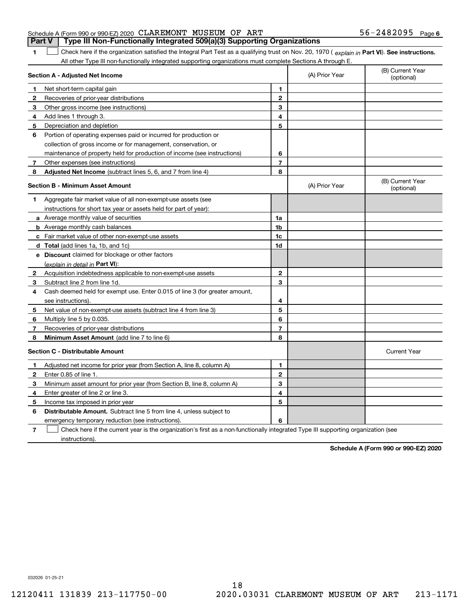## Schedule A (Form 990 or 990-EZ) 2020 Page CLAREMONT MUSEUM OF ART 56-2482095 **Part V Type III Non-Functionally Integrated 509(a)(3) Supporting Organizations**

1 Check here if the organization satisfied the Integral Part Test as a qualifying trust on Nov. 20, 1970 (explain in Part VI). See instructions. All other Type III non-functionally integrated supporting organizations must complete Sections A through E.

|   | Section A - Adjusted Net Income                                                                                                   |                | (A) Prior Year | (B) Current Year<br>(optional) |
|---|-----------------------------------------------------------------------------------------------------------------------------------|----------------|----------------|--------------------------------|
| 1 | Net short-term capital gain                                                                                                       | 1              |                |                                |
| 2 | Recoveries of prior-year distributions                                                                                            | $\overline{2}$ |                |                                |
| 3 | Other gross income (see instructions)                                                                                             | 3              |                |                                |
| 4 | Add lines 1 through 3.                                                                                                            | 4              |                |                                |
| 5 | Depreciation and depletion                                                                                                        | 5              |                |                                |
| 6 | Portion of operating expenses paid or incurred for production or                                                                  |                |                |                                |
|   | collection of gross income or for management, conservation, or                                                                    |                |                |                                |
|   | maintenance of property held for production of income (see instructions)                                                          | 6              |                |                                |
| 7 | Other expenses (see instructions)                                                                                                 | $\overline{7}$ |                |                                |
| 8 | Adjusted Net Income (subtract lines 5, 6, and 7 from line 4)                                                                      | 8              |                |                                |
|   | <b>Section B - Minimum Asset Amount</b>                                                                                           |                | (A) Prior Year | (B) Current Year<br>(optional) |
| 1 | Aggregate fair market value of all non-exempt-use assets (see                                                                     |                |                |                                |
|   | instructions for short tax year or assets held for part of year):                                                                 |                |                |                                |
|   | <b>a</b> Average monthly value of securities                                                                                      | 1a             |                |                                |
|   | <b>b</b> Average monthly cash balances                                                                                            | 1b             |                |                                |
|   | <b>c</b> Fair market value of other non-exempt-use assets                                                                         | 1 <sub>c</sub> |                |                                |
|   | d Total (add lines 1a, 1b, and 1c)                                                                                                | 1d             |                |                                |
|   | e Discount claimed for blockage or other factors                                                                                  |                |                |                                |
|   | (explain in detail in Part VI):                                                                                                   |                |                |                                |
| 2 | Acquisition indebtedness applicable to non-exempt-use assets                                                                      | $\mathbf 2$    |                |                                |
| 3 | Subtract line 2 from line 1d.                                                                                                     | 3              |                |                                |
| 4 | Cash deemed held for exempt use. Enter 0.015 of line 3 (for greater amount,                                                       |                |                |                                |
|   | see instructions)                                                                                                                 | 4              |                |                                |
| 5 | Net value of non-exempt-use assets (subtract line 4 from line 3)                                                                  | 5              |                |                                |
| 6 | Multiply line 5 by 0.035.                                                                                                         | 6              |                |                                |
| 7 | Recoveries of prior-year distributions                                                                                            | $\overline{7}$ |                |                                |
| 8 | Minimum Asset Amount (add line 7 to line 6)                                                                                       | 8              |                |                                |
|   | <b>Section C - Distributable Amount</b>                                                                                           |                |                | <b>Current Year</b>            |
| 1 | Adjusted net income for prior year (from Section A, line 8, column A)                                                             | 1              |                |                                |
| 2 | Enter 0.85 of line 1.                                                                                                             | $\overline{2}$ |                |                                |
| З | Minimum asset amount for prior year (from Section B, line 8, column A)                                                            | 3              |                |                                |
| 4 | Enter greater of line 2 or line 3.                                                                                                | 4              |                |                                |
| 5 | Income tax imposed in prior year                                                                                                  | 5              |                |                                |
| 6 | <b>Distributable Amount.</b> Subtract line 5 from line 4, unless subject to                                                       |                |                |                                |
|   | emergency temporary reduction (see instructions).                                                                                 | 6              |                |                                |
| 7 | Check here if the current year is the organization's first as a non-functionally integrated Type III supporting organization (see |                |                |                                |

instructions).

**1**

**Schedule A (Form 990 or 990-EZ) 2020**

032026 01-25-21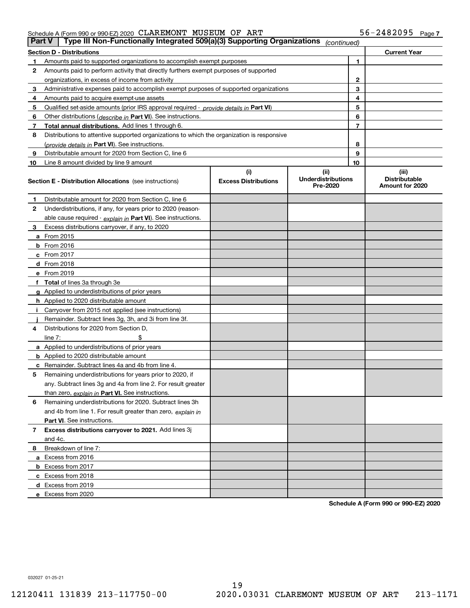| <b>Part V</b> | Type III Non-Functionally Integrated 509(a)(3) Supporting Organizations                    |                             | (continued)                           |                                         |  |
|---------------|--------------------------------------------------------------------------------------------|-----------------------------|---------------------------------------|-----------------------------------------|--|
|               | <b>Section D - Distributions</b>                                                           |                             |                                       | <b>Current Year</b>                     |  |
| 1             | Amounts paid to supported organizations to accomplish exempt purposes                      |                             |                                       | 1                                       |  |
| 2             | Amounts paid to perform activity that directly furthers exempt purposes of supported       |                             |                                       |                                         |  |
|               | organizations, in excess of income from activity                                           |                             |                                       | 2                                       |  |
| 3             | Administrative expenses paid to accomplish exempt purposes of supported organizations      |                             |                                       | 3                                       |  |
| 4             | Amounts paid to acquire exempt-use assets                                                  |                             |                                       | 4                                       |  |
| 5             | Qualified set-aside amounts (prior IRS approval required - provide details in Part VI)     |                             |                                       | 5                                       |  |
| 6             | Other distributions (describe in Part VI). See instructions.                               |                             |                                       | 6                                       |  |
| 7             | Total annual distributions. Add lines 1 through 6.                                         |                             |                                       | 7                                       |  |
| 8             | Distributions to attentive supported organizations to which the organization is responsive |                             |                                       |                                         |  |
|               | (provide details in Part VI). See instructions.                                            |                             |                                       | 8                                       |  |
| 9             | Distributable amount for 2020 from Section C, line 6                                       |                             |                                       | 9                                       |  |
| 10            | Line 8 amount divided by line 9 amount                                                     |                             | 10                                    |                                         |  |
|               |                                                                                            | (i)                         | (ii)                                  | (iii)                                   |  |
|               | <b>Section E - Distribution Allocations</b> (see instructions)                             | <b>Excess Distributions</b> | <b>Underdistributions</b><br>Pre-2020 | <b>Distributable</b><br>Amount for 2020 |  |
| 1             | Distributable amount for 2020 from Section C, line 6                                       |                             |                                       |                                         |  |
| 2             | Underdistributions, if any, for years prior to 2020 (reason-                               |                             |                                       |                                         |  |
|               | able cause required - explain in Part VI). See instructions.                               |                             |                                       |                                         |  |
| 3             | Excess distributions carryover, if any, to 2020                                            |                             |                                       |                                         |  |
|               | <b>a</b> From 2015                                                                         |                             |                                       |                                         |  |
|               | <b>b</b> From 2016                                                                         |                             |                                       |                                         |  |
|               | c From 2017                                                                                |                             |                                       |                                         |  |
|               | <b>d</b> From 2018                                                                         |                             |                                       |                                         |  |
|               | e From 2019                                                                                |                             |                                       |                                         |  |
|               | f Total of lines 3a through 3e                                                             |                             |                                       |                                         |  |
|               | g Applied to underdistributions of prior years                                             |                             |                                       |                                         |  |
|               | <b>h</b> Applied to 2020 distributable amount                                              |                             |                                       |                                         |  |
|               | Carryover from 2015 not applied (see instructions)                                         |                             |                                       |                                         |  |
|               | Remainder. Subtract lines 3g, 3h, and 3i from line 3f.                                     |                             |                                       |                                         |  |
| 4             | Distributions for 2020 from Section D,                                                     |                             |                                       |                                         |  |
|               | line $7:$                                                                                  |                             |                                       |                                         |  |
|               | a Applied to underdistributions of prior years                                             |                             |                                       |                                         |  |
|               | <b>b</b> Applied to 2020 distributable amount                                              |                             |                                       |                                         |  |
|               | c Remainder. Subtract lines 4a and 4b from line 4.                                         |                             |                                       |                                         |  |
| 5             | Remaining underdistributions for years prior to 2020, if                                   |                             |                                       |                                         |  |
|               | any. Subtract lines 3g and 4a from line 2. For result greater                              |                             |                                       |                                         |  |
|               | than zero, explain in Part VI. See instructions.                                           |                             |                                       |                                         |  |
| 6             | Remaining underdistributions for 2020. Subtract lines 3h                                   |                             |                                       |                                         |  |
|               | and 4b from line 1. For result greater than zero, explain in                               |                             |                                       |                                         |  |
|               | Part VI. See instructions.                                                                 |                             |                                       |                                         |  |
| 7             | Excess distributions carryover to 2021. Add lines 3j                                       |                             |                                       |                                         |  |
|               | and 4c.                                                                                    |                             |                                       |                                         |  |
| 8             | Breakdown of line 7:                                                                       |                             |                                       |                                         |  |
|               | a Excess from 2016                                                                         |                             |                                       |                                         |  |
|               | <b>b</b> Excess from 2017                                                                  |                             |                                       |                                         |  |
|               | c Excess from 2018                                                                         |                             |                                       |                                         |  |
|               | d Excess from 2019                                                                         |                             |                                       |                                         |  |
|               | e Excess from 2020                                                                         |                             |                                       |                                         |  |

**Schedule A (Form 990 or 990-EZ) 2020**

032027 01-25-21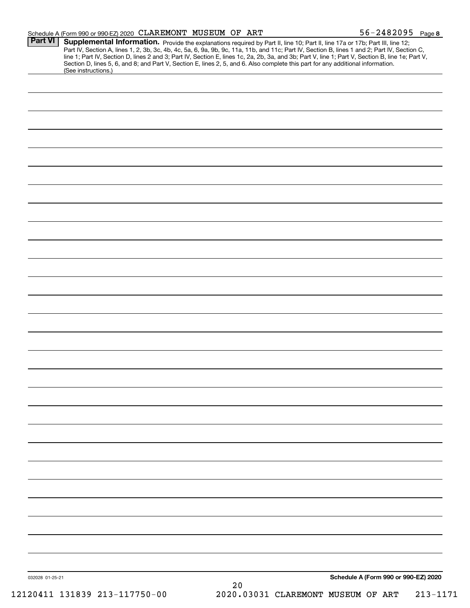|                 | Schedule A (Form 990 or 990-EZ) 2020 CLAREMONT MUSEUM OF ART                                                                                                                                                                                                                                                                                                                                                                      |  |    | $56 - 2482095$ Page 8                |  |
|-----------------|-----------------------------------------------------------------------------------------------------------------------------------------------------------------------------------------------------------------------------------------------------------------------------------------------------------------------------------------------------------------------------------------------------------------------------------|--|----|--------------------------------------|--|
| <b>Part VI</b>  | Supplemental Information. Provide the explanations required by Part II, line 10; Part II, line 17a or 17b; Part III, line 12;<br>Part IV, Section A, lines 1, 2, 3b, 3c, 4b, 4c, 5a, 6, 9a, 9b, 9c, 11a, 11b, and 11c; Part IV, Section B, lines 1 and 2; Part IV, Section C,<br>line 1; Part IV, Section D, lines 2 and 3; Part IV, Section E, lines 1c, 2a, 2b, 3a, and 3b; Part V, line 1; Part V, Section B, line 1e; Part V, |  |    |                                      |  |
|                 | Section D, lines 5, 6, and 8; and Part V, Section E, lines 2, 5, and 6. Also complete this part for any additional information.<br>(See instructions.)                                                                                                                                                                                                                                                                            |  |    |                                      |  |
|                 |                                                                                                                                                                                                                                                                                                                                                                                                                                   |  |    |                                      |  |
|                 |                                                                                                                                                                                                                                                                                                                                                                                                                                   |  |    |                                      |  |
|                 |                                                                                                                                                                                                                                                                                                                                                                                                                                   |  |    |                                      |  |
|                 |                                                                                                                                                                                                                                                                                                                                                                                                                                   |  |    |                                      |  |
|                 |                                                                                                                                                                                                                                                                                                                                                                                                                                   |  |    |                                      |  |
|                 |                                                                                                                                                                                                                                                                                                                                                                                                                                   |  |    |                                      |  |
|                 |                                                                                                                                                                                                                                                                                                                                                                                                                                   |  |    |                                      |  |
|                 |                                                                                                                                                                                                                                                                                                                                                                                                                                   |  |    |                                      |  |
|                 |                                                                                                                                                                                                                                                                                                                                                                                                                                   |  |    |                                      |  |
|                 |                                                                                                                                                                                                                                                                                                                                                                                                                                   |  |    |                                      |  |
|                 |                                                                                                                                                                                                                                                                                                                                                                                                                                   |  |    |                                      |  |
|                 |                                                                                                                                                                                                                                                                                                                                                                                                                                   |  |    |                                      |  |
|                 |                                                                                                                                                                                                                                                                                                                                                                                                                                   |  |    |                                      |  |
|                 |                                                                                                                                                                                                                                                                                                                                                                                                                                   |  |    |                                      |  |
|                 |                                                                                                                                                                                                                                                                                                                                                                                                                                   |  |    |                                      |  |
|                 |                                                                                                                                                                                                                                                                                                                                                                                                                                   |  |    |                                      |  |
|                 |                                                                                                                                                                                                                                                                                                                                                                                                                                   |  |    |                                      |  |
|                 |                                                                                                                                                                                                                                                                                                                                                                                                                                   |  |    |                                      |  |
|                 |                                                                                                                                                                                                                                                                                                                                                                                                                                   |  |    |                                      |  |
|                 |                                                                                                                                                                                                                                                                                                                                                                                                                                   |  |    |                                      |  |
|                 |                                                                                                                                                                                                                                                                                                                                                                                                                                   |  |    |                                      |  |
|                 |                                                                                                                                                                                                                                                                                                                                                                                                                                   |  |    |                                      |  |
|                 |                                                                                                                                                                                                                                                                                                                                                                                                                                   |  |    |                                      |  |
|                 |                                                                                                                                                                                                                                                                                                                                                                                                                                   |  |    |                                      |  |
|                 |                                                                                                                                                                                                                                                                                                                                                                                                                                   |  |    |                                      |  |
|                 |                                                                                                                                                                                                                                                                                                                                                                                                                                   |  |    |                                      |  |
|                 |                                                                                                                                                                                                                                                                                                                                                                                                                                   |  |    |                                      |  |
| 032028 01-25-21 |                                                                                                                                                                                                                                                                                                                                                                                                                                   |  |    | Schedule A (Form 990 or 990-EZ) 2020 |  |
|                 |                                                                                                                                                                                                                                                                                                                                                                                                                                   |  | 20 |                                      |  |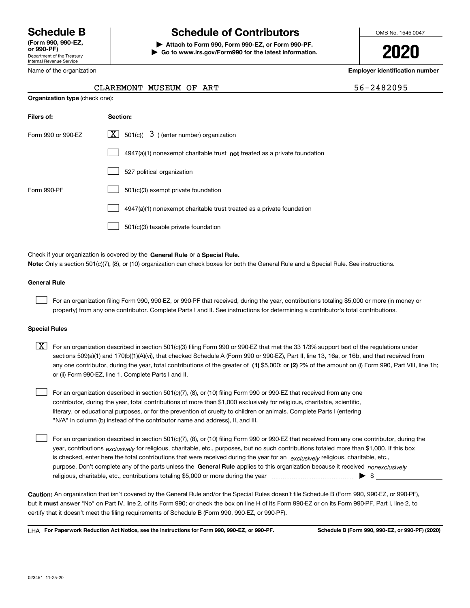Department of the Treasury Internal Revenue Service **(Form 990, 990-EZ, or 990-PF)**

Name of the organization

**Organization type** (check one):

# **Schedule B Schedule of Contributors**

**| Attach to Form 990, Form 990-EZ, or Form 990-PF. | Go to www.irs.gov/Form990 for the latest information.** OMB No. 1545-0047

**2020**

**Employer identification number**

| $6 - 2482095$ |  |
|---------------|--|
|---------------|--|

| CLAREMONT MUSEUM OF ART |  | $156 - 2482095$ |
|-------------------------|--|-----------------|
|                         |  |                 |

| Filers of:         | Section:                                                                    |
|--------------------|-----------------------------------------------------------------------------|
| Form 990 or 990-EZ | $ \mathbf{X} $ 501(c)( 3) (enter number) organization                       |
|                    | $4947(a)(1)$ nonexempt charitable trust not treated as a private foundation |
|                    | 527 political organization                                                  |
| Form 990-PF        | 501(c)(3) exempt private foundation                                         |
|                    | 4947(a)(1) nonexempt charitable trust treated as a private foundation       |
|                    | 501(c)(3) taxable private foundation                                        |

Check if your organization is covered by the **General Rule** or a **Special Rule. Note:**  Only a section 501(c)(7), (8), or (10) organization can check boxes for both the General Rule and a Special Rule. See instructions.

## **General Rule**

 $\mathcal{L}^{\text{max}}$ 

For an organization filing Form 990, 990-EZ, or 990-PF that received, during the year, contributions totaling \$5,000 or more (in money or property) from any one contributor. Complete Parts I and II. See instructions for determining a contributor's total contributions.

## **Special Rules**

any one contributor, during the year, total contributions of the greater of  $\,$  (1) \$5,000; or **(2)** 2% of the amount on (i) Form 990, Part VIII, line 1h;  $\boxed{\textbf{X}}$  For an organization described in section 501(c)(3) filing Form 990 or 990-EZ that met the 33 1/3% support test of the regulations under sections 509(a)(1) and 170(b)(1)(A)(vi), that checked Schedule A (Form 990 or 990-EZ), Part II, line 13, 16a, or 16b, and that received from or (ii) Form 990-EZ, line 1. Complete Parts I and II.

For an organization described in section 501(c)(7), (8), or (10) filing Form 990 or 990-EZ that received from any one contributor, during the year, total contributions of more than \$1,000 exclusively for religious, charitable, scientific, literary, or educational purposes, or for the prevention of cruelty to children or animals. Complete Parts I (entering "N/A" in column (b) instead of the contributor name and address), II, and III.  $\mathcal{L}^{\text{max}}$ 

purpose. Don't complete any of the parts unless the **General Rule** applies to this organization because it received *nonexclusively* year, contributions <sub>exclusively</sub> for religious, charitable, etc., purposes, but no such contributions totaled more than \$1,000. If this box is checked, enter here the total contributions that were received during the year for an  $\;$ exclusively religious, charitable, etc., For an organization described in section 501(c)(7), (8), or (10) filing Form 990 or 990-EZ that received from any one contributor, during the religious, charitable, etc., contributions totaling \$5,000 or more during the year  $\Box$ — $\Box$   $\Box$   $\Box$  $\mathcal{L}^{\text{max}}$ 

**Caution:**  An organization that isn't covered by the General Rule and/or the Special Rules doesn't file Schedule B (Form 990, 990-EZ, or 990-PF),  **must** but it answer "No" on Part IV, line 2, of its Form 990; or check the box on line H of its Form 990-EZ or on its Form 990-PF, Part I, line 2, to certify that it doesn't meet the filing requirements of Schedule B (Form 990, 990-EZ, or 990-PF).

**For Paperwork Reduction Act Notice, see the instructions for Form 990, 990-EZ, or 990-PF. Schedule B (Form 990, 990-EZ, or 990-PF) (2020)** LHA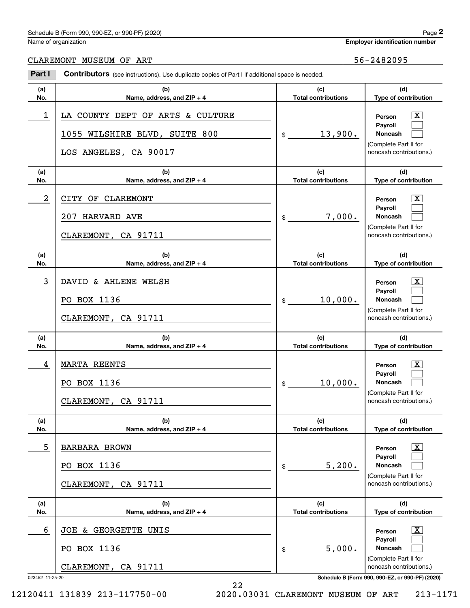## Schedule B (Form 990, 990-EZ, or 990-PF) (2020)  $P_0 = 2$

Name of organization

CLAREMONT MUSEUM OF ART 56-2482095

### **(a)No.(b) Name, address, and ZIP + 4 (c)Total contributions (d)Type of contribution PersonPayrollNoncash (a)No.(b)Name, address, and ZIP + 4 (c)Total contributions (d)Type of contribution PersonPayrollNoncash (a)No.(b)Name, address, and ZIP + 4 (c)Total contributions (d)Type of contribution PersonPayrollNoncash (a) No.(b)Name, address, and ZIP + 4 (c) Total contributions (d) Type of contribution PersonPayrollNoncash(a) No.(b)Name, address, and ZIP + 4 (c) Total contributions (d)Type of contribution PersonPayrollNoncash(a)No.(b)Name, address, and ZIP + 4 (c)Total contributions (d)Type of contribution PersonPayrollNoncash Contributors** (see instructions). Use duplicate copies of Part I if additional space is needed. \$(Complete Part II for noncash contributions.) \$(Complete Part II for noncash contributions.) \$(Complete Part II for noncash contributions.) \$(Complete Part II for noncash contributions.) \$(Complete Part II for noncash contributions.) \$(Complete Part II for noncash contributions.) Employer identification Page 2<br>
Iame of organization<br> **2Part I 2Part I Contributors** (see instructions). Use duplicate copies of Part I if additional space is needed.  $\lceil \text{X} \rceil$  $\mathcal{L}^{\text{max}}$  $\mathcal{L}^{\text{max}}$  $\boxed{\text{X}}$  $\mathcal{L}^{\text{max}}$  $\mathcal{L}^{\text{max}}$  $|X|$  $\mathcal{L}^{\text{max}}$  $\mathcal{L}^{\text{max}}$  $|X|$  $\mathcal{L}^{\text{max}}$  $\mathcal{L}^{\text{max}}$  $|X|$  $\mathcal{L}^{\text{max}}$  $\mathcal{L}^{\text{max}}$  $\boxed{\text{X}}$  $\mathcal{L}^{\text{max}}$  $\mathcal{L}^{\text{max}}$ 1 X LA COUNTY DEPT OF ARTS & CULTURE 13,900. 1055 WILSHIRE BLVD, SUITE 800 LOS ANGELES, CA 90017 2 CITY OF CLAREMONT CONTROL CONTROL CONTROL OF SALE OF A SERIES AND RESONANCE OF A SERIES OF A SERIES OF A SERIES OF A SERIES OF A SERIES OF A SERIES OF A SERIES OF A SERIES OF A SERIES OF A SERIES OF A SERIES OF A SERIES 7,000. 207 HARVARD AVE CLAREMONT, CA 91711 3 X DAVID & AHLENE WELSH 10,000. PO BOX 1136 CLAREMONT, CA 91711 4 X MARTA REENTS 10,000. PO BOX 1136 CLAREMONT, CA 91711 5 X BARBARA BROWN 5,200. PO BOX 1136 CLAREMONT, CA 91711 6 X JOE & GEORGETTE UNIS 5,000. PO BOX 1136 CLAREMONT, CA 91711

023452 11-25-20 **Schedule B (Form 990, 990-EZ, or 990-PF) (2020)**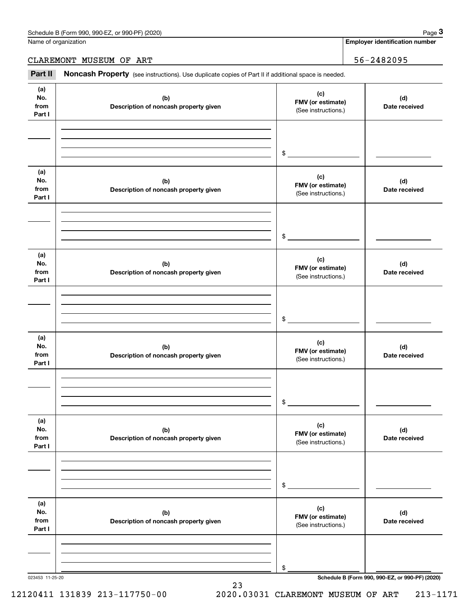Name of organization

**Employer identification number**

CLAREMONT MUSEUM OF ART 36-2482095

Chedule B (Form 990, 990-EZ, or 990-PF) (2020)<br>
lame of organization<br> **3Part II if additional space is needed.**<br> **Part II if additional space is needed.**<br> **Part II if additional space is needed.** 

| (a)<br>No.<br>from<br>Part I | (b)<br>Description of noncash property given | (c)<br>FMV (or estimate)<br>(See instructions.) | (d)<br>Date received                            |
|------------------------------|----------------------------------------------|-------------------------------------------------|-------------------------------------------------|
|                              |                                              | $\frac{1}{2}$                                   |                                                 |
| (a)<br>No.<br>from<br>Part I | (b)<br>Description of noncash property given | (c)<br>FMV (or estimate)<br>(See instructions.) | (d)<br>Date received                            |
|                              |                                              | $\frac{1}{2}$                                   |                                                 |
| (a)<br>No.<br>from<br>Part I | (b)<br>Description of noncash property given | (c)<br>FMV (or estimate)<br>(See instructions.) | (d)<br>Date received                            |
|                              |                                              | $\frac{1}{2}$                                   |                                                 |
| (a)<br>No.<br>from<br>Part I | (b)<br>Description of noncash property given | (c)<br>FMV (or estimate)<br>(See instructions.) | (d)<br>Date received                            |
|                              |                                              | \$                                              |                                                 |
| (a)<br>No.<br>from<br>Part I | (b)<br>Description of noncash property given | (c)<br>FMV (or estimate)<br>(See instructions.) | (d)<br>Date received                            |
|                              |                                              | \$                                              |                                                 |
| (a)<br>No.<br>from<br>Part I | (b)<br>Description of noncash property given | (c)<br>FMV (or estimate)<br>(See instructions.) | (d)<br>Date received                            |
|                              |                                              | \$                                              |                                                 |
| 023453 11-25-20              |                                              |                                                 | Schedule B (Form 990, 990-EZ, or 990-PF) (2020) |

23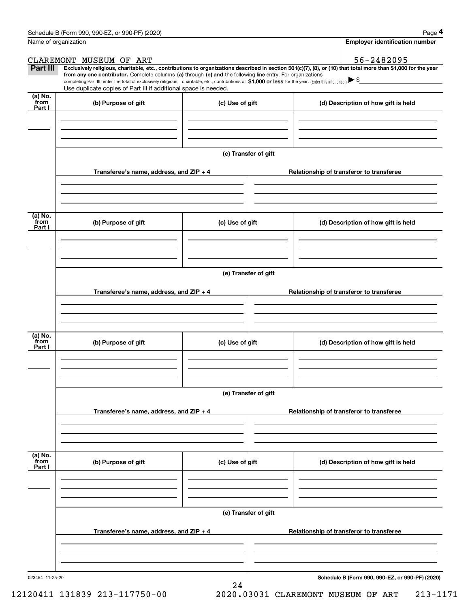|                 | Schedule B (Form 990, 990-EZ, or 990-PF) (2020)                                                                                                                                                                                                                                                                                                                                                                                                                   |                      |                                          |  | Page 4                                   |  |  |
|-----------------|-------------------------------------------------------------------------------------------------------------------------------------------------------------------------------------------------------------------------------------------------------------------------------------------------------------------------------------------------------------------------------------------------------------------------------------------------------------------|----------------------|------------------------------------------|--|------------------------------------------|--|--|
|                 | Name of organization                                                                                                                                                                                                                                                                                                                                                                                                                                              |                      |                                          |  | <b>Employer identification number</b>    |  |  |
|                 | CLAREMONT MUSEUM OF ART                                                                                                                                                                                                                                                                                                                                                                                                                                           |                      |                                          |  | 56-2482095                               |  |  |
| Part III        | Exclusively religious, charitable, etc., contributions to organizations described in section 501(c)(7), (8), or (10) that total more than \$1,000 for the year<br>from any one contributor. Complete columns (a) through (e) and the following line entry. For organizations<br>completing Part III, enter the total of exclusively religious, charitable, etc., contributions of \$1,000 or less for the year. (Enter this info. once.) $\blacktriangleright$ \$ |                      |                                          |  |                                          |  |  |
|                 | Use duplicate copies of Part III if additional space is needed.                                                                                                                                                                                                                                                                                                                                                                                                   |                      |                                          |  |                                          |  |  |
| (a) No.<br>from | (b) Purpose of gift                                                                                                                                                                                                                                                                                                                                                                                                                                               | (c) Use of gift      |                                          |  |                                          |  |  |
| Part I          |                                                                                                                                                                                                                                                                                                                                                                                                                                                                   |                      |                                          |  | (d) Description of how gift is held      |  |  |
|                 |                                                                                                                                                                                                                                                                                                                                                                                                                                                                   |                      |                                          |  |                                          |  |  |
|                 |                                                                                                                                                                                                                                                                                                                                                                                                                                                                   |                      |                                          |  |                                          |  |  |
|                 |                                                                                                                                                                                                                                                                                                                                                                                                                                                                   |                      |                                          |  |                                          |  |  |
|                 |                                                                                                                                                                                                                                                                                                                                                                                                                                                                   | (e) Transfer of gift |                                          |  |                                          |  |  |
|                 |                                                                                                                                                                                                                                                                                                                                                                                                                                                                   |                      |                                          |  |                                          |  |  |
|                 | Transferee's name, address, and ZIP + 4                                                                                                                                                                                                                                                                                                                                                                                                                           |                      |                                          |  | Relationship of transferor to transferee |  |  |
|                 |                                                                                                                                                                                                                                                                                                                                                                                                                                                                   |                      |                                          |  |                                          |  |  |
|                 |                                                                                                                                                                                                                                                                                                                                                                                                                                                                   |                      |                                          |  |                                          |  |  |
|                 |                                                                                                                                                                                                                                                                                                                                                                                                                                                                   |                      |                                          |  |                                          |  |  |
| (a) No.<br>from | (b) Purpose of gift                                                                                                                                                                                                                                                                                                                                                                                                                                               | (c) Use of gift      |                                          |  | (d) Description of how gift is held      |  |  |
| Part I          |                                                                                                                                                                                                                                                                                                                                                                                                                                                                   |                      |                                          |  |                                          |  |  |
|                 |                                                                                                                                                                                                                                                                                                                                                                                                                                                                   |                      |                                          |  |                                          |  |  |
|                 |                                                                                                                                                                                                                                                                                                                                                                                                                                                                   |                      |                                          |  |                                          |  |  |
|                 |                                                                                                                                                                                                                                                                                                                                                                                                                                                                   |                      |                                          |  |                                          |  |  |
|                 | (e) Transfer of gift                                                                                                                                                                                                                                                                                                                                                                                                                                              |                      |                                          |  |                                          |  |  |
|                 |                                                                                                                                                                                                                                                                                                                                                                                                                                                                   |                      |                                          |  |                                          |  |  |
|                 | Transferee's name, address, and ZIP + 4                                                                                                                                                                                                                                                                                                                                                                                                                           |                      |                                          |  | Relationship of transferor to transferee |  |  |
|                 |                                                                                                                                                                                                                                                                                                                                                                                                                                                                   |                      |                                          |  |                                          |  |  |
|                 |                                                                                                                                                                                                                                                                                                                                                                                                                                                                   |                      |                                          |  |                                          |  |  |
|                 |                                                                                                                                                                                                                                                                                                                                                                                                                                                                   |                      |                                          |  |                                          |  |  |
| (a) No.<br>from | (b) Purpose of gift                                                                                                                                                                                                                                                                                                                                                                                                                                               | (c) Use of gift      |                                          |  | (d) Description of how gift is held      |  |  |
| Part I          |                                                                                                                                                                                                                                                                                                                                                                                                                                                                   |                      |                                          |  |                                          |  |  |
|                 |                                                                                                                                                                                                                                                                                                                                                                                                                                                                   |                      |                                          |  |                                          |  |  |
|                 |                                                                                                                                                                                                                                                                                                                                                                                                                                                                   |                      |                                          |  |                                          |  |  |
|                 |                                                                                                                                                                                                                                                                                                                                                                                                                                                                   |                      |                                          |  |                                          |  |  |
|                 |                                                                                                                                                                                                                                                                                                                                                                                                                                                                   | (e) Transfer of gift |                                          |  |                                          |  |  |
|                 |                                                                                                                                                                                                                                                                                                                                                                                                                                                                   |                      |                                          |  |                                          |  |  |
|                 | Transferee's name, address, and $ZIP + 4$                                                                                                                                                                                                                                                                                                                                                                                                                         |                      |                                          |  | Relationship of transferor to transferee |  |  |
|                 |                                                                                                                                                                                                                                                                                                                                                                                                                                                                   |                      |                                          |  |                                          |  |  |
|                 |                                                                                                                                                                                                                                                                                                                                                                                                                                                                   |                      |                                          |  |                                          |  |  |
|                 |                                                                                                                                                                                                                                                                                                                                                                                                                                                                   |                      |                                          |  |                                          |  |  |
| (a) No.<br>from | (b) Purpose of gift                                                                                                                                                                                                                                                                                                                                                                                                                                               | (c) Use of gift      |                                          |  | (d) Description of how gift is held      |  |  |
| Part I          |                                                                                                                                                                                                                                                                                                                                                                                                                                                                   |                      |                                          |  |                                          |  |  |
|                 |                                                                                                                                                                                                                                                                                                                                                                                                                                                                   |                      |                                          |  |                                          |  |  |
|                 |                                                                                                                                                                                                                                                                                                                                                                                                                                                                   |                      |                                          |  |                                          |  |  |
|                 |                                                                                                                                                                                                                                                                                                                                                                                                                                                                   |                      |                                          |  |                                          |  |  |
|                 |                                                                                                                                                                                                                                                                                                                                                                                                                                                                   | (e) Transfer of gift |                                          |  |                                          |  |  |
|                 | Transferee's name, address, and ZIP + 4                                                                                                                                                                                                                                                                                                                                                                                                                           |                      | Relationship of transferor to transferee |  |                                          |  |  |
|                 |                                                                                                                                                                                                                                                                                                                                                                                                                                                                   |                      |                                          |  |                                          |  |  |
|                 |                                                                                                                                                                                                                                                                                                                                                                                                                                                                   |                      |                                          |  |                                          |  |  |
|                 |                                                                                                                                                                                                                                                                                                                                                                                                                                                                   |                      |                                          |  |                                          |  |  |
|                 |                                                                                                                                                                                                                                                                                                                                                                                                                                                                   |                      |                                          |  |                                          |  |  |

24

023454 11-25-20

**Schedule B (Form 990, 990-EZ, or 990-PF) (2020)**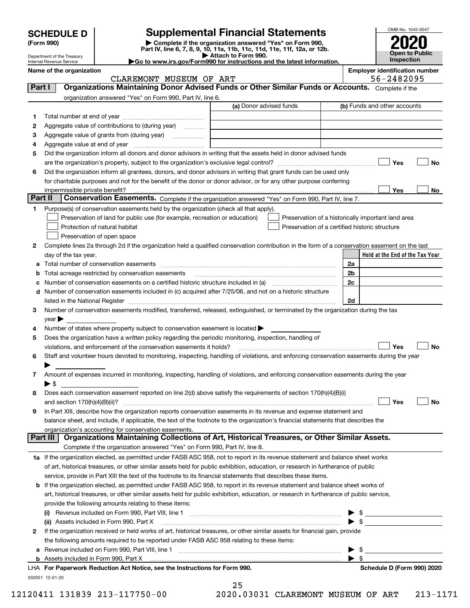| <b>HEDULE D</b> : |  |
|-------------------|--|
| <b>AA</b>         |  |

## **SCHEDULE D Supplemental Financial Statements**

**(Form 990)** (**Form 990,**<br>Part IV, line 6, 7, 8, 9, 10, 11a, 11b, 11c, 11d, 11e, 11f, 12a, or 12b.<br>Department of the Treasury **and Exercise Connect Connect Connect Connect Connect Connect Connect Connect Connect** 



Department of the Treasury Internal Revenue Service

| Attach to Form 990.                                                                          |
|----------------------------------------------------------------------------------------------|
| $\blacktriangleright$ Go to www.irs.gov/Form990 for instructions and the latest information. |

| Name of the organization<br>CLAREMONT MUSEUM OF ART |                                                                                                                                                                                                                               |                         |                                                    |                          | <b>Employer identification number</b><br>56-2482095 |           |  |  |  |
|-----------------------------------------------------|-------------------------------------------------------------------------------------------------------------------------------------------------------------------------------------------------------------------------------|-------------------------|----------------------------------------------------|--------------------------|-----------------------------------------------------|-----------|--|--|--|
| Part I                                              | Organizations Maintaining Donor Advised Funds or Other Similar Funds or Accounts. Complete if the                                                                                                                             |                         |                                                    |                          |                                                     |           |  |  |  |
|                                                     |                                                                                                                                                                                                                               |                         |                                                    |                          |                                                     |           |  |  |  |
|                                                     | organization answered "Yes" on Form 990, Part IV, line 6.                                                                                                                                                                     | (a) Donor advised funds |                                                    |                          | (b) Funds and other accounts                        |           |  |  |  |
|                                                     |                                                                                                                                                                                                                               |                         |                                                    |                          |                                                     |           |  |  |  |
| 1                                                   |                                                                                                                                                                                                                               |                         |                                                    |                          |                                                     |           |  |  |  |
| 2                                                   | Aggregate value of contributions to (during year)                                                                                                                                                                             |                         |                                                    |                          |                                                     |           |  |  |  |
| з                                                   | Aggregate value of grants from (during year)                                                                                                                                                                                  |                         |                                                    |                          |                                                     |           |  |  |  |
| 4                                                   |                                                                                                                                                                                                                               |                         |                                                    |                          |                                                     |           |  |  |  |
| 5                                                   | Did the organization inform all donors and donor advisors in writing that the assets held in donor advised funds                                                                                                              |                         |                                                    |                          |                                                     |           |  |  |  |
|                                                     |                                                                                                                                                                                                                               |                         |                                                    |                          | Yes                                                 | No        |  |  |  |
| 6                                                   | Did the organization inform all grantees, donors, and donor advisors in writing that grant funds can be used only                                                                                                             |                         |                                                    |                          |                                                     |           |  |  |  |
|                                                     | for charitable purposes and not for the benefit of the donor or donor advisor, or for any other purpose conferring                                                                                                            |                         |                                                    |                          |                                                     |           |  |  |  |
| Part II                                             | Conservation Easements. Complete if the organization answered "Yes" on Form 990, Part IV, line 7.                                                                                                                             |                         |                                                    |                          | Yes                                                 | No        |  |  |  |
|                                                     |                                                                                                                                                                                                                               |                         |                                                    |                          |                                                     |           |  |  |  |
| 1.                                                  | Purpose(s) of conservation easements held by the organization (check all that apply).<br>Preservation of land for public use (for example, recreation or education)                                                           |                         |                                                    |                          |                                                     |           |  |  |  |
|                                                     | Protection of natural habitat                                                                                                                                                                                                 |                         | Preservation of a historically important land area |                          |                                                     |           |  |  |  |
|                                                     |                                                                                                                                                                                                                               |                         | Preservation of a certified historic structure     |                          |                                                     |           |  |  |  |
|                                                     | Preservation of open space                                                                                                                                                                                                    |                         |                                                    |                          |                                                     |           |  |  |  |
| 2                                                   | Complete lines 2a through 2d if the organization held a qualified conservation contribution in the form of a conservation easement on the last                                                                                |                         |                                                    |                          |                                                     |           |  |  |  |
|                                                     | day of the tax year.                                                                                                                                                                                                          |                         |                                                    |                          | Held at the End of the Tax Year                     |           |  |  |  |
| a                                                   | Total number of conservation easements                                                                                                                                                                                        |                         |                                                    | 2a                       |                                                     |           |  |  |  |
| b                                                   | Total acreage restricted by conservation easements                                                                                                                                                                            |                         |                                                    | 2b                       |                                                     |           |  |  |  |
| с                                                   |                                                                                                                                                                                                                               |                         |                                                    | 2c                       |                                                     |           |  |  |  |
|                                                     | d Number of conservation easements included in (c) acquired after 7/25/06, and not on a historic structure                                                                                                                    |                         |                                                    |                          |                                                     |           |  |  |  |
|                                                     | listed in the National Register [11, 1200] [12] The National Register [11, 1200] [12] The National Register [11, 1200] [12] The National Register [11, 1200] [12] The National Register [11, 1200] [12] The National Register |                         |                                                    | 2d                       |                                                     |           |  |  |  |
| 3                                                   | Number of conservation easements modified, transferred, released, extinguished, or terminated by the organization during the tax                                                                                              |                         |                                                    |                          |                                                     |           |  |  |  |
|                                                     | $year \blacktriangleright$                                                                                                                                                                                                    |                         |                                                    |                          |                                                     |           |  |  |  |
| 4                                                   | Number of states where property subject to conservation easement is located >                                                                                                                                                 |                         |                                                    |                          |                                                     |           |  |  |  |
| 5                                                   | Does the organization have a written policy regarding the periodic monitoring, inspection, handling of                                                                                                                        |                         |                                                    |                          |                                                     |           |  |  |  |
|                                                     | violations, and enforcement of the conservation easements it holds?                                                                                                                                                           |                         |                                                    |                          | Yes                                                 | <b>No</b> |  |  |  |
| 6                                                   | Staff and volunteer hours devoted to monitoring, inspecting, handling of violations, and enforcing conservation easements during the year                                                                                     |                         |                                                    |                          |                                                     |           |  |  |  |
|                                                     |                                                                                                                                                                                                                               |                         |                                                    |                          |                                                     |           |  |  |  |
| 7                                                   | Amount of expenses incurred in monitoring, inspecting, handling of violations, and enforcing conservation easements during the year                                                                                           |                         |                                                    |                          |                                                     |           |  |  |  |
|                                                     | ▶ \$                                                                                                                                                                                                                          |                         |                                                    |                          |                                                     |           |  |  |  |
| 8                                                   | Does each conservation easement reported on line 2(d) above satisfy the requirements of section 170(h)(4)(B)(i)                                                                                                               |                         |                                                    |                          |                                                     |           |  |  |  |
|                                                     |                                                                                                                                                                                                                               |                         |                                                    |                          | Yes                                                 | No        |  |  |  |
|                                                     | In Part XIII, describe how the organization reports conservation easements in its revenue and expense statement and                                                                                                           |                         |                                                    |                          |                                                     |           |  |  |  |
|                                                     | balance sheet, and include, if applicable, the text of the footnote to the organization's financial statements that describes the                                                                                             |                         |                                                    |                          |                                                     |           |  |  |  |
|                                                     | organization's accounting for conservation easements.<br>Organizations Maintaining Collections of Art, Historical Treasures, or Other Similar Assets.<br>Part III                                                             |                         |                                                    |                          |                                                     |           |  |  |  |
|                                                     | Complete if the organization answered "Yes" on Form 990, Part IV, line 8.                                                                                                                                                     |                         |                                                    |                          |                                                     |           |  |  |  |
|                                                     | 1a If the organization elected, as permitted under FASB ASC 958, not to report in its revenue statement and balance sheet works                                                                                               |                         |                                                    |                          |                                                     |           |  |  |  |
|                                                     |                                                                                                                                                                                                                               |                         |                                                    |                          |                                                     |           |  |  |  |
|                                                     | of art, historical treasures, or other similar assets held for public exhibition, education, or research in furtherance of public                                                                                             |                         |                                                    |                          |                                                     |           |  |  |  |
|                                                     | service, provide in Part XIII the text of the footnote to its financial statements that describes these items.                                                                                                                |                         |                                                    |                          |                                                     |           |  |  |  |
|                                                     | <b>b</b> If the organization elected, as permitted under FASB ASC 958, to report in its revenue statement and balance sheet works of                                                                                          |                         |                                                    |                          |                                                     |           |  |  |  |
|                                                     | art, historical treasures, or other similar assets held for public exhibition, education, or research in furtherance of public service,                                                                                       |                         |                                                    |                          |                                                     |           |  |  |  |
|                                                     | provide the following amounts relating to these items:                                                                                                                                                                        |                         |                                                    |                          |                                                     |           |  |  |  |
|                                                     |                                                                                                                                                                                                                               |                         |                                                    | -\$                      |                                                     |           |  |  |  |
|                                                     | (ii) Assets included in Form 990, Part X                                                                                                                                                                                      |                         |                                                    | $\blacktriangleright$ \$ |                                                     |           |  |  |  |
| 2                                                   | If the organization received or held works of art, historical treasures, or other similar assets for financial gain, provide                                                                                                  |                         |                                                    |                          |                                                     |           |  |  |  |
|                                                     | the following amounts required to be reported under FASB ASC 958 relating to these items:                                                                                                                                     |                         |                                                    |                          |                                                     |           |  |  |  |
| a                                                   |                                                                                                                                                                                                                               |                         |                                                    | - \$                     |                                                     |           |  |  |  |
|                                                     | <b>b</b> Assets included in Form 990, Part X                                                                                                                                                                                  |                         |                                                    | $\blacktriangleright$ s  |                                                     |           |  |  |  |
|                                                     | LHA For Paperwork Reduction Act Notice, see the Instructions for Form 990.                                                                                                                                                    |                         |                                                    |                          | Schedule D (Form 990) 2020                          |           |  |  |  |
|                                                     | 032051 12-01-20                                                                                                                                                                                                               | 25                      |                                                    |                          |                                                     |           |  |  |  |
|                                                     |                                                                                                                                                                                                                               |                         |                                                    |                          |                                                     |           |  |  |  |

|  |      | 25 |  |
|--|------|----|--|
|  | つのつの |    |  |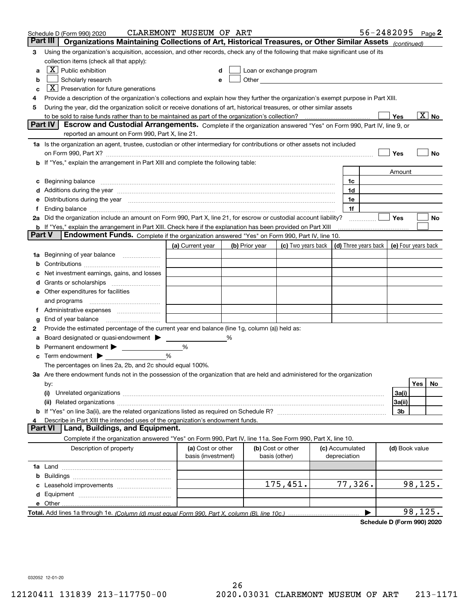|        | Schedule D (Form 990) 2020                                                                                                                                                                                                     | CLAREMONT MUSEUM OF ART                 |   |                |                                                                                                                                                                                                                               |                                 | $56 - 2482095$ Page 2 |                     |         |                            |
|--------|--------------------------------------------------------------------------------------------------------------------------------------------------------------------------------------------------------------------------------|-----------------------------------------|---|----------------|-------------------------------------------------------------------------------------------------------------------------------------------------------------------------------------------------------------------------------|---------------------------------|-----------------------|---------------------|---------|----------------------------|
|        | Part III<br>Organizations Maintaining Collections of Art, Historical Treasures, or Other Similar Assets (continued)                                                                                                            |                                         |   |                |                                                                                                                                                                                                                               |                                 |                       |                     |         |                            |
| 3      | Using the organization's acquisition, accession, and other records, check any of the following that make significant use of its                                                                                                |                                         |   |                |                                                                                                                                                                                                                               |                                 |                       |                     |         |                            |
|        | collection items (check all that apply):                                                                                                                                                                                       |                                         |   |                |                                                                                                                                                                                                                               |                                 |                       |                     |         |                            |
| a      | $X$ Public exhibition                                                                                                                                                                                                          |                                         |   |                | Loan or exchange program                                                                                                                                                                                                      |                                 |                       |                     |         |                            |
| b      | Scholarly research                                                                                                                                                                                                             |                                         |   |                | Other and the contract of the contract of the contract of the contract of the contract of the contract of the contract of the contract of the contract of the contract of the contract of the contract of the contract of the |                                 |                       |                     |         |                            |
| с      | $\boxed{\textbf{X}}$ Preservation for future generations                                                                                                                                                                       |                                         |   |                |                                                                                                                                                                                                                               |                                 |                       |                     |         |                            |
| 4      | Provide a description of the organization's collections and explain how they further the organization's exempt purpose in Part XIII.                                                                                           |                                         |   |                |                                                                                                                                                                                                                               |                                 |                       |                     |         |                            |
| 5      | During the year, did the organization solicit or receive donations of art, historical treasures, or other similar assets                                                                                                       |                                         |   |                |                                                                                                                                                                                                                               |                                 |                       |                     |         |                            |
|        | to be sold to raise funds rather than to be maintained as part of the organization's collection?                                                                                                                               |                                         |   |                |                                                                                                                                                                                                                               |                                 |                       | Yes                 |         | $\overline{\mathrm{X}}$ No |
|        | Escrow and Custodial Arrangements. Complete if the organization answered "Yes" on Form 990, Part IV, line 9, or<br><b>Part IV</b>                                                                                              |                                         |   |                |                                                                                                                                                                                                                               |                                 |                       |                     |         |                            |
|        | reported an amount on Form 990, Part X, line 21.                                                                                                                                                                               |                                         |   |                |                                                                                                                                                                                                                               |                                 |                       |                     |         |                            |
|        | 1a Is the organization an agent, trustee, custodian or other intermediary for contributions or other assets not included                                                                                                       |                                         |   |                |                                                                                                                                                                                                                               |                                 |                       |                     |         |                            |
|        | on Form 990, Part X? [11] matter contracts and contracts and contracts are contracted as a form 990, Part X?                                                                                                                   |                                         |   |                |                                                                                                                                                                                                                               |                                 |                       | Yes                 |         | No                         |
|        | <b>b</b> If "Yes," explain the arrangement in Part XIII and complete the following table:                                                                                                                                      |                                         |   |                |                                                                                                                                                                                                                               |                                 |                       |                     |         |                            |
|        |                                                                                                                                                                                                                                |                                         |   |                |                                                                                                                                                                                                                               |                                 |                       | Amount              |         |                            |
| c      | Beginning balance <u>www.marent.com married was contracted</u> and the contracted and the contracted and the contracted                                                                                                        |                                         |   |                |                                                                                                                                                                                                                               | 1c                              |                       |                     |         |                            |
|        | d Additions during the year manufactured and an according to Additions during the year manufactured and according the year manufactured and according the year manufactured and according the year manufactured and according  |                                         |   |                |                                                                                                                                                                                                                               | 1d                              |                       |                     |         |                            |
| е      | Distributions during the year manufactured and an account of the year manufactured and the year manufactured and the year manufactured and the year manufactured and the year manufactured and the year manufactured and the y |                                         |   |                |                                                                                                                                                                                                                               | 1e                              |                       |                     |         |                            |
|        |                                                                                                                                                                                                                                |                                         |   |                |                                                                                                                                                                                                                               | 1f                              |                       |                     |         |                            |
|        | 2a Did the organization include an amount on Form 990, Part X, line 21, for escrow or custodial account liability?                                                                                                             |                                         |   |                |                                                                                                                                                                                                                               |                                 | .                     | Yes                 |         | No                         |
| Part V | <b>b</b> If "Yes," explain the arrangement in Part XIII. Check here if the explanation has been provided on Part XIII<br>Endowment Funds. Complete if the organization answered "Yes" on Form 990, Part IV, line 10.           |                                         |   |                |                                                                                                                                                                                                                               |                                 |                       |                     |         |                            |
|        |                                                                                                                                                                                                                                | (a) Current year                        |   | (b) Prior year | (c) Two years back $\vert$ (d) Three years back $\vert$                                                                                                                                                                       |                                 |                       | (e) Four years back |         |                            |
|        | 1a Beginning of year balance                                                                                                                                                                                                   |                                         |   |                |                                                                                                                                                                                                                               |                                 |                       |                     |         |                            |
| b      |                                                                                                                                                                                                                                |                                         |   |                |                                                                                                                                                                                                                               |                                 |                       |                     |         |                            |
|        | Net investment earnings, gains, and losses                                                                                                                                                                                     |                                         |   |                |                                                                                                                                                                                                                               |                                 |                       |                     |         |                            |
|        |                                                                                                                                                                                                                                |                                         |   |                |                                                                                                                                                                                                                               |                                 |                       |                     |         |                            |
|        | e Other expenditures for facilities                                                                                                                                                                                            |                                         |   |                |                                                                                                                                                                                                                               |                                 |                       |                     |         |                            |
|        |                                                                                                                                                                                                                                |                                         |   |                |                                                                                                                                                                                                                               |                                 |                       |                     |         |                            |
|        | f Administrative expenses                                                                                                                                                                                                      |                                         |   |                |                                                                                                                                                                                                                               |                                 |                       |                     |         |                            |
| g      | End of year balance <i>manually contained</i>                                                                                                                                                                                  |                                         |   |                |                                                                                                                                                                                                                               |                                 |                       |                     |         |                            |
| 2      | Provide the estimated percentage of the current year end balance (line 1g, column (a)) held as:                                                                                                                                |                                         |   |                |                                                                                                                                                                                                                               |                                 |                       |                     |         |                            |
| а      | Board designated or quasi-endowment >                                                                                                                                                                                          |                                         | % |                |                                                                                                                                                                                                                               |                                 |                       |                     |         |                            |
| b      | Permanent endowment >                                                                                                                                                                                                          | %                                       |   |                |                                                                                                                                                                                                                               |                                 |                       |                     |         |                            |
| c      | Term endowment $\blacktriangleright$                                                                                                                                                                                           | %                                       |   |                |                                                                                                                                                                                                                               |                                 |                       |                     |         |                            |
|        | The percentages on lines 2a, 2b, and 2c should equal 100%.                                                                                                                                                                     |                                         |   |                |                                                                                                                                                                                                                               |                                 |                       |                     |         |                            |
|        | 3a Are there endowment funds not in the possession of the organization that are held and administered for the organization                                                                                                     |                                         |   |                |                                                                                                                                                                                                                               |                                 |                       |                     |         |                            |
|        | by:                                                                                                                                                                                                                            |                                         |   |                |                                                                                                                                                                                                                               |                                 |                       |                     | Yes     | No                         |
|        | (i)                                                                                                                                                                                                                            |                                         |   |                |                                                                                                                                                                                                                               |                                 |                       | 3a(i)               |         |                            |
|        |                                                                                                                                                                                                                                |                                         |   |                |                                                                                                                                                                                                                               |                                 |                       | 3a(ii)              |         |                            |
|        |                                                                                                                                                                                                                                |                                         |   |                |                                                                                                                                                                                                                               |                                 |                       | 3b                  |         |                            |
| 4      | Describe in Part XIII the intended uses of the organization's endowment funds.                                                                                                                                                 |                                         |   |                |                                                                                                                                                                                                                               |                                 |                       |                     |         |                            |
|        | Land, Buildings, and Equipment.<br><b>Part VI</b>                                                                                                                                                                              |                                         |   |                |                                                                                                                                                                                                                               |                                 |                       |                     |         |                            |
|        | Complete if the organization answered "Yes" on Form 990, Part IV, line 11a. See Form 990, Part X, line 10.                                                                                                                     |                                         |   |                |                                                                                                                                                                                                                               |                                 |                       |                     |         |                            |
|        | Description of property                                                                                                                                                                                                        | (a) Cost or other<br>basis (investment) |   | basis (other)  | (b) Cost or other                                                                                                                                                                                                             | (c) Accumulated<br>depreciation |                       | (d) Book value      |         |                            |
|        |                                                                                                                                                                                                                                |                                         |   |                |                                                                                                                                                                                                                               |                                 |                       |                     |         |                            |
| b      |                                                                                                                                                                                                                                |                                         |   |                |                                                                                                                                                                                                                               |                                 |                       |                     |         |                            |
|        |                                                                                                                                                                                                                                |                                         |   |                | 175,451.                                                                                                                                                                                                                      | 77,326.                         |                       |                     | 98,125. |                            |
|        |                                                                                                                                                                                                                                |                                         |   |                |                                                                                                                                                                                                                               |                                 |                       |                     |         |                            |
|        |                                                                                                                                                                                                                                |                                         |   |                |                                                                                                                                                                                                                               |                                 |                       |                     |         |                            |
|        |                                                                                                                                                                                                                                |                                         |   |                |                                                                                                                                                                                                                               |                                 | ▶                     |                     | 98,125. |                            |

**Schedule D (Form 990) 2020**

032052 12-01-20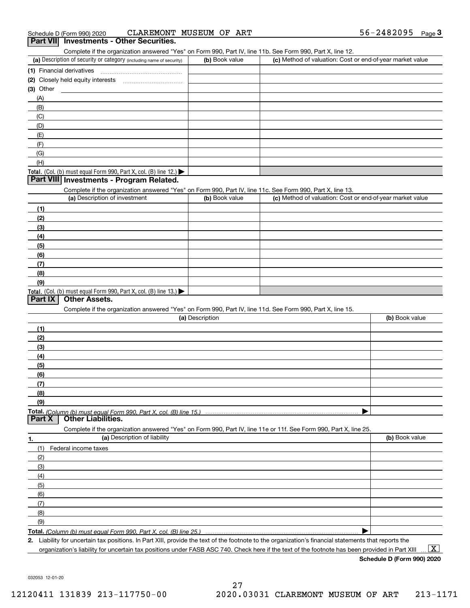Complete if the organization answered "Yes" on Form 990, Part IV, line 11b. See Form 990, Part X, line 12.

| (a) Description of security or category (including name of security)                   | (b) Book value | (c) Method of valuation: Cost or end-of-year market value |
|----------------------------------------------------------------------------------------|----------------|-----------------------------------------------------------|
| (1) Financial derivatives                                                              |                |                                                           |
| (2) Closely held equity interests                                                      |                |                                                           |
| $(3)$ Other                                                                            |                |                                                           |
| (A)                                                                                    |                |                                                           |
| (B)                                                                                    |                |                                                           |
| (C)                                                                                    |                |                                                           |
| (D)                                                                                    |                |                                                           |
| (E)                                                                                    |                |                                                           |
| (F)                                                                                    |                |                                                           |
| (G)                                                                                    |                |                                                           |
| (H)                                                                                    |                |                                                           |
| Total. (Col. (b) must equal Form 990, Part X, col. (B) line 12.) $\blacktriangleright$ |                |                                                           |

## **Part VIII Investments - Program Related.**

Complete if the organization answered "Yes" on Form 990, Part IV, line 11c. See Form 990, Part X, line 13.

| (a) Description of investment                                       | (b) Book value | (c) Method of valuation: Cost or end-of-year market value |
|---------------------------------------------------------------------|----------------|-----------------------------------------------------------|
| (1)                                                                 |                |                                                           |
| (2)                                                                 |                |                                                           |
| $\frac{1}{2}$                                                       |                |                                                           |
| (4)                                                                 |                |                                                           |
| $\left(5\right)$                                                    |                |                                                           |
| (6)                                                                 |                |                                                           |
| (7)                                                                 |                |                                                           |
| (8)                                                                 |                |                                                           |
| (9)                                                                 |                |                                                           |
| Total. (Col. (b) must equal Form 990, Part X, col. (B) line $13.$ ) |                |                                                           |

## **Part IX Other Assets.**

Complete if the organization answered "Yes" on Form 990, Part IV, line 11d. See Form 990, Part X, line 15.

| (a) Description                                                                                                   | (b) Book value |
|-------------------------------------------------------------------------------------------------------------------|----------------|
| (1)                                                                                                               |                |
| (2)                                                                                                               |                |
| (3)                                                                                                               |                |
| (4)                                                                                                               |                |
| (5)                                                                                                               |                |
| (6)                                                                                                               |                |
|                                                                                                                   |                |
| (8)                                                                                                               |                |
| (9)                                                                                                               |                |
|                                                                                                                   |                |
| <b>Part X</b> Other Liabilities.                                                                                  |                |
| Complete if the organization answered "Yes" on Form 990, Part IV, line 11e or 11f. See Form 990, Part X, line 25. |                |

**1.(a)** Description of liability **Book value** Book value Book value Book value Book value **Total.**  *(Column (b) must equal Form 990, Part X, col. (B) line 25.)* (1)Federal income taxes (2)(3)(4)(5) (6)(7)(8)(9) $\blacktriangleright$ 

**2.**Liability for uncertain tax positions. In Part XIII, provide the text of the footnote to the organization's financial statements that reports the

organization's liability for uncertain tax positions under FASB ASC 740. Check here if the text of the footnote has been provided in Part XIII

**Schedule D (Form 990) 2020**

 $\boxed{\text{X}}$ 

032053 12-01-20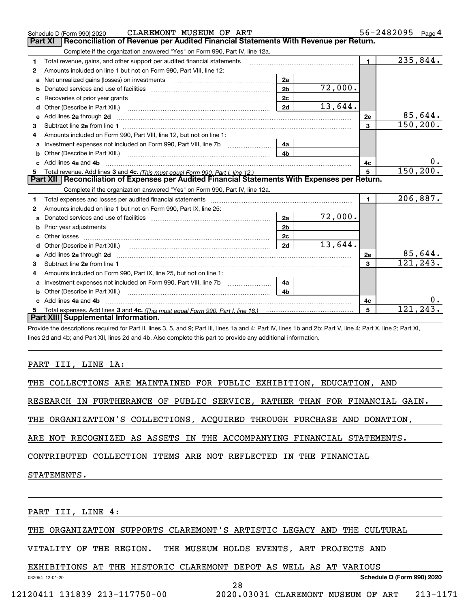|   | CLAREMONT MUSEUM OF ART<br>Schedule D (Form 990) 2020                                                                                                                                                                               |                |         |                | 56-2482095 | Page 4  |
|---|-------------------------------------------------------------------------------------------------------------------------------------------------------------------------------------------------------------------------------------|----------------|---------|----------------|------------|---------|
|   | Part XI<br>Reconciliation of Revenue per Audited Financial Statements With Revenue per Return.                                                                                                                                      |                |         |                |            |         |
|   | Complete if the organization answered "Yes" on Form 990, Part IV, line 12a.                                                                                                                                                         |                |         |                |            |         |
| 1 | Total revenue, gains, and other support per audited financial statements                                                                                                                                                            |                |         | $\blacksquare$ | 235,844.   |         |
| 2 | Amounts included on line 1 but not on Form 990, Part VIII, line 12:                                                                                                                                                                 |                |         |                |            |         |
| a |                                                                                                                                                                                                                                     | 2a             |         |                |            |         |
| b |                                                                                                                                                                                                                                     | 2 <sub>b</sub> | 72,000. |                |            |         |
|   |                                                                                                                                                                                                                                     | 2 <sub>c</sub> |         |                |            |         |
| d | Other (Describe in Part XIII.) <b>Construction Construction</b> and Table 10 and Table 2014                                                                                                                                         | 2d             | 13,644. |                |            |         |
| e | Add lines 2a through 2d                                                                                                                                                                                                             |                |         | 2e             |            | 85,644. |
| 3 |                                                                                                                                                                                                                                     |                |         | 3              | 150, 200.  |         |
| 4 | Amounts included on Form 990, Part VIII, line 12, but not on line 1:                                                                                                                                                                |                |         |                |            |         |
| a |                                                                                                                                                                                                                                     | 4a             |         |                |            |         |
|   |                                                                                                                                                                                                                                     | 4 <sub>b</sub> |         |                |            |         |
|   | Add lines 4a and 4b                                                                                                                                                                                                                 |                |         | 4c             |            | 0.      |
| 5 |                                                                                                                                                                                                                                     |                |         | 5              | 150, 200.  |         |
|   | Part XII   Reconciliation of Expenses per Audited Financial Statements With Expenses per Return.                                                                                                                                    |                |         |                |            |         |
|   | Complete if the organization answered "Yes" on Form 990, Part IV, line 12a.                                                                                                                                                         |                |         |                |            |         |
| 1 | Total expenses and losses per audited financial statements [11, 11] manuscription control expenses and losses per audited financial statements [11] manuscription of the statements [11] manuscription of the statements [11]       |                |         | $\blacksquare$ | 206,887.   |         |
| 2 | Amounts included on line 1 but not on Form 990, Part IX, line 25:                                                                                                                                                                   |                |         |                |            |         |
|   |                                                                                                                                                                                                                                     | 2a             | 72,000. |                |            |         |
| b |                                                                                                                                                                                                                                     | 2 <sub>b</sub> |         |                |            |         |
|   |                                                                                                                                                                                                                                     | 2c             |         |                |            |         |
| d |                                                                                                                                                                                                                                     | 2d             | 13,644. |                |            |         |
| е | Add lines 2a through 2d <b>must be a constructed as a constructed by a</b> construction of the state of the state of the state of the state of the state of the state of the state of the state of the state of the state of the st |                |         | <b>2e</b>      |            | 85,644. |
| 3 |                                                                                                                                                                                                                                     |                |         | 3              | 121,243.   |         |
|   | Amounts included on Form 990, Part IX, line 25, but not on line 1:                                                                                                                                                                  |                |         |                |            |         |
| a | Investment expenses not included on Form 990, Part VIII, line 7b [11, 111, 111, 111]                                                                                                                                                | 4a             |         |                |            |         |
|   | <b>b</b> Other (Describe in Part XIII.)                                                                                                                                                                                             | 4 <sub>b</sub> |         |                |            |         |
|   | Add lines 4a and 4b                                                                                                                                                                                                                 |                |         | 4c             |            | $0$ .   |
| 5 |                                                                                                                                                                                                                                     |                |         | 5              | 121, 243.  |         |
|   | Part XIII Supplemental Information.                                                                                                                                                                                                 |                |         |                |            |         |
|   | Describe the decorrections required for Doubli lines O. F. and O. Doublil lines do and A. Doubling discond Ob. Doubling A. Doubling O. Doubling O. Doubling O. Doubling O. Doubling O. Doubling O. Doubling O. Doubling O. Dou      |                |         |                |            |         |

Provide the descriptions required for Part II, lines 3, 5, and 9; Part III, lines 1a and 4; Part IV, lines 1b and 2b; Part V, line 4; Part X, line 2; Part XI, lines 2d and 4b; and Part XII, lines 2d and 4b. Also complete this part to provide any additional information.

## PART III, LINE 1A:

|  | THE COLLECTIONS ARE MAINTAINED FOR PUBLIC EXHIBITION, EDUCATION, AND |  |  |  |  |  |  |  |
|--|----------------------------------------------------------------------|--|--|--|--|--|--|--|
|--|----------------------------------------------------------------------|--|--|--|--|--|--|--|

RESEARCH IN FURTHERANCE OF PUBLIC SERVICE, RATHER THAN FOR FINANCIAL GAIN.

THE ORGANIZATION'S COLLECTIONS, ACQUIRED THROUGH PURCHASE AND DONATION,

ARE NOT RECOGNIZED AS ASSETS IN THE ACCOMPANYING FINANCIAL STATEMENTS.

CONTRIBUTED COLLECTION ITEMS ARE NOT REFLECTED IN THE FINANCIAL

STATEMENTS.

032054 12-01-20

PART III, LINE 4:

THE ORGANIZATION SUPPORTS CLAREMONT'S ARTISTIC LEGACY AND THE CULTURAL

VITALITY OF THE REGION. THE MUSEUM HOLDS EVENTS, ART PROJECTS AND

EXHIBITIONS AT THE HISTORIC CLAREMONT DEPOT AS WELL AS AT VARIOUS

**Schedule D (Form 990) 2020**

28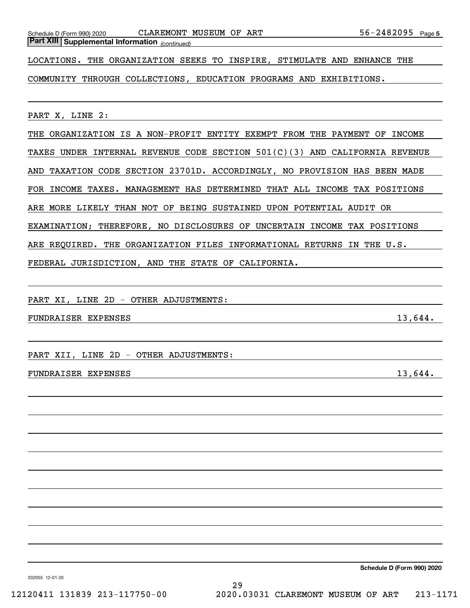Schedule D (Form 990) 2020 CLAREMONT MUSEUM OF ART 56-2482095 Page

*(continued)* **Part XIII Supplemental Information** 

LOCATIONS. THE ORGANIZATION SEEKS TO INSPIRE, STIMULATE AND ENHANCE THE

COMMUNITY THROUGH COLLECTIONS, EDUCATION PROGRAMS AND EXHIBITIONS.

PART X, LINE 2:

THE ORGANIZATION IS A NON-PROFIT ENTITY EXEMPT FROM THE PAYMENT OF INCOME TAXES UNDER INTERNAL REVENUE CODE SECTION 501(C)(3) AND CALIFORNIA REVENUE AND TAXATION CODE SECTION 23701D. ACCORDINGLY, NO PROVISION HAS BEEN MADE FOR INCOME TAXES. MANAGEMENT HAS DETERMINED THAT ALL INCOME TAX POSITIONS ARE MORE LIKELY THAN NOT OF BEING SUSTAINED UPON POTENTIAL AUDIT OR EXAMINATION; THEREFORE, NO DISCLOSURES OF UNCERTAIN INCOME TAX POSITIONS ARE REQUIRED. THE ORGANIZATION FILES INFORMATIONAL RETURNS IN THE U.S. FEDERAL JURISDICTION, AND THE STATE OF CALIFORNIA.

PART XI, LINE 2D - OTHER ADJUSTMENTS:

FUNDRAISER EXPENSES 13,644.

PART XII, LINE 2D - OTHER ADJUSTMENTS:

## FUNDRAISER EXPENSES 13,644.

**Schedule D (Form 990) 2020**

032055 12-01-20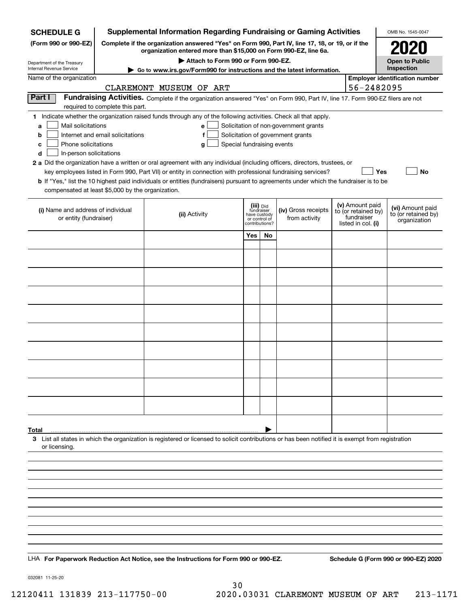| <b>Supplemental Information Regarding Fundraising or Gaming Activities</b><br><b>SCHEDULE G</b> |                                                                                                                                                                     |                                                                                                                                                    |                               |    |                                       |  |                                   | OMB No. 1545-0047                     |
|-------------------------------------------------------------------------------------------------|---------------------------------------------------------------------------------------------------------------------------------------------------------------------|----------------------------------------------------------------------------------------------------------------------------------------------------|-------------------------------|----|---------------------------------------|--|-----------------------------------|---------------------------------------|
| (Form 990 or 990-EZ)                                                                            | Complete if the organization answered "Yes" on Form 990, Part IV, line 17, 18, or 19, or if the<br>organization entered more than \$15,000 on Form 990-EZ, line 6a. |                                                                                                                                                    | 2021                          |    |                                       |  |                                   |                                       |
| Department of the Treasury<br>Internal Revenue Service                                          | Attach to Form 990 or Form 990-EZ.                                                                                                                                  |                                                                                                                                                    |                               |    |                                       |  |                                   | <b>Open to Public</b><br>Inspection   |
| Name of the organization                                                                        |                                                                                                                                                                     | Go to www.irs.gov/Form990 for instructions and the latest information.                                                                             |                               |    |                                       |  |                                   | <b>Employer identification number</b> |
|                                                                                                 |                                                                                                                                                                     | CLAREMONT MUSEUM OF ART                                                                                                                            |                               |    |                                       |  | 56-2482095                        |                                       |
| Part I                                                                                          |                                                                                                                                                                     | Fundraising Activities. Complete if the organization answered "Yes" on Form 990, Part IV, line 17. Form 990-EZ filers are not                      |                               |    |                                       |  |                                   |                                       |
|                                                                                                 | required to complete this part.                                                                                                                                     |                                                                                                                                                    |                               |    |                                       |  |                                   |                                       |
| Mail solicitations<br>a                                                                         |                                                                                                                                                                     | 1 Indicate whether the organization raised funds through any of the following activities. Check all that apply.<br>e                               |                               |    | Solicitation of non-government grants |  |                                   |                                       |
| b                                                                                               | Internet and email solicitations                                                                                                                                    | f                                                                                                                                                  |                               |    | Solicitation of government grants     |  |                                   |                                       |
| Phone solicitations<br>c                                                                        |                                                                                                                                                                     | Special fundraising events<br>g                                                                                                                    |                               |    |                                       |  |                                   |                                       |
| In-person solicitations<br>d                                                                    |                                                                                                                                                                     | 2 a Did the organization have a written or oral agreement with any individual (including officers, directors, trustees, or                         |                               |    |                                       |  |                                   |                                       |
|                                                                                                 |                                                                                                                                                                     | key employees listed in Form 990, Part VII) or entity in connection with professional fundraising services?                                        |                               |    |                                       |  | Yes                               | No                                    |
|                                                                                                 |                                                                                                                                                                     | <b>b</b> If "Yes," list the 10 highest paid individuals or entities (fundraisers) pursuant to agreements under which the fundraiser is to be       |                               |    |                                       |  |                                   |                                       |
| compensated at least \$5,000 by the organization.                                               |                                                                                                                                                                     |                                                                                                                                                    |                               |    |                                       |  |                                   |                                       |
| (i) Name and address of individual                                                              |                                                                                                                                                                     |                                                                                                                                                    | (iii) Did<br>fundraiser       |    | (iv) Gross receipts                   |  | (v) Amount paid                   | (vi) Amount paid                      |
| or entity (fundraiser)                                                                          |                                                                                                                                                                     | (ii) Activity                                                                                                                                      | have custody<br>or control of |    | from activity                         |  | to (or retained by)<br>fundraiser | to (or retained by)<br>organization   |
|                                                                                                 |                                                                                                                                                                     |                                                                                                                                                    | contributions?                |    |                                       |  | listed in col. (i)                |                                       |
|                                                                                                 |                                                                                                                                                                     |                                                                                                                                                    | Yes                           | No |                                       |  |                                   |                                       |
|                                                                                                 |                                                                                                                                                                     |                                                                                                                                                    |                               |    |                                       |  |                                   |                                       |
|                                                                                                 |                                                                                                                                                                     |                                                                                                                                                    |                               |    |                                       |  |                                   |                                       |
|                                                                                                 |                                                                                                                                                                     |                                                                                                                                                    |                               |    |                                       |  |                                   |                                       |
|                                                                                                 |                                                                                                                                                                     |                                                                                                                                                    |                               |    |                                       |  |                                   |                                       |
|                                                                                                 |                                                                                                                                                                     |                                                                                                                                                    |                               |    |                                       |  |                                   |                                       |
|                                                                                                 |                                                                                                                                                                     |                                                                                                                                                    |                               |    |                                       |  |                                   |                                       |
|                                                                                                 |                                                                                                                                                                     |                                                                                                                                                    |                               |    |                                       |  |                                   |                                       |
|                                                                                                 |                                                                                                                                                                     |                                                                                                                                                    |                               |    |                                       |  |                                   |                                       |
|                                                                                                 |                                                                                                                                                                     |                                                                                                                                                    |                               |    |                                       |  |                                   |                                       |
|                                                                                                 |                                                                                                                                                                     |                                                                                                                                                    |                               |    |                                       |  |                                   |                                       |
|                                                                                                 |                                                                                                                                                                     |                                                                                                                                                    |                               |    |                                       |  |                                   |                                       |
|                                                                                                 |                                                                                                                                                                     |                                                                                                                                                    |                               |    |                                       |  |                                   |                                       |
|                                                                                                 |                                                                                                                                                                     |                                                                                                                                                    |                               |    |                                       |  |                                   |                                       |
|                                                                                                 |                                                                                                                                                                     |                                                                                                                                                    |                               |    |                                       |  |                                   |                                       |
|                                                                                                 |                                                                                                                                                                     |                                                                                                                                                    |                               |    |                                       |  |                                   |                                       |
| Total                                                                                           |                                                                                                                                                                     |                                                                                                                                                    |                               |    |                                       |  |                                   |                                       |
| or licensing.                                                                                   |                                                                                                                                                                     | 3 List all states in which the organization is registered or licensed to solicit contributions or has been notified it is exempt from registration |                               |    |                                       |  |                                   |                                       |
|                                                                                                 |                                                                                                                                                                     |                                                                                                                                                    |                               |    |                                       |  |                                   |                                       |
|                                                                                                 |                                                                                                                                                                     |                                                                                                                                                    |                               |    |                                       |  |                                   |                                       |
|                                                                                                 |                                                                                                                                                                     |                                                                                                                                                    |                               |    |                                       |  |                                   |                                       |
|                                                                                                 |                                                                                                                                                                     |                                                                                                                                                    |                               |    |                                       |  |                                   |                                       |
|                                                                                                 |                                                                                                                                                                     |                                                                                                                                                    |                               |    |                                       |  |                                   |                                       |
|                                                                                                 |                                                                                                                                                                     |                                                                                                                                                    |                               |    |                                       |  |                                   |                                       |
|                                                                                                 |                                                                                                                                                                     |                                                                                                                                                    |                               |    |                                       |  |                                   |                                       |
|                                                                                                 |                                                                                                                                                                     |                                                                                                                                                    |                               |    |                                       |  |                                   |                                       |
|                                                                                                 |                                                                                                                                                                     |                                                                                                                                                    |                               |    |                                       |  |                                   |                                       |
|                                                                                                 |                                                                                                                                                                     | LHA For Paperwork Reduction Act Notice, see the Instructions for Form 990 or 990-EZ.                                                               |                               |    |                                       |  |                                   | Schedule G (Form 990 or 990-EZ) 2020  |

032081 11-25-20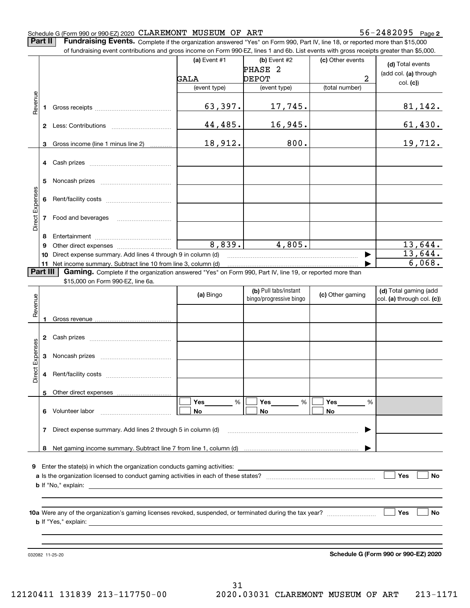**2**

**Part II** | Fundraising Events. Complete if the organization answered "Yes" on Form 990, Part IV, line 18, or reported more than \$15,000

|                 |    | of fundraising event contributions and gross income on Form 990-EZ, lines 1 and 6b. List events with gross receipts greater than \$5,000.                                                                                      |              |                         |                  |                                      |
|-----------------|----|--------------------------------------------------------------------------------------------------------------------------------------------------------------------------------------------------------------------------------|--------------|-------------------------|------------------|--------------------------------------|
|                 |    |                                                                                                                                                                                                                                | (a) Event #1 | $(b)$ Event #2          | (c) Other events | (d) Total events                     |
|                 |    |                                                                                                                                                                                                                                |              | PHASE <sub>2</sub>      |                  | (add col. (a) through                |
|                 |    |                                                                                                                                                                                                                                | GALA         | <b>DEPOT</b>            | 2                | col. (c)                             |
|                 |    |                                                                                                                                                                                                                                | (event type) | (event type)            | (total number)   |                                      |
|                 |    |                                                                                                                                                                                                                                |              |                         |                  |                                      |
| Revenue         | 1  |                                                                                                                                                                                                                                | 63,397.      | 17,745.                 |                  | 81,142.                              |
|                 |    |                                                                                                                                                                                                                                |              |                         |                  |                                      |
|                 |    |                                                                                                                                                                                                                                | 44,485.      | 16,945.                 |                  | 61,430.                              |
|                 |    |                                                                                                                                                                                                                                |              |                         |                  |                                      |
|                 | 3  | Gross income (line 1 minus line 2)                                                                                                                                                                                             | 18,912.      | 800.                    |                  | 19,712.                              |
|                 |    |                                                                                                                                                                                                                                |              |                         |                  |                                      |
|                 | 4  | Cash prizes [111] Cash prizes [11] Cash prizes [11] Cash prizes [11] Casar Division [11] Division (11] Division (11] Division (11] Division (11] Division (11] Division (11] Division (11] Division (11] Division (11] Divisio |              |                         |                  |                                      |
|                 |    |                                                                                                                                                                                                                                |              |                         |                  |                                      |
|                 | 5  |                                                                                                                                                                                                                                |              |                         |                  |                                      |
|                 | 6  |                                                                                                                                                                                                                                |              |                         |                  |                                      |
|                 |    |                                                                                                                                                                                                                                |              |                         |                  |                                      |
| Direct Expenses | 7  | Food and beverages                                                                                                                                                                                                             |              |                         |                  |                                      |
|                 |    |                                                                                                                                                                                                                                |              |                         |                  |                                      |
|                 | 8  |                                                                                                                                                                                                                                |              |                         |                  |                                      |
|                 | 9  |                                                                                                                                                                                                                                | 8,839.       | 4,805.                  |                  | 13,644.                              |
|                 | 10 | Direct expense summary. Add lines 4 through 9 in column (d)                                                                                                                                                                    |              |                         |                  | 13,644.                              |
|                 |    | 11 Net income summary. Subtract line 10 from line 3, column (d)                                                                                                                                                                |              |                         |                  | 6,068.                               |
| Part III        |    | Gaming. Complete if the organization answered "Yes" on Form 990, Part IV, line 19, or reported more than                                                                                                                       |              |                         |                  |                                      |
|                 |    | \$15,000 on Form 990-EZ, line 6a.                                                                                                                                                                                              |              |                         |                  |                                      |
|                 |    |                                                                                                                                                                                                                                |              | (b) Pull tabs/instant   |                  | (d) Total gaming (add                |
| Revenue         |    |                                                                                                                                                                                                                                | (a) Bingo    | bingo/progressive bingo | (c) Other gaming | col. (a) through col. (c))           |
|                 |    |                                                                                                                                                                                                                                |              |                         |                  |                                      |
|                 | 1  |                                                                                                                                                                                                                                |              |                         |                  |                                      |
|                 |    |                                                                                                                                                                                                                                |              |                         |                  |                                      |
|                 | 2  |                                                                                                                                                                                                                                |              |                         |                  |                                      |
|                 |    |                                                                                                                                                                                                                                |              |                         |                  |                                      |
|                 | 3  |                                                                                                                                                                                                                                |              |                         |                  |                                      |
| Direct Expenses |    |                                                                                                                                                                                                                                |              |                         |                  |                                      |
|                 | 4  |                                                                                                                                                                                                                                |              |                         |                  |                                      |
|                 |    |                                                                                                                                                                                                                                |              |                         |                  |                                      |
|                 |    | 5 Other direct expenses                                                                                                                                                                                                        |              |                         |                  |                                      |
|                 |    |                                                                                                                                                                                                                                | %<br>Yes     | Yes<br>%                | Yes<br>%         |                                      |
|                 |    | 6 Volunteer labor                                                                                                                                                                                                              | No           | No                      | No               |                                      |
|                 |    |                                                                                                                                                                                                                                |              |                         |                  |                                      |
|                 | 7  | Direct expense summary. Add lines 2 through 5 in column (d)                                                                                                                                                                    |              |                         |                  |                                      |
|                 |    |                                                                                                                                                                                                                                |              |                         |                  |                                      |
|                 |    |                                                                                                                                                                                                                                |              |                         |                  |                                      |
|                 |    |                                                                                                                                                                                                                                |              |                         |                  |                                      |
| 9.              |    |                                                                                                                                                                                                                                |              |                         |                  |                                      |
|                 |    |                                                                                                                                                                                                                                |              |                         |                  | Yes<br>No                            |
|                 |    |                                                                                                                                                                                                                                |              |                         |                  |                                      |
|                 |    |                                                                                                                                                                                                                                |              |                         |                  |                                      |
|                 |    |                                                                                                                                                                                                                                |              |                         |                  |                                      |
|                 |    |                                                                                                                                                                                                                                |              |                         |                  | Yes<br>No                            |
|                 |    |                                                                                                                                                                                                                                |              |                         |                  |                                      |
|                 |    |                                                                                                                                                                                                                                |              |                         |                  |                                      |
|                 |    |                                                                                                                                                                                                                                |              |                         |                  |                                      |
|                 |    | 032082 11-25-20                                                                                                                                                                                                                |              |                         |                  | Schedule G (Form 990 or 990-EZ) 2020 |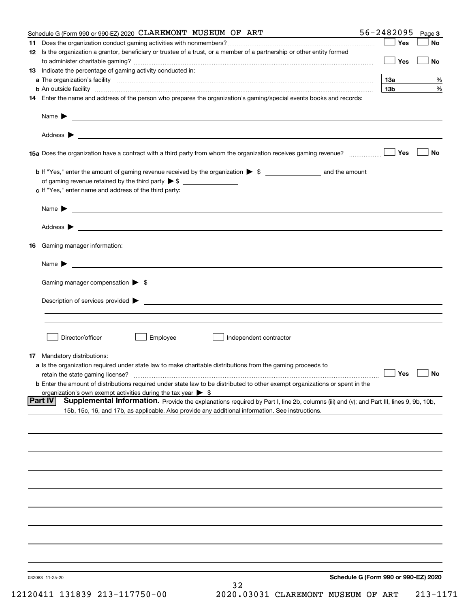| Schedule G (Form 990 or 990-EZ) 2020 CLAREMONT MUSEUM OF ART                                                                                                                                                                                                 | 56-2482095      | Page 3    |
|--------------------------------------------------------------------------------------------------------------------------------------------------------------------------------------------------------------------------------------------------------------|-----------------|-----------|
|                                                                                                                                                                                                                                                              | Yes             | No        |
| 12 Is the organization a grantor, beneficiary or trustee of a trust, or a member of a partnership or other entity formed                                                                                                                                     | Yes             | <b>No</b> |
| 13 Indicate the percentage of gaming activity conducted in:                                                                                                                                                                                                  |                 |           |
|                                                                                                                                                                                                                                                              | <u>13a</u>      | %         |
| <b>b</b> An outside facility <i>www.communicality www.communicality.communicality www.communicality www.communicality.communicality www.communicality.com</i>                                                                                                | 13 <sub>b</sub> | %         |
| 14 Enter the name and address of the person who prepares the organization's gaming/special events books and records:                                                                                                                                         |                 |           |
|                                                                                                                                                                                                                                                              |                 |           |
|                                                                                                                                                                                                                                                              |                 |           |
| 15a Does the organization have a contract with a third party from whom the organization receives gaming revenue?                                                                                                                                             | Yes             | No        |
| <b>b</b> If "Yes," enter the amount of gaming revenue received by the organization $\triangleright$ \$ ____________________ and the amount                                                                                                                   |                 |           |
|                                                                                                                                                                                                                                                              |                 |           |
| c If "Yes," enter name and address of the third party:                                                                                                                                                                                                       |                 |           |
| Name $\blacktriangleright$ $\_\_$                                                                                                                                                                                                                            |                 |           |
|                                                                                                                                                                                                                                                              |                 |           |
| 16 Gaming manager information:                                                                                                                                                                                                                               |                 |           |
|                                                                                                                                                                                                                                                              |                 |           |
| Name $\triangleright$ $\square$                                                                                                                                                                                                                              |                 |           |
| Gaming manager compensation > \$                                                                                                                                                                                                                             |                 |           |
|                                                                                                                                                                                                                                                              |                 |           |
|                                                                                                                                                                                                                                                              |                 |           |
|                                                                                                                                                                                                                                                              |                 |           |
| Director/officer<br>Employee<br>Independent contractor                                                                                                                                                                                                       |                 |           |
| 17 Mandatory distributions:                                                                                                                                                                                                                                  |                 |           |
| a Is the organization required under state law to make charitable distributions from the gaming proceeds to                                                                                                                                                  |                 |           |
| $\Box$ Yes $\Box$ No<br>retain the state gaming license?                                                                                                                                                                                                     |                 |           |
| <b>b</b> Enter the amount of distributions required under state law to be distributed to other exempt organizations or spent in the                                                                                                                          |                 |           |
| organization's own exempt activities during the tax year $\triangleright$ \$                                                                                                                                                                                 |                 |           |
| <b>Part IV</b><br>Supplemental Information. Provide the explanations required by Part I, line 2b, columns (iii) and (v); and Part III, lines 9, 9b, 10b,<br>15b, 15c, 16, and 17b, as applicable. Also provide any additional information. See instructions. |                 |           |
|                                                                                                                                                                                                                                                              |                 |           |
|                                                                                                                                                                                                                                                              |                 |           |
|                                                                                                                                                                                                                                                              |                 |           |
|                                                                                                                                                                                                                                                              |                 |           |
|                                                                                                                                                                                                                                                              |                 |           |
|                                                                                                                                                                                                                                                              |                 |           |
|                                                                                                                                                                                                                                                              |                 |           |
|                                                                                                                                                                                                                                                              |                 |           |
|                                                                                                                                                                                                                                                              |                 |           |
|                                                                                                                                                                                                                                                              |                 |           |
| Schedule G (Form 990 or 990-EZ) 2020<br>032083 11-25-20                                                                                                                                                                                                      |                 |           |
| 32                                                                                                                                                                                                                                                           |                 |           |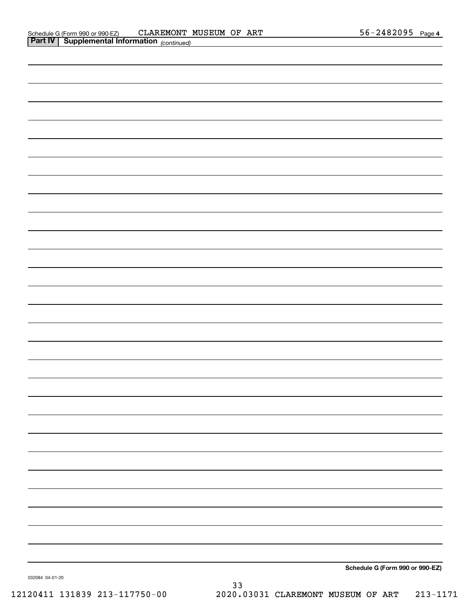| Schedule G (Form 990 or 990-EZ) |
|---------------------------------|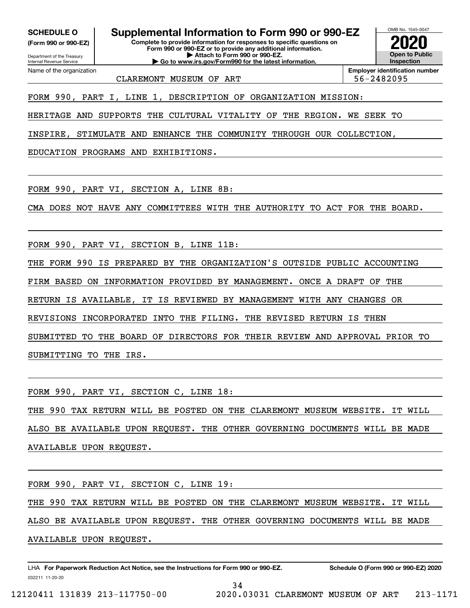**(Form 990 or 990-EZ)**

Department of the Treasury Internal Revenue Service Name of the organization

**SCHEDULE O Supplemental Information to Form 990 or 990-EZ**

**Complete to provide information for responses to specific questions on Form 990 or 990-EZ or to provide any additional information. | Attach to Form 990 or 990-EZ. | Go to www.irs.gov/Form990 for the latest information.**



CLAREMONT MUSEUM OF ART  $\vert$  56-2482095

**Employer identification number**

FORM 990, PART I, LINE 1, DESCRIPTION OF ORGANIZATION MISSION:

HERITAGE AND SUPPORTS THE CULTURAL VITALITY OF THE REGION. WE SEEK TO

INSPIRE, STIMULATE AND ENHANCE THE COMMUNITY THROUGH OUR COLLECTION,

EDUCATION PROGRAMS AND EXHIBITIONS.

FORM 990, PART VI, SECTION A, LINE 8B:

CMA DOES NOT HAVE ANY COMMITTEES WITH THE AUTHORITY TO ACT FOR THE BOARD.

FORM 990, PART VI, SECTION B, LINE 11B:

THE FORM 990 IS PREPARED BY THE ORGANIZATION'S OUTSIDE PUBLIC ACCOUNTING

FIRM BASED ON INFORMATION PROVIDED BY MANAGEMENT. ONCE A DRAFT OF THE

RETURN IS AVAILABLE, IT IS REVIEWED BY MANAGEMENT WITH ANY CHANGES OR

REVISIONS INCORPORATED INTO THE FILING. THE REVISED RETURN IS THEN

SUBMITTED TO THE BOARD OF DIRECTORS FOR THEIR REVIEW AND APPROVAL PRIOR TO

SUBMITTING TO THE IRS.

FORM 990, PART VI, SECTION C, LINE 18:

THE 990 TAX RETURN WILL BE POSTED ON THE CLAREMONT MUSEUM WEBSITE. IT WILL ALSO BE AVAILABLE UPON REQUEST. THE OTHER GOVERNING DOCUMENTS WILL BE MADE AVAILABLE UPON REQUEST.

FORM 990, PART VI, SECTION C, LINE 19:

THE 990 TAX RETURN WILL BE POSTED ON THE CLAREMONT MUSEUM WEBSITE. IT WILL ALSO BE AVAILABLE UPON REQUEST. THE OTHER GOVERNING DOCUMENTS WILL BE MADE AVAILABLE UPON REQUEST.

34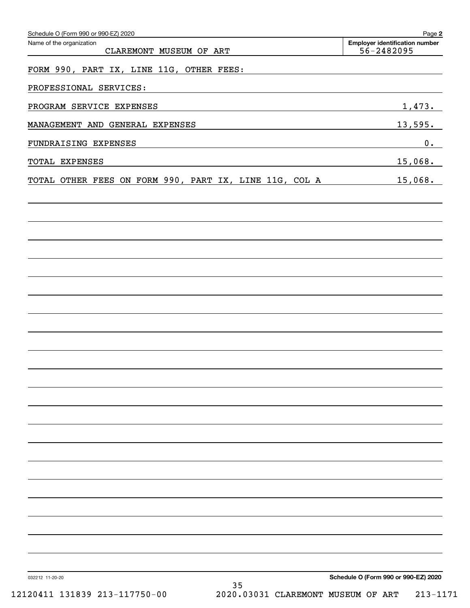| Schedule O (Form 990 or 990-EZ) 2020<br>Name of the organization<br>CLAREMONT MUSEUM OF ART                                                      | Page 2<br><b>Employer identification number</b><br>56-2482095 |
|--------------------------------------------------------------------------------------------------------------------------------------------------|---------------------------------------------------------------|
| FORM 990, PART IX, LINE 11G, OTHER FEES:                                                                                                         |                                                               |
| PROFESSIONAL SERVICES:<br>and the control of the control of the control of the control of the control of the control of the control of the       |                                                               |
| PROGRAM SERVICE EXPENSES<br><u> 1989 - Johann Stein, marwolaethau a bhann an t-Amhain an t-Amhain an t-Amhain an t-Amhain an t-Amhain an t-A</u> | 1,473.                                                        |
| MANAGEMENT AND GENERAL EXPENSES                                                                                                                  | 13,595.                                                       |
| FUNDRAISING EXPENSES<br>the contract of the contract of the contract of the contract of the contract of the contract of the contract of          | 0.                                                            |
| TOTAL EXPENSES                                                                                                                                   | 15,068.                                                       |
| TOTAL OTHER FEES ON FORM 990, PART IX, LINE 11G, COL A                                                                                           | 15,068.                                                       |
|                                                                                                                                                  |                                                               |
|                                                                                                                                                  |                                                               |
|                                                                                                                                                  |                                                               |
|                                                                                                                                                  |                                                               |
|                                                                                                                                                  |                                                               |
|                                                                                                                                                  |                                                               |
|                                                                                                                                                  |                                                               |
|                                                                                                                                                  |                                                               |
|                                                                                                                                                  |                                                               |
|                                                                                                                                                  |                                                               |
|                                                                                                                                                  |                                                               |
|                                                                                                                                                  |                                                               |
|                                                                                                                                                  |                                                               |
|                                                                                                                                                  |                                                               |
|                                                                                                                                                  |                                                               |
|                                                                                                                                                  |                                                               |
|                                                                                                                                                  |                                                               |
|                                                                                                                                                  |                                                               |
| 032212 11-20-20                                                                                                                                  | Schedule O (Form 990 or 990-EZ) 2020                          |
| 35<br>12120411 131839 213-117750-00<br>2020.03031 CLAREMONT MUSEUM OF ART                                                                        | $213 - 1171$                                                  |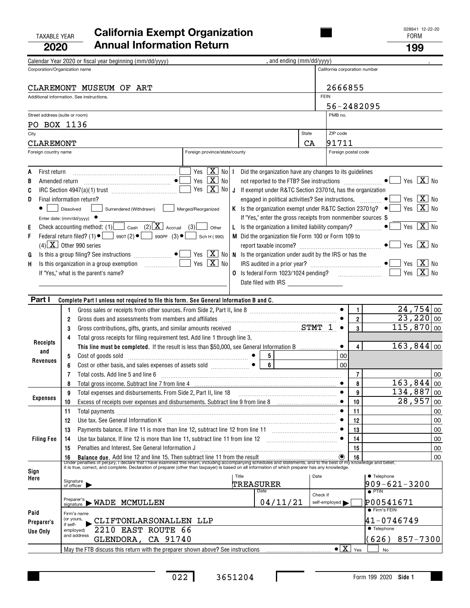## TAXABLE YEAR FORM **California Exempt Organization 2020Annual Information Return <sup>199</sup>**

|              |                      | Calendar Year 2020 or fiscal year beginning (mm/dd/yyyy)                                                                                                                                                                             | , and ending (mm/dd/yyyy)                                    |               |                                           |                               |                                                                                                 |                             |
|--------------|----------------------|--------------------------------------------------------------------------------------------------------------------------------------------------------------------------------------------------------------------------------------|--------------------------------------------------------------|---------------|-------------------------------------------|-------------------------------|-------------------------------------------------------------------------------------------------|-----------------------------|
|              |                      | Corporation/Organization name                                                                                                                                                                                                        |                                                              |               |                                           | California corporation number |                                                                                                 |                             |
|              |                      | CLAREMONT MUSEUM OF ART                                                                                                                                                                                                              |                                                              |               | 2666855                                   |                               |                                                                                                 |                             |
|              |                      | Additional information. See instructions.                                                                                                                                                                                            |                                                              | <b>FEIN</b>   |                                           |                               |                                                                                                 |                             |
|              |                      |                                                                                                                                                                                                                                      |                                                              |               | PMB no.                                   | 56-2482095                    |                                                                                                 |                             |
|              |                      | Street address (suite or room)<br>PO BOX 1136                                                                                                                                                                                        |                                                              |               |                                           |                               |                                                                                                 |                             |
| City         |                      |                                                                                                                                                                                                                                      |                                                              | State         | ZIP code                                  |                               |                                                                                                 |                             |
|              | CLAREMONT            |                                                                                                                                                                                                                                      |                                                              | CA            | 91711                                     |                               |                                                                                                 |                             |
|              | Foreign country name | Foreign province/state/county                                                                                                                                                                                                        |                                                              |               |                                           | Foreign postal code           |                                                                                                 |                             |
|              |                      |                                                                                                                                                                                                                                      |                                                              |               |                                           |                               |                                                                                                 |                             |
| A<br>В       | First return         | Yes $\boxed{\mathbf{X}}$ No I<br>Yes $\boxed{\mathbf{X}}$ No                                                                                                                                                                         | Did the organization have any changes to its guidelines      |               |                                           |                               |                                                                                                 | Yes $\boxed{\mathbf{X}}$ No |
| C            |                      | Yes $\boxed{\mathbf{X}}$ No J                                                                                                                                                                                                        | If exempt under R&TC Section 23701d, has the organization    |               |                                           |                               |                                                                                                 |                             |
| D            |                      | Final information return?                                                                                                                                                                                                            | engaged in political activities? See instructions.  ●        |               |                                           |                               |                                                                                                 | Yes $X$ No                  |
|              |                      | Merged/Reorganized<br>Surrendered (Withdrawn)<br>Dissolved                                                                                                                                                                           |                                                              |               |                                           |                               | K Is the organization exempt under R&TC Section 23701g? $\bullet$   Yes $\boxed{\mathbf{X}}$ No |                             |
|              |                      | Enter date: $(mm/dd/yyyy)$                                                                                                                                                                                                           | If "Yes," enter the gross receipts from nonmember sources \$ |               |                                           |                               |                                                                                                 |                             |
| Е            |                      | Check accounting method: (1) $\Box$ Cash (2) $\boxed{\mathbf{X}}$ Accrual (3)<br>Other                                                                                                                                               | L Is the organization a limited liability company? $\ldots$  |               |                                           |                               |                                                                                                 | Yes $X$ No                  |
| F            |                      | Federal return filed? (1) $\bullet$ $\bullet$ 990T (2) $\bullet$ $\bullet$ 990PF (3) $\bullet$ [<br>Sch H (990)<br>$(4)$ X Other 990 series                                                                                          | M Did the organization file Form 100 or Form 109 to          |               |                                           |                               |                                                                                                 | Yes $\boxed{\mathbf{X}}$ No |
| G            |                      | Yes $\boxed{\mathbf{X}}$ No N is the organization under audit by the IRS or has the                                                                                                                                                  |                                                              |               |                                           |                               |                                                                                                 |                             |
| Н.           |                      | Yes $\boxed{\mathbf{X}}$ No                                                                                                                                                                                                          |                                                              |               |                                           |                               | Yes                                                                                             | $X$ No                      |
|              |                      | If "Yes," what is the parent's name?                                                                                                                                                                                                 | O Is federal Form 1023/1024 pending?                         |               |                                           |                               |                                                                                                 | Yes $X$ No                  |
|              |                      |                                                                                                                                                                                                                                      |                                                              |               |                                           |                               |                                                                                                 |                             |
|              | Part I               | Complete Part I unless not required to file this form. See General Information B and C.                                                                                                                                              |                                                              |               |                                           |                               |                                                                                                 |                             |
|              |                      | 1.                                                                                                                                                                                                                                   |                                                              |               |                                           | $\mathbf{1}$                  |                                                                                                 | $24,754$ 00                 |
|              |                      | Gross dues and assessments from members and affiliates [11] contains and area of the set of the set of the set of the set of the set of the set of the set of the set of the set of the set of the set of the set of the set o<br>2  |                                                              |               |                                           | $\overline{\mathbf{2}}$       |                                                                                                 | 23,220 00                   |
|              |                      | Gross contributions, gifts, grants, and similar amounts received $STMT_1$<br>3                                                                                                                                                       |                                                              |               |                                           | $\overline{\mathbf{3}}$       |                                                                                                 | $115,870$ 00                |
|              | Receipts             | Total gross receipts for filing requirement test. Add line 1 through line 3.<br>4                                                                                                                                                    |                                                              |               |                                           |                               |                                                                                                 |                             |
|              | and                  | This line must be completed. If the result is less than \$50,000, see General Information B                                                                                                                                          |                                                              |               |                                           | $\overline{4}$                |                                                                                                 | 163,844 00                  |
|              | Revenues             | 5                                                                                                                                                                                                                                    | $6\overline{6}$                                              |               | 00<br>0 <sub>0</sub>                      |                               |                                                                                                 |                             |
|              |                      | Cost or other basis, and sales expenses of assets sold $\Box$<br>6<br>Total costs. Add line 5 and line 6<br>7                                                                                                                        |                                                              |               |                                           | $\overline{7}$                |                                                                                                 | 00                          |
|              |                      | 8                                                                                                                                                                                                                                    |                                                              |               |                                           | 8                             |                                                                                                 | 163,844 00                  |
|              |                      | 9<br>Total expenses and disbursements. From Side 2, Part II, line 18                                                                                                                                                                 |                                                              |               | $\bullet$                                 | 9                             | 134,887                                                                                         | $\overline{00}$             |
|              | <b>Expenses</b>      | Excess of receipts over expenses and disbursements. Subtract line 9 from line 8 [11, 11, 11, 11, 11, 11, 11, 1<br>10                                                                                                                 |                                                              |               |                                           | 10                            | 28,957                                                                                          | $00\,$                      |
|              |                      | Total payments [111] Total payments [11] Total payments [11] Total payments [11] Total payments [11] Total payments [11] Total payments [11] Total payments [11] Total payments [11] Total payments [11] Total payments [11] T<br>11 |                                                              |               |                                           | 11                            |                                                                                                 | 00                          |
|              |                      | 12                                                                                                                                                                                                                                   |                                                              |               |                                           | 12                            |                                                                                                 | 00                          |
|              | <b>Filing Fee</b>    | 13<br>Use tax balance. If line 12 is more than line 11, subtract line 11 from line 12                                                                                                                                                |                                                              |               |                                           | 13<br>14                      |                                                                                                 | 00<br>00                    |
|              |                      | 14<br>Penalties and Interest. See General Information J<br>15                                                                                                                                                                        |                                                              |               |                                           | 15                            |                                                                                                 | 00                          |
|              |                      |                                                                                                                                                                                                                                      |                                                              |               |                                           |                               |                                                                                                 | 00                          |
|              |                      | 16 Balance due. Add line 12 and line 15. Then subtract line 11 from the result<br>Under penalties of perjury, I declare that I have examined this return, including accompanying schedules and statements, and to the best of my     |                                                              |               |                                           |                               |                                                                                                 |                             |
| Sign<br>Here |                      | Title                                                                                                                                                                                                                                |                                                              | Date          |                                           |                               | ● Telephone                                                                                     |                             |
|              |                      | Signature<br>of officer<br>TREASURER                                                                                                                                                                                                 | Date                                                         |               |                                           |                               | $909 - 621 - 3200$<br>$\overline{\bullet}$ PTIN                                                 |                             |
|              |                      |                                                                                                                                                                                                                                      |                                                              | Check if      |                                           |                               |                                                                                                 |                             |
| Paid         |                      | Preparer's <b>MADE</b> MCMULLEN                                                                                                                                                                                                      | 04/11/21                                                     | self-employed |                                           |                               | P00541671<br>● Firm's FEIN                                                                      |                             |
|              | Preparer's           | Firm's name<br>(or yours,<br>CLIFTONLARSONALLEN LLP                                                                                                                                                                                  |                                                              |               |                                           |                               | 41-0746749                                                                                      |                             |
|              | Use Only             | if self-<br>2210 EAST ROUTE 66<br>employed)                                                                                                                                                                                          |                                                              |               |                                           |                               | <b>• Telephone</b>                                                                              |                             |
|              |                      | and address<br>CA 91740<br>GLENDORA,                                                                                                                                                                                                 |                                                              |               |                                           |                               | (626)                                                                                           | 857-7300                    |
|              |                      | May the FTB discuss this return with the preparer shown above? See instructions [11, 11, 11, 11, 11, 11, 11, 1                                                                                                                       |                                                              |               | $\bullet$ $\boxed{\text{X}}$ $\text{Yes}$ |                               | No                                                                                              |                             |

 $\mathbf I$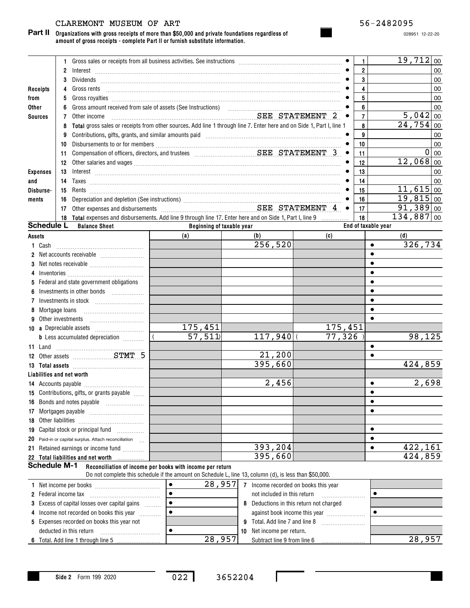## CLAREMONT MUSEUM OF ART 56-2482095

**Organizations with gross receipts of more than \$50,000 and private foundations regardless of amount of gross receipts - complete Part II or furnish substitute information. Part II**

028951 12-22-20

|                 |                     | 1                                                                                                                          |                                                           |                                                                                                        |                                         | 1                   | 19,712 00       |
|-----------------|---------------------|----------------------------------------------------------------------------------------------------------------------------|-----------------------------------------------------------|--------------------------------------------------------------------------------------------------------|-----------------------------------------|---------------------|-----------------|
|                 |                     | 2                                                                                                                          |                                                           |                                                                                                        |                                         | $\overline{2}$      | 00              |
|                 |                     | 3                                                                                                                          |                                                           |                                                                                                        |                                         | 3                   | 00              |
| Receipts        |                     | 4<br>Gross rents                                                                                                           |                                                           |                                                                                                        |                                         | 4                   | 00              |
| from            |                     | 5                                                                                                                          |                                                           |                                                                                                        |                                         | 5                   | 00              |
| <b>Other</b>    |                     | 6                                                                                                                          |                                                           |                                                                                                        |                                         | 6                   | 00              |
| <b>Sources</b>  |                     | Other income<br>7                                                                                                          |                                                           | SEE STATEMENT 2                                                                                        | $\bullet$                               | $\overline{7}$      | 5,042<br>$00\,$ |
|                 |                     | Total gross sales or receipts from other sources. Add line 1 through line 7. Enter here and on Side 1, Part I, line 1<br>8 |                                                           |                                                                                                        |                                         | 8                   | 24, 754<br>00   |
|                 |                     | Contributions, gifts, grants, and similar amounts paid manufactured contributions, aifts, and similar<br>9                 |                                                           |                                                                                                        |                                         | 9                   | 00              |
|                 |                     | 10                                                                                                                         |                                                           |                                                                                                        |                                         | 10                  | $00\,$          |
|                 |                     | 11                                                                                                                         |                                                           |                                                                                                        | $\bullet$                               | 11                  | 0<br>$00\,$     |
|                 |                     | 12 <sup>°</sup>                                                                                                            |                                                           |                                                                                                        |                                         | 12                  | $12,068$ 00     |
| <b>Expenses</b> |                     | 13                                                                                                                         |                                                           |                                                                                                        |                                         | 13                  | 00              |
| and             |                     | 14                                                                                                                         |                                                           |                                                                                                        |                                         | 14                  | 00              |
| Disburse-       |                     | 15                                                                                                                         |                                                           |                                                                                                        |                                         | 15                  | $11,615$ 00     |
| ments           |                     | 16                                                                                                                         |                                                           |                                                                                                        |                                         | 16                  | $19,815$ 00     |
|                 |                     | 17                                                                                                                         |                                                           |                                                                                                        | $\bullet$                               | 17                  | $91,389$ 00     |
|                 |                     | 18 Total expenses and disbursements. Add line 9 through line 17. Enter here and on Side 1, Part I, line 9                  |                                                           |                                                                                                        |                                         | 18                  | $134,887$ 00    |
|                 | <b>Schedule L</b>   | <b>Balance Sheet</b>                                                                                                       | Beginning of taxable year                                 |                                                                                                        |                                         | End of taxable year |                 |
| <b>Assets</b>   |                     |                                                                                                                            | (a)                                                       | (b)                                                                                                    | (c)                                     |                     | (d)             |
| 1 Cash          |                     |                                                                                                                            |                                                           | $\overline{256,520}$                                                                                   |                                         | $\bullet$           | 326,734         |
| 2               |                     |                                                                                                                            |                                                           |                                                                                                        |                                         | $\bullet$           |                 |
| 3               |                     |                                                                                                                            |                                                           |                                                                                                        |                                         | $\bullet$           |                 |
| 4               |                     |                                                                                                                            |                                                           |                                                                                                        |                                         | $\bullet$           |                 |
| 5               |                     | Federal and state government obligations                                                                                   |                                                           |                                                                                                        |                                         | $\bullet$           |                 |
| 6               |                     | Investments in other bonds                                                                                                 |                                                           |                                                                                                        |                                         | $\bullet$           |                 |
| 7               |                     |                                                                                                                            |                                                           |                                                                                                        |                                         | $\bullet$           |                 |
| 8               | Mortgage loans      |                                                                                                                            |                                                           |                                                                                                        |                                         | $\bullet$           |                 |
| 9               |                     | Other investments                                                                                                          |                                                           |                                                                                                        |                                         | $\bullet$           |                 |
|                 |                     |                                                                                                                            | 175,451                                                   |                                                                                                        | 175,451                                 |                     |                 |
|                 |                     | <b>b</b> Less accumulated depreciation <i></i>                                                                             | $\overline{57,511}$                                       | $117,940$ (                                                                                            | 77,326                                  |                     | 98,125          |
| 11 Land         |                     |                                                                                                                            |                                                           |                                                                                                        |                                         | $\bullet$           |                 |
|                 |                     | 12 Other assets STMT 5                                                                                                     |                                                           | 21,200                                                                                                 |                                         | $\bullet$           |                 |
|                 |                     |                                                                                                                            |                                                           | 395,660                                                                                                |                                         |                     | 424,859         |
|                 |                     | Liabilities and net worth                                                                                                  |                                                           |                                                                                                        |                                         |                     |                 |
|                 |                     |                                                                                                                            |                                                           | 2,456                                                                                                  |                                         | $\bullet$           | 2,698           |
|                 |                     | 15 Contributions, gifts, or grants payable                                                                                 |                                                           |                                                                                                        |                                         |                     |                 |
|                 |                     | 16 Bonds and notes payable                                                                                                 |                                                           |                                                                                                        |                                         | $\bullet$           |                 |
| 17              |                     |                                                                                                                            |                                                           |                                                                                                        |                                         | ٠                   |                 |
| 18              |                     |                                                                                                                            |                                                           |                                                                                                        |                                         |                     |                 |
| 19              |                     |                                                                                                                            |                                                           |                                                                                                        |                                         | $\bullet$           |                 |
| 20              |                     | Paid-in or capital surplus. Attach reconciliation                                                                          |                                                           |                                                                                                        |                                         | $\bullet$           |                 |
| 21              |                     | Retained earnings or income fund                                                                                           |                                                           | 393,204                                                                                                |                                         | $\bullet$           | <u>422,161</u>  |
|                 |                     | 22 Total liabilities and net worth                                                                                         |                                                           | 395,660                                                                                                |                                         |                     | 424,859         |
|                 | <b>Schedule M-1</b> |                                                                                                                            | Reconciliation of income per books with income per return |                                                                                                        |                                         |                     |                 |
|                 |                     |                                                                                                                            |                                                           | Do not complete this schedule if the amount on Schedule L, line 13, column (d), is less than \$50,000. |                                         |                     |                 |
|                 |                     |                                                                                                                            | $\bullet$<br>28,957                                       | 7 Income recorded on books this year                                                                   |                                         |                     |                 |
|                 |                     |                                                                                                                            | $\bullet$                                                 | not included in this return                                                                            |                                         |                     |                 |
| 3               |                     | Excess of capital losses over capital gains                                                                                | $\bullet$                                                 |                                                                                                        | 8 Deductions in this return not charged |                     |                 |
| 4               |                     | Income not recorded on books this year                                                                                     | $\bullet$                                                 |                                                                                                        | against book income this year           |                     |                 |
|                 |                     | 5 Expenses recorded on books this year not                                                                                 |                                                           | 9 Total. Add line 7 and line 8                                                                         |                                         |                     |                 |
|                 |                     | deducted in this return                                                                                                    | $\bullet$                                                 | 10 Net income per return.                                                                              |                                         |                     |                 |

022 3652204

28 , 957 Subtract line 9 from line 6 ……………………… 28 , 957

**6** Total. Add line 1 through line 5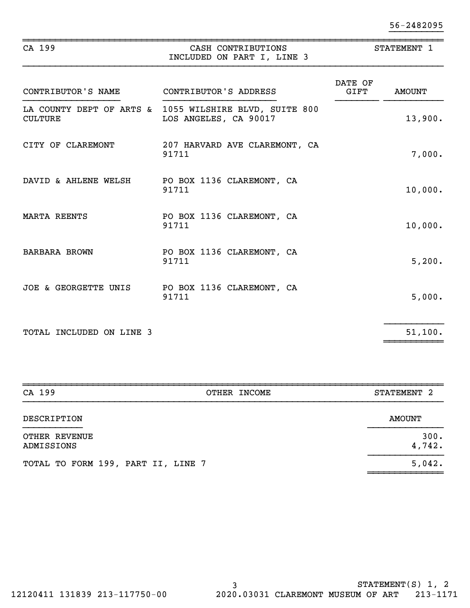| 56-2482095 |
|------------|
|            |

| CA 199                   | CASH CONTRIBUTIONS<br>INCLUDED ON PART I, LINE 3                                | STATEMENT 1     |               |  |
|--------------------------|---------------------------------------------------------------------------------|-----------------|---------------|--|
| CONTRIBUTOR'S NAME       | CONTRIBUTOR'S ADDRESS                                                           | DATE OF<br>GIFT | <b>AMOUNT</b> |  |
| <b>CULTURE</b>           | LA COUNTY DEPT OF ARTS & 1055 WILSHIRE BLVD, SUITE 800<br>LOS ANGELES, CA 90017 |                 | 13,900.       |  |
| CITY OF CLAREMONT        | 207 HARVARD AVE CLAREMONT, CA<br>91711                                          |                 | 7,000.        |  |
| DAVID & AHLENE WELSH     | PO BOX 1136 CLAREMONT, CA<br>91711                                              |                 | 10,000.       |  |
| <b>MARTA REENTS</b>      | PO BOX 1136 CLAREMONT, CA<br>91711                                              |                 | 10,000.       |  |
| <b>BARBARA BROWN</b>     | PO BOX 1136 CLAREMONT, CA<br>91711                                              |                 | 5,200.        |  |
| JOE & GEORGETTE UNIS     | PO BOX 1136 CLAREMONT, CA<br>91711                                              |                 | 5,000.        |  |
| TOTAL INCLUDED ON LINE 3 |                                                                                 |                 | 51,100.       |  |

| CA 199                             | OTHER INCOME | STATEMENT 2    |
|------------------------------------|--------------|----------------|
| DESCRIPTION                        |              | AMOUNT         |
| OTHER REVENUE<br>ADMISSIONS        |              | 300.<br>4,742. |
| TOTAL TO FORM 199, PART II, LINE 7 |              | 5,042.         |

 $~\sim$   $~\sim$   $~\sim$   $~\sim$   $~\sim$   $~\sim$   $~\sim$   $~\sim$   $~\sim$   $~\sim$   $~\sim$   $~\sim$   $~\sim$   $~\sim$   $~\sim$   $~\sim$   $~\sim$   $~\sim$   $~\sim$   $~\sim$   $~\sim$   $~\sim$   $~\sim$   $~\sim$   $~\sim$   $~\sim$   $~\sim$   $~\sim$   $~\sim$   $~\sim$   $~\sim$   $~\sim$   $~\sim$   $~\sim$   $~\sim$   $~\sim$   $~\sim$ 

~~~~~~~~~~~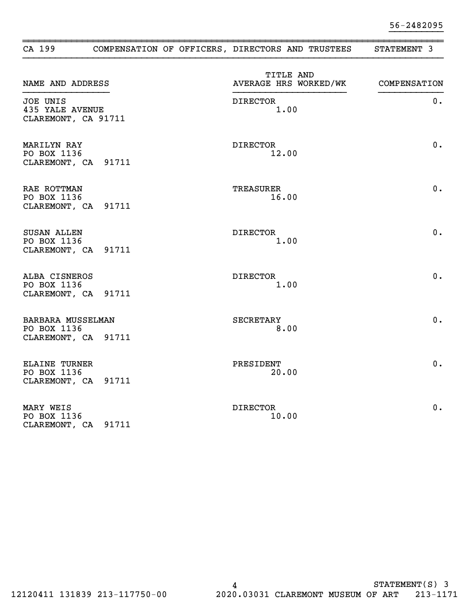| CA 199                                                     |       | COMPENSATION OF OFFICERS, DIRECTORS AND TRUSTEES | STATEMENT 3  |
|------------------------------------------------------------|-------|--------------------------------------------------|--------------|
| NAME AND ADDRESS                                           |       | TITLE AND<br>AVERAGE HRS WORKED/WK               | COMPENSATION |
| JOE UNIS<br><b>435 YALE AVENUE</b><br>CLAREMONT, CA 91711  |       | <b>DIRECTOR</b><br>1.00                          | 0.           |
| MARILYN RAY<br>PO BOX 1136<br>CLAREMONT, CA 91711          |       | DIRECTOR<br>12.00                                | 0.           |
| RAE ROTTMAN<br>PO BOX 1136<br>CLAREMONT, CA 91711          |       | TREASURER<br>16.00                               | 0.           |
| SUSAN ALLEN<br>PO BOX 1136<br>CLAREMONT, CA 91711          |       | DIRECTOR<br>1.00                                 | 0.           |
| ALBA CISNEROS<br>PO BOX 1136<br>CLAREMONT, CA 91711        |       | <b>DIRECTOR</b><br>1.00                          | 0.           |
| BARBARA MUSSELMAN<br>PO BOX 1136<br>CLAREMONT, CA 91711    |       | <b>SECRETARY</b><br>8.00                         | 0.           |
| <b>ELAINE TURNER</b><br>PO BOX 1136<br>CLAREMONT, CA 91711 |       | PRESIDENT<br>20.00                               | $0$ .        |
| MARY WEIS<br>PO BOX 1136<br>CLAREMONT, CA                  | 91711 | <b>DIRECTOR</b><br>10.00                         | 0.           |

 $\overline{a}$  , and the contract of the contract of the contract of the contract of the contract of the contract of the contract of the contract of the contract of the contract of the contract of the contract of the contract o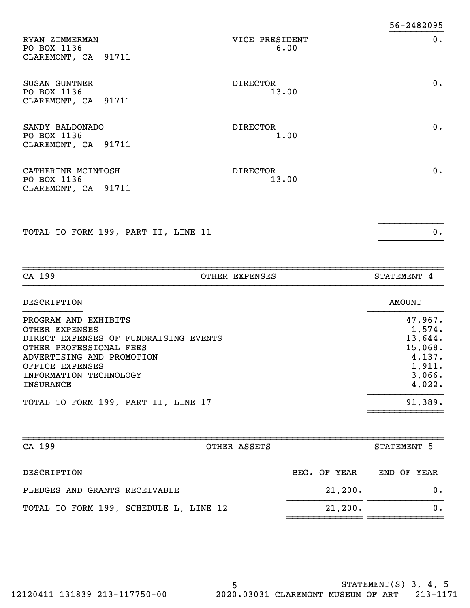| RYAN ZIMMERMAN<br>PO BOX 1136<br>CLAREMONT, CA 91711     | VICE PRESIDENT<br>6.00   | 0.    |
|----------------------------------------------------------|--------------------------|-------|
| SUSAN GUNTNER<br>PO BOX 1136<br>CLAREMONT, CA 91711      | <b>DIRECTOR</b><br>13.00 | $0$ . |
| SANDY BALDONADO<br>PO BOX 1136<br>CLAREMONT, CA 91711    | <b>DIRECTOR</b><br>1.00  | 0.    |
| CATHERINE MCINTOSH<br>PO BOX 1136<br>CLAREMONT, CA 91711 | <b>DIRECTOR</b><br>13.00 | 0.    |

}}}}}}}}}}}}

~~~~~~~~~~~~

TOTAL TO FORM 199, PART II, LINE 11 0.

~~~~~~~~~~~~~~~~~~~~~~~~~~~~~~~~~~~~~~~~~~~~~~~~~~~~~~~~~~~~~~~~~~~~~~~~~~~~~~CA 199 OTHER EXPENSES STATEMENT 4 DESCRIPTION AMOUNT }}}}}}}}}}} }}}}}}}}}}}}}} PROGRAM AND EXHIBITS  $47,967$ . OTHER EXPENSES 1,574. DIRECT EXPENSES OF FUNDRAISING EVENTS 13,644. OTHER PROFESSIONAL FEES 25 and 20 and 20 and 20 and 20 and 20 and 20 and 20 and 20 and 20 and 20 and 20 and 20 and 20 and 20 and 20 and 20 and 20 and 20 and 20 and 20 and 20 and 20 and 20 and 20 and 20 and 20 and 20 and 20 ADVERTISING AND PROMOTION 4, 137. OFFICE EXPENSES 1,911. INFORMATION TECHNOLOGY 3, 3 INSURANCE 4, 022. TOTAL TO FORM 199, PART II, LINE 17 SEPTEMBER 191,389.

| CA 199<br>OTHER ASSETS                 |              |             |  |
|----------------------------------------|--------------|-------------|--|
| DESCRIPTION                            | BEG. OF YEAR | END OF YEAR |  |
| PLEDGES AND GRANTS RECEIVABLE          | 21,200.      | 0.          |  |
| TOTAL TO FORM 199, SCHEDULE L, LINE 12 | 21,200.      | 0.          |  |

~~~~~~~~~~~~~~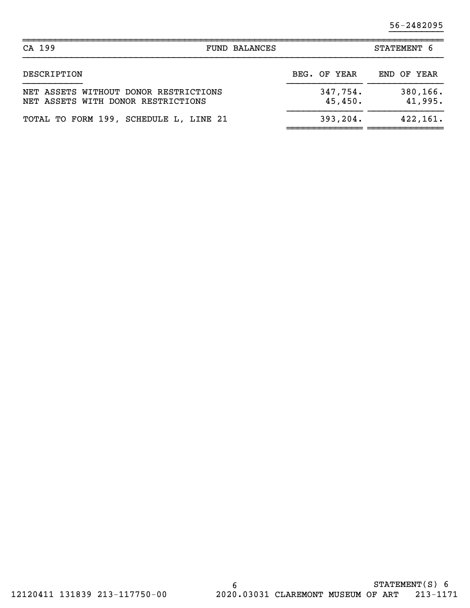56-2482095

| CA 199                                                                      | <b>FUND BALANCES</b> |                     | STATEMENT 6         |  |  |
|-----------------------------------------------------------------------------|----------------------|---------------------|---------------------|--|--|
| DESCRIPTION                                                                 |                      | BEG. OF YEAR        | END OF YEAR         |  |  |
| NET ASSETS WITHOUT DONOR RESTRICTIONS<br>NET ASSETS WITH DONOR RESTRICTIONS |                      | 347,754.<br>45,450. | 380,166.<br>41,995. |  |  |
| TOTAL TO FORM 199, SCHEDULE L, LINE 21                                      |                      | 393, 204.           | 422, 161.           |  |  |

 $\overline{a}$  , and the contract of the contract of the contract of the contract of the contract of the contract of the contract of the contract of the contract of the contract of the contract of the contract of the contract o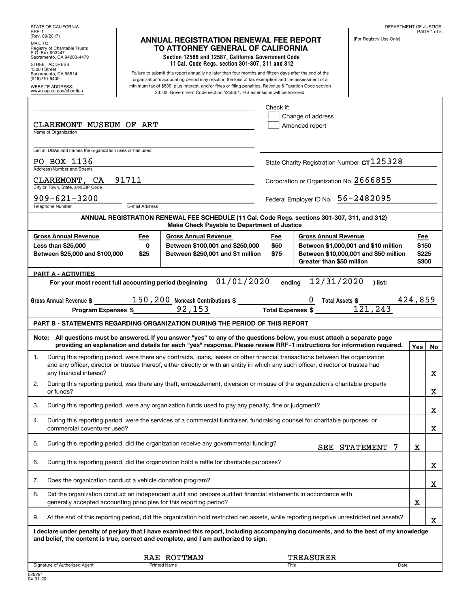|                                                                                                                                                   |                            |                                                                                                                                                                                                                                                                                                                                                                                                 |                     |                                                          | DEPARTMENT OF JUSTICE                                                         |                                | PAGE 1 of 5 |
|---------------------------------------------------------------------------------------------------------------------------------------------------|----------------------------|-------------------------------------------------------------------------------------------------------------------------------------------------------------------------------------------------------------------------------------------------------------------------------------------------------------------------------------------------------------------------------------------------|---------------------|----------------------------------------------------------|-------------------------------------------------------------------------------|--------------------------------|-------------|
| RRF-1<br>(Rev. 09/2017)<br>MAIL TO:<br>Registry of Charitable Trusts<br>P.O. Box 903447<br>Sacramento, CA 94203-4470<br>STREET ADDRESS:           |                            | <b>ANNUAL REGISTRATION RENEWAL FEE REPORT</b><br>TO ATTORNEY GENERAL OF CALIFORNIA<br>Section 12586 and 12587, California Government Code<br>11 Cal. Code Regs. section 301-307, 311 and 312                                                                                                                                                                                                    |                     |                                                          | (For Registry Use Only)                                                       |                                |             |
| 1300   Street<br>Sacramento, CA 95814<br>(916)210-6400<br><b>WEBSITE ADDRESS:</b><br>www.oag.ca.gov/charities                                     |                            | Failure to submit this report annually no later than four months and fifteen days after the end of the<br>organization's accounting period may result in the loss of tax exemption and the assessment of a<br>minimum tax of \$800, plus interest, and/or fines or filing penalties. Revenue & Taxation Code section<br>23703; Government Code section 12586.1. IRS extensions will be honored. |                     |                                                          |                                                                               |                                |             |
| CLAREMONT MUSEUM OF ART<br>Name of Organization                                                                                                   |                            |                                                                                                                                                                                                                                                                                                                                                                                                 | Check if:           | Change of address<br>Amended report                      |                                                                               |                                |             |
| List all DBAs and names the organization uses or has used<br>PO BOX 1136                                                                          |                            |                                                                                                                                                                                                                                                                                                                                                                                                 |                     |                                                          | State Charity Registration Number $c$ T $125328$                              |                                |             |
| Address (Number and Street)<br>CLAREMONT, CA<br>City or Town, State, and ZIP Code                                                                 | 91711                      |                                                                                                                                                                                                                                                                                                                                                                                                 |                     |                                                          | Corporation or Organization No. 2666855                                       |                                |             |
| $909 - 621 - 3200$<br>Federal Employer ID No. 56-2482095<br><b>Telephone Number</b><br>E-mail Address                                             |                            |                                                                                                                                                                                                                                                                                                                                                                                                 |                     |                                                          |                                                                               |                                |             |
|                                                                                                                                                   |                            | ANNUAL REGISTRATION RENEWAL FEE SCHEDULE (11 Cal. Code Regs. sections 301-307, 311, and 312)<br>Make Check Payable to Department of Justice                                                                                                                                                                                                                                                     |                     |                                                          |                                                                               |                                |             |
| <b>Gross Annual Revenue</b><br>Less than \$25,000<br>Between \$25,000 and \$100,000                                                               | Fee<br>$\mathbf 0$<br>\$25 | <b>Gross Annual Revenue</b><br>Between \$100,001 and \$250,000<br>Between \$250,001 and \$1 million                                                                                                                                                                                                                                                                                             | Fee<br>\$50<br>\$75 | <b>Gross Annual Revenue</b><br>Greater than \$50 million | Between \$1,000,001 and \$10 million<br>Between \$10,000,001 and \$50 million | Fee<br>\$150<br>\$225<br>\$300 |             |
| <b>PART A - ACTIVITIES</b>                                                                                                                        |                            |                                                                                                                                                                                                                                                                                                                                                                                                 |                     | ending $12/31/2020$                                      |                                                                               |                                |             |
|                                                                                                                                                   |                            | For your most recent full accounting period (beginning $01/01/2020$                                                                                                                                                                                                                                                                                                                             |                     |                                                          | ) list:                                                                       |                                |             |
|                                                                                                                                                   |                            | Gross Annual Revenue \$ __________150,200 Noncash Contributions \$ _______________<br>Program Expenses \$ 92,153 Total Expenses \$                                                                                                                                                                                                                                                              |                     | $\underline{0}$ Total Assets \$                          | 121, 243                                                                      | 424,859                        |             |
|                                                                                                                                                   |                            | <b>PART B - STATEMENTS REGARDING ORGANIZATION DURING THE PERIOD OF THIS REPORT</b>                                                                                                                                                                                                                                                                                                              |                     |                                                          |                                                                               |                                |             |
|                                                                                                                                                   |                            | Note: All questions must be answered. If you answer "yes" to any of the questions below, you must attach a separate page<br>providing an explanation and details for each "yes" response. Please review RRF-1 instructions for information required.                                                                                                                                            |                     |                                                          |                                                                               | <b>Yes</b>                     | No          |
| 1.<br>any financial interest?                                                                                                                     |                            | During this reporting period, were there any contracts, loans, leases or other financial transactions between the organization<br>and any officer, director or trustee thereof, either directly or with an entity in which any such officer, director or trustee had                                                                                                                            |                     |                                                          |                                                                               |                                | х           |
| During this reporting period, was there any theft, embezzlement, diversion or misuse of the organization's charitable property<br>2.<br>or funds? |                            |                                                                                                                                                                                                                                                                                                                                                                                                 |                     |                                                          |                                                                               |                                |             |
|                                                                                                                                                   |                            |                                                                                                                                                                                                                                                                                                                                                                                                 |                     |                                                          |                                                                               |                                | X           |
| 3.                                                                                                                                                |                            | During this reporting period, were any organization funds used to pay any penalty, fine or judgment?                                                                                                                                                                                                                                                                                            |                     |                                                          |                                                                               |                                | х           |
| 4.<br>commercial coventurer used?                                                                                                                 |                            | During this reporting period, were the services of a commercial fundraiser, fundraising counsel for charitable purposes, or                                                                                                                                                                                                                                                                     |                     |                                                          |                                                                               |                                | х           |
| 5.                                                                                                                                                |                            | During this reporting period, did the organization receive any governmental funding?                                                                                                                                                                                                                                                                                                            |                     |                                                          | SEE STATEMENT<br>-7                                                           | Χ                              |             |
| 6.                                                                                                                                                |                            | During this reporting period, did the organization hold a raffle for charitable purposes?                                                                                                                                                                                                                                                                                                       |                     |                                                          |                                                                               |                                | х           |
| Does the organization conduct a vehicle donation program?<br>7.                                                                                   |                            |                                                                                                                                                                                                                                                                                                                                                                                                 |                     |                                                          |                                                                               |                                | x           |
| 8.<br>generally accepted accounting principles for this reporting period?                                                                         |                            | Did the organization conduct an independent audit and prepare audited financial statements in accordance with                                                                                                                                                                                                                                                                                   |                     |                                                          |                                                                               | X                              |             |
| 9.                                                                                                                                                |                            | At the end of this reporting period, did the organization hold restricted net assets, while reporting negative unrestricted net assets?                                                                                                                                                                                                                                                         |                     |                                                          |                                                                               |                                | х           |
|                                                                                                                                                   |                            | I declare under penalty of perjury that I have examined this report, including accompanying documents, and to the best of my knowledge<br>and belief, the content is true, correct and complete, and I am authorized to sign.                                                                                                                                                                   |                     |                                                          |                                                                               |                                |             |
| Signature of Authorized Agent                                                                                                                     |                            | RAE ROTTMAN<br><b>Printed Name</b>                                                                                                                                                                                                                                                                                                                                                              | Title               | TREASURER                                                | Date                                                                          |                                |             |